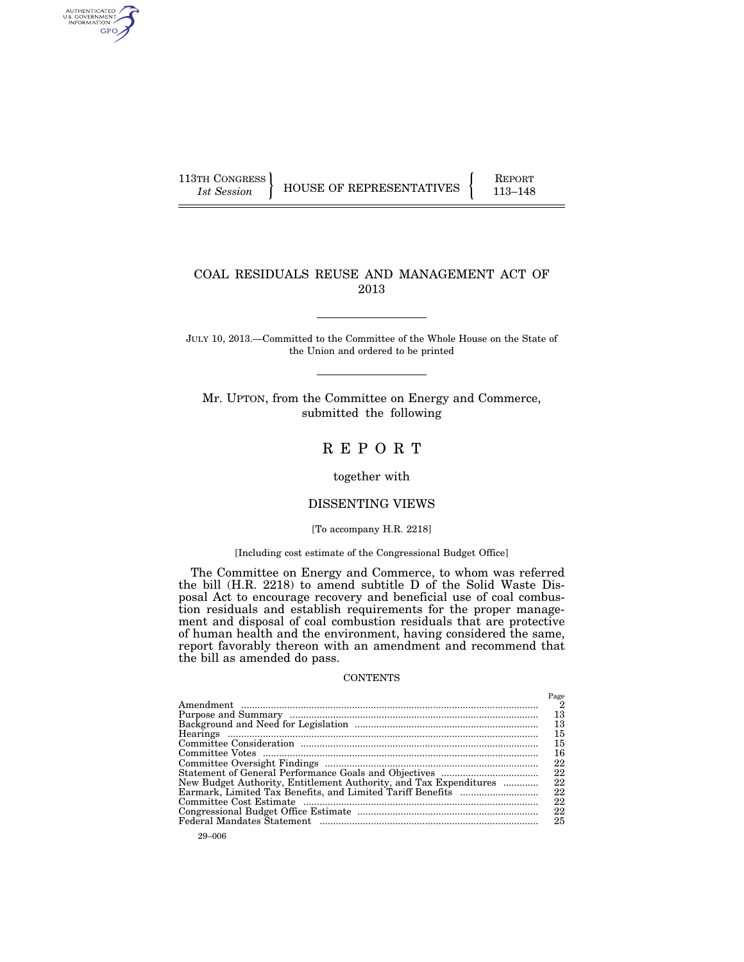AUTHENTICATED<br>U.S. GOVERNMENT<br>INFORMATION GPO

113TH CONGRESS HOUSE OF REPRESENTATIVES FEPORT 113-148

# COAL RESIDUALS REUSE AND MANAGEMENT ACT OF 2013

JULY 10, 2013.—Committed to the Committee of the Whole House on the State of the Union and ordered to be printed

Mr. UPTON, from the Committee on Energy and Commerce, submitted the following

# R E P O R T

# together with

# DISSENTING VIEWS

# [To accompany H.R. 2218]

# [Including cost estimate of the Congressional Budget Office]

The Committee on Energy and Commerce, to whom was referred the bill (H.R. 2218) to amend subtitle D of the Solid Waste Disposal Act to encourage recovery and beneficial use of coal combustion residuals and establish requirements for the proper management and disposal of coal combustion residuals that are protective of human health and the environment, having considered the same, report favorably thereon with an amendment and recommend that the bill as amended do pass.

#### **CONTENTS**

|                                                                   | Page                    |
|-------------------------------------------------------------------|-------------------------|
|                                                                   | $\overline{\mathbf{2}}$ |
|                                                                   | 13                      |
|                                                                   | 13                      |
|                                                                   | 15                      |
|                                                                   | 15                      |
|                                                                   | 16                      |
|                                                                   | 22                      |
|                                                                   | 22                      |
| New Budget Authority, Entitlement Authority, and Tax Expenditures | 22                      |
|                                                                   | 22                      |
|                                                                   | 22                      |
|                                                                   | 22                      |
|                                                                   | 25                      |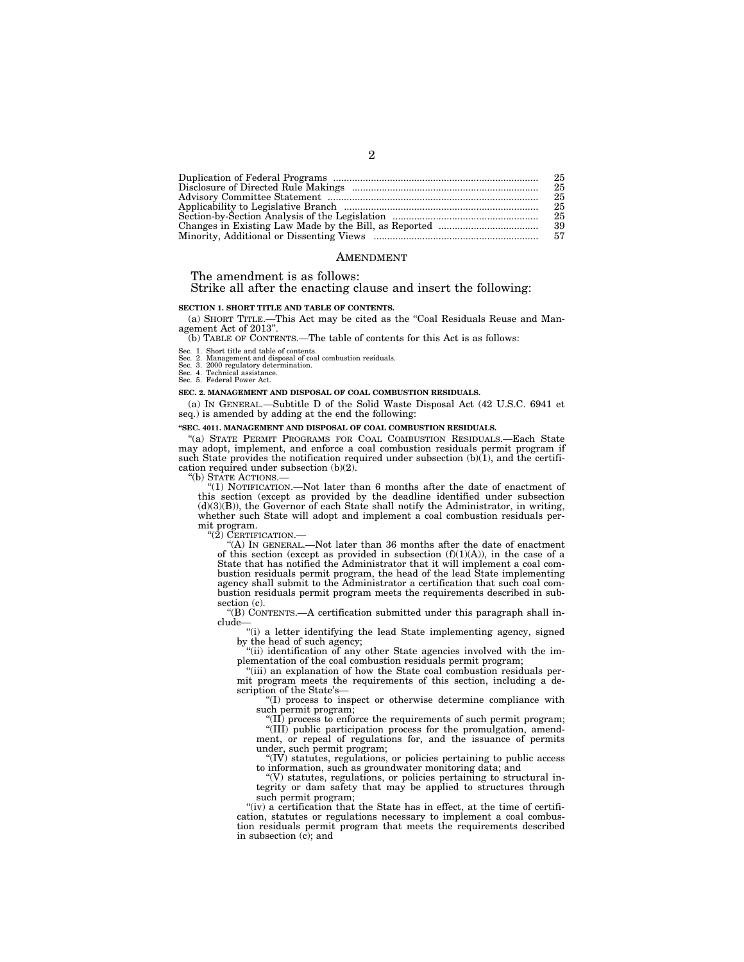| 25 |
|----|
| 25 |
| 25 |
| 25 |
| 25 |
|    |
|    |

#### AMENDMENT

#### The amendment is as follows:

# Strike all after the enacting clause and insert the following:

## **SECTION 1. SHORT TITLE AND TABLE OF CONTENTS.**

(a) SHORT TITLE.—This Act may be cited as the ''Coal Residuals Reuse and Management Act of 2013"

(b) TABLE OF CONTENTS.—The table of contents for this Act is as follows:

Sec. 1. Short title and table of contents.

Sec. 2. Management and disposal of coal combustion residuals. Sec. 3. 2000 regulatory determination.

Sec. 4. Technical assistance.

Sec. 5. Federal Power Act.

#### **SEC. 2. MANAGEMENT AND DISPOSAL OF COAL COMBUSTION RESIDUALS.**

(a) IN GENERAL.—Subtitle D of the Solid Waste Disposal Act (42 U.S.C. 6941 et seq.) is amended by adding at the end the following:

#### **''SEC. 4011. MANAGEMENT AND DISPOSAL OF COAL COMBUSTION RESIDUALS.**

''(a) STATE PERMIT PROGRAMS FOR COAL COMBUSTION RESIDUALS.—Each State may adopt, implement, and enforce a coal combustion residuals permit program if such State provides the notification required under subsection  $(b)(1)$ , and the certification required under subsection (b)(2).

''(b) STATE ACTIONS.— ''(1) NOTIFICATION.—Not later than 6 months after the date of enactment of this section (except as provided by the deadline identified under subsection  $(d)(3)(B)$ ), the Governor of each State shall notify the Administrator, in writing, whether such State will adopt and implement a coal combustion residuals permit program.<br>"(2) CERTIFICATION.

"(A) IN GENERAL.—Not later than 36 months after the date of enactment of this section (except as provided in subsection  $(f)(1)(A)$ ), in the case of a State that has notified the Administrator that it will implement a coal combustion residuals permit program, the head of the lead State implementing agency shall submit to the Administrator a certification that such coal combustion residuals permit program meets the requirements described in subsection (c).

"(B) CONTENTS.—A certification submitted under this paragraph shall include—

''(i) a letter identifying the lead State implementing agency, signed by the head of such agency;

''(ii) identification of any other State agencies involved with the implementation of the coal combustion residuals permit program;

"(iii) an explanation of how the State coal combustion residuals permit program meets the requirements of this section, including a description of the State's—

''(I) process to inspect or otherwise determine compliance with such permit program;

''(II) process to enforce the requirements of such permit program; ''(III) public participation process for the promulgation, amendment, or repeal of regulations for, and the issuance of permits

under, such permit program; ''(IV) statutes, regulations, or policies pertaining to public access to information, such as groundwater monitoring data; and

 $\mathcal{H}(V)$  statutes, regulations, or policies pertaining to structural integrity or dam safety that may be applied to structures through such permit program;

"(iv) a certification that the State has in effect, at the time of certification, statutes or regulations necessary to implement a coal combustion residuals permit program that meets the requirements described in subsection  $(c)$ ; and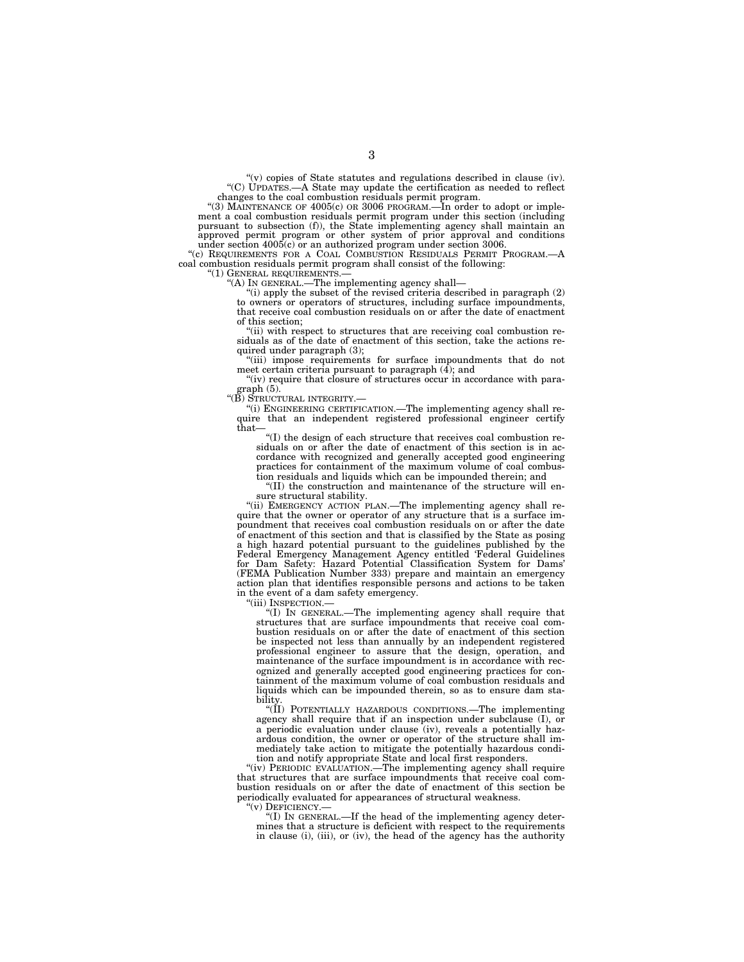$'(v)$  copies of State statutes and regulations described in clause (iv). ''(C) UPDATES.—A State may update the certification as needed to reflect changes to the coal combustion residuals permit program.

''(3) MAINTENANCE OF 4005(c) OR 3006 PROGRAM.—In order to adopt or implement a coal combustion residuals permit program under this section (including pursuant to subsection (f)), the State implementing agency shall maintain an approved permit program or other system of prior approval and conditions under section 4005(c) or an authorized program under section 3006.

''(c) REQUIREMENTS FOR A COAL COMBUSTION RESIDUALS PERMIT PROGRAM.—A coal combustion residuals permit program shall consist of the following:<br>"(1) GENERAL REQUIREMENTS.—

"(A) In GENERAL.—The implementing agency shall—

 $'$ (i) apply the subset of the revised criteria described in paragraph  $(2)$ to owners or operators of structures, including surface impoundments, that receive coal combustion residuals on or after the date of enactment of this section;

'(ii) with respect to structures that are receiving coal combustion residuals as of the date of enactment of this section, take the actions required under paragraph (3);

 $\degree$  "(iii) impose requirements for surface impoundments that do not meet certain criteria pursuant to paragraph (4); and

"(iv) require that closure of structures occur in accordance with paragraph (5).

''(B) STRUCTURAL INTEGRITY.—

''(i) ENGINEERING CERTIFICATION.—The implementing agency shall require that an independent registered professional engineer certify that—

''(I) the design of each structure that receives coal combustion residuals on or after the date of enactment of this section is in accordance with recognized and generally accepted good engineering practices for containment of the maximum volume of coal combustion residuals and liquids which can be impounded therein; and

''(II) the construction and maintenance of the structure will ensure structural stability.

"(ii) EMERGENCY ACTION PLAN.—The implementing agency shall require that the owner or operator of any structure that is a surface impoundment that receives coal combustion residuals on or after the date of enactment of this section and that is classified by the State as posing a high hazard potential pursuant to the guidelines published by the Federal Emergency Management Agency entitled 'Federal Guidelines Dam Safety: Hazard Potential Classification System for Dams' (FEMA Publication Number 333) prepare and maintain an emergency action plan that identifies responsible persons and actions to be taken in the event of a dam safety emergency.

'(iii) INSPECTION.-

''(I) IN GENERAL.—The implementing agency shall require that structures that are surface impoundments that receive coal combustion residuals on or after the date of enactment of this section be inspected not less than annually by an independent registered professional engineer to assure that the design, operation, and maintenance of the surface impoundment is in accordance with recognized and generally accepted good engineering practices for containment of the maximum volume of coal combustion residuals and liquids which can be impounded therein, so as to ensure dam stability.

"(II) POTENTIALLY HAZARDOUS CONDITIONS.—The implementing agency shall require that if an inspection under subclause (I), or a periodic evaluation under clause (iv), reveals a potentially hazardous condition, the owner or operator of the structure shall immediately take action to mitigate the potentially hazardous condition and notify appropriate State and local first responders.

"(iv) PERIODIC EVALUATION.—The implementing agency shall require that structures that are surface impoundments that receive coal combustion residuals on or after the date of enactment of this section be periodically evaluated for appearances of structural weakness.

''(v) DEFICIENCY.—

''(I) IN GENERAL.—If the head of the implementing agency determines that a structure is deficient with respect to the requirements in clause (i), (iii), or (iv), the head of the agency has the authority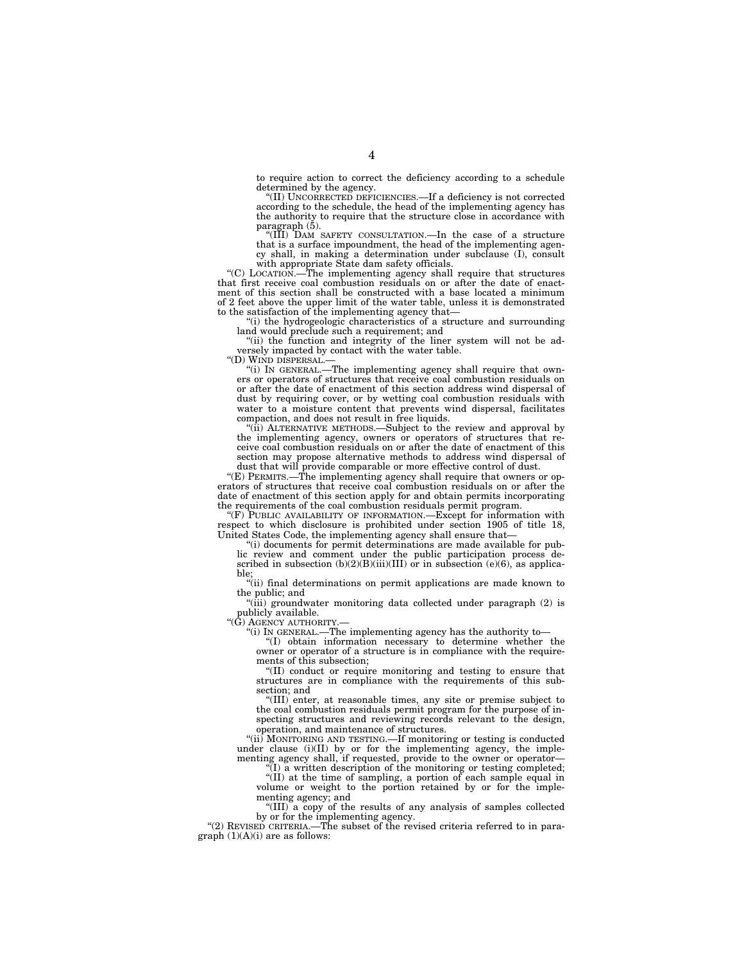to require action to correct the deficiency according to a schedule determined by the agency.

''(II) UNCORRECTED DEFICIENCIES.—If a deficiency is not corrected according to the schedule, the head of the implementing agency has the authority to require that the structure close in accordance with paragraph (5).

''(III) DAM SAFETY CONSULTATION.—In the case of a structure that is a surface impoundment, the head of the implementing agency shall, in making a determination under subclause (I), consult with appropriate State dam safety officials. ''(C) LOCATION.—The implementing agency shall require that structures

that first receive coal combustion residuals on or after the date of enact-ment of this section shall be constructed with a base located a minimum of 2 feet above the upper limit of the water table, unless it is demonstrated to the satisfaction of the implementing agency that—

''(i) the hydrogeologic characteristics of a structure and surrounding land would preclude such a requirement; and

''(ii) the function and integrity of the liner system will not be ad-versely impacted by contact with the water table.

''(D) WIND DISPERSAL.— ''(i) IN GENERAL.—The implementing agency shall require that owners or operators of structures that receive coal combustion residuals on or after the date of enactment of this section address wind dispersal of dust by requiring cover, or by wetting coal combustion residuals with water to a moisture content that prevents wind dispersal, facilitates compaction, and does not result in free liquids.

''(ii) ALTERNATIVE METHODS.—Subject to the review and approval by the implementing agency, owners or operators of structures that receive coal combustion residuals on or after the date of enactment of this section may propose alternative methods to address wind dispersal of dust that will provide comparable or more effective control of dust.

''(E) PERMITS.—The implementing agency shall require that owners or operators of structures that receive coal combustion residuals on or after the date of enactment of this section apply for and obtain permits incorporating the requirements of the coal combustion residuals permit program.

 $f(F)$  PUBLIC AVAILABILITY OF INFORMATION.—Except for information with respect to which disclosure is prohibited under section 1905 of title 18, United States Code, the implementing agency shall ensure that—

''(i) documents for permit determinations are made available for public review and comment under the public participation process described in subsection  $(b)(2)(B)(iii)(III)$  or in subsection  $(e)(6)$ , as applicable;

''(ii) final determinations on permit applications are made known to the public; and

''(iii) groundwater monitoring data collected under paragraph (2) is publicly available.

"(G) AGENCY AUTHORITY

''(i) IN GENERAL.—The implementing agency has the authority to—

''(I) obtain information necessary to determine whether the owner or operator of a structure is in compliance with the requirements of this subsection;

''(II) conduct or require monitoring and testing to ensure that structures are in compliance with the requirements of this subsection; and

''(III) enter, at reasonable times, any site or premise subject to the coal combustion residuals permit program for the purpose of inspecting structures and reviewing records relevant to the design, operation, and maintenance of structures.

''(ii) MONITORING AND TESTING.—If monitoring or testing is conducted under clause (i)(II) by or for the implementing agency, the implementing agency shall, if requested, provide to the owner or operator—

(I) a written description of the monitoring or testing completed; ''(II) at the time of sampling, a portion of each sample equal in

volume or weight to the portion retained by or for the implementing agency; and "(III) a copy of the results of any analysis of samples collected

by or for the implementing agency.

"(2) REVISED CRITERIA.—The subset of the revised criteria referred to in paragraph  $(1)(A)(i)$  are as follows: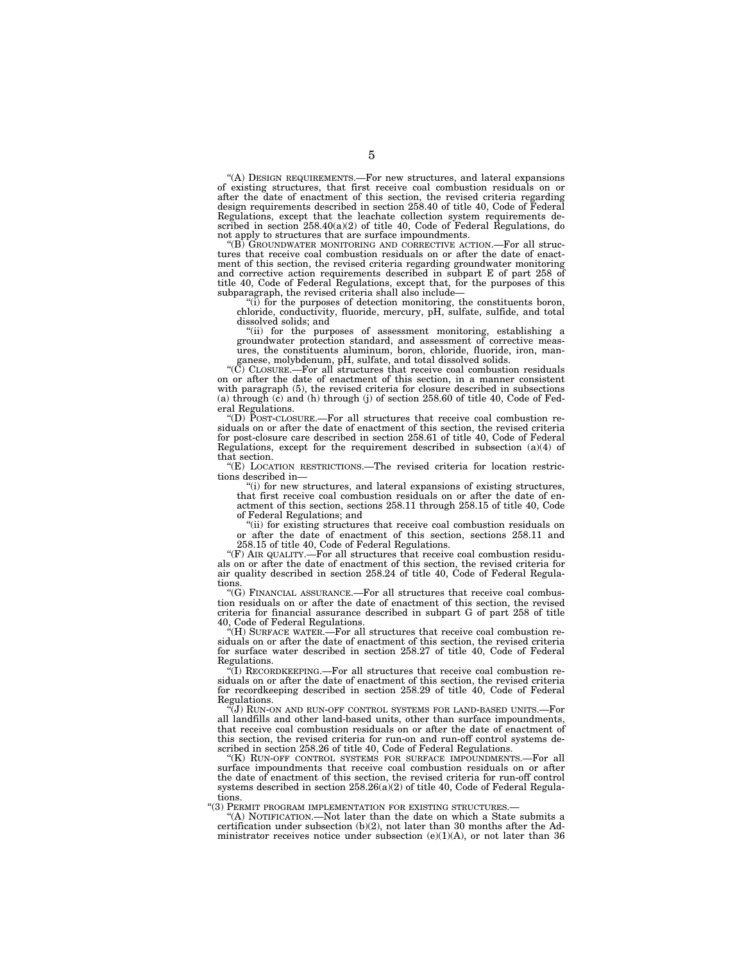''(A) DESIGN REQUIREMENTS.—For new structures, and lateral expansions of existing structures, that first receive coal combustion residuals on or after the date of enactment of this section, the revised criteria regarding design requirements described in section 258.40 of title 40, Code of Federal Regulations, except that the leachate collection system requirements described in section 258.40(a)(2) of title 40, Code of Federal Regulations, do not apply to structures that are surface impoundments.

'(B) GROUNDWATER MONITORING AND CORRECTIVE ACTION.—For all structures that receive coal combustion residuals on or after the date of enactment of this section, the revised criteria regarding groundwater monitoring and corrective action requirements described in subpart E of part 258 of title 40, Code of Federal Regulations, except that, for the purposes of this subparagraph, the revised criteria shall also include—

''(i) for the purposes of detection monitoring, the constituents boron, chloride, conductivity, fluoride, mercury, pH, sulfate, sulfide, and total dissolved solids; and

''(ii) for the purposes of assessment monitoring, establishing a groundwater protection standard, and assessment of corrective meas-ures, the constituents aluminum, boron, chloride, fluoride, iron, man-

ganese, molybdenum, pH, sulfate, and total dissolved solids. ''(C) CLOSURE.—For all structures that receive coal combustion residuals on or after the date of enactment of this section, in a manner consistent with paragraph (5), the revised criteria for closure described in subsections (a) through (c) and (h) through (j) of section 258.60 of title 40, Code of Federal Regulations.

''(D) POST-CLOSURE.—For all structures that receive coal combustion residuals on or after the date of enactment of this section, the revised criteria for post-closure care described in section 258.61 of title 40, Code of Federal Regulations, except for the requirement described in subsection (a)(4) of that section.

''(E) LOCATION RESTRICTIONS.—The revised criteria for location restrictions described in—

''(i) for new structures, and lateral expansions of existing structures, that first receive coal combustion residuals on or after the date of enactment of this section, sections 258.11 through 258.15 of title 40, Code of Federal Regulations; and

''(ii) for existing structures that receive coal combustion residuals on or after the date of enactment of this section, sections 258.11 and 258.15 of title 40, Code of Federal Regulations.

"(F) AIR QUALITY.—For all structures that receive coal combustion residuals on or after the date of enactment of this section, the revised criteria for air quality described in section 258.24 of title 40, Code of Federal Regulations.

''(G) FINANCIAL ASSURANCE.—For all structures that receive coal combustion residuals on or after the date of enactment of this section, the revised criteria for financial assurance described in subpart G of part 258 of title 40, Code of Federal Regulations.

''(H) SURFACE WATER.—For all structures that receive coal combustion residuals on or after the date of enactment of this section, the revised criteria for surface water described in section 258.27 of title 40, Code of Federal Regulations.

 $\tilde{f}(I)$  RECORDKEEPING.—For all structures that receive coal combustion residuals on or after the date of enactment of this section, the revised criteria for recordkeeping described in section 258.29 of title 40, Code of Federal Regulations.

 $\widetilde{f}(J)$  RUN-ON AND RUN-OFF CONTROL SYSTEMS FOR LAND-BASED UNITS.—For all landfills and other land-based units, other than surface impoundments, that receive coal combustion residuals on or after the date of enactment of this section, the revised criteria for run-on and run-off control systems described in section 258.26 of title 40, Code of Federal Regulations.

''(K) RUN-OFF CONTROL SYSTEMS FOR SURFACE IMPOUNDMENTS.—For all surface impoundments that receive coal combustion residuals on or after the date of enactment of this section, the revised criteria for run-off control systems described in section 258.26(a)(2) of title 40, Code of Federal Regulations.

''(3) PERMIT PROGRAM IMPLEMENTATION FOR EXISTING STRUCTURES.—

''(A) NOTIFICATION.—Not later than the date on which a State submits a certification under subsection (b)(2), not later than 30 months after the Administrator receives notice under subsection  $(e)(1)(A)$ , or not later than 36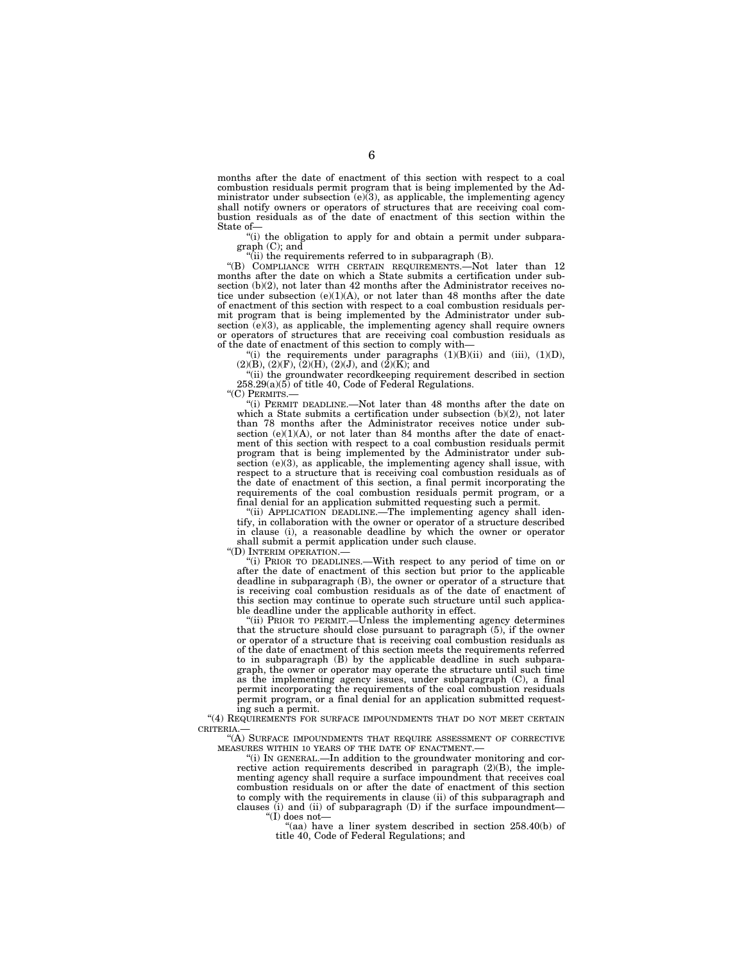months after the date of enactment of this section with respect to a coal combustion residuals permit program that is being implemented by the Administrator under subsection  $(e)(3)$ , as applicable, the implementing agency shall notify owners or operators of structures that are receiving coal combustion residuals as of the date of enactment of this section within the State of—

''(i) the obligation to apply for and obtain a permit under subparagraph (C); and

 $\hat{f}$ (ii) the requirements referred to in subparagraph  $(B)$ .

''(B) COMPLIANCE WITH CERTAIN REQUIREMENTS.—Not later than 12 months after the date on which a State submits a certification under subsection (b)(2), not later than 42 months after the Administrator receives notice under subsection  $(e)(1)(A)$ , or not later than 48 months after the date of enactment of this section with respect to a coal combustion residuals permit program that is being implemented by the Administrator under subsection (e)(3), as applicable, the implementing agency shall require owners or operators of structures that are receiving coal combustion residuals as of the date of enactment of this section to comply with—

"(i) the requirements under paragraphs  $(1)(B)(ii)$  and  $(iii)$ ,  $(1)(D)$ ,  $(2)(B), (2)(F), (2)(H), (2)(J),$  and  $(2)(K)$ ; and

''(ii) the groundwater recordkeeping requirement described in section 258.29(a)(5) of title 40, Code of Federal Regulations.

"(C) PERMITS.-

''(i) PERMIT DEADLINE.—Not later than 48 months after the date on which a State submits a certification under subsection (b)(2), not later than 78 months after the Administrator receives notice under subsection  $(e)(1)(A)$ , or not later than 84 months after the date of enactment of this section with respect to a coal combustion residuals permit program that is being implemented by the Administrator under subsection  $(e)(3)$ , as applicable, the implementing agency shall issue, with respect to a structure that is receiving coal combustion residuals as of the date of enactment of this section, a final permit incorporating the requirements of the coal combustion residuals permit program, or a final denial for an application submitted requesting such a permit.

"(ii) APPLICATION DEADLINE.—The implementing agency shall identify, in collaboration with the owner or operator of a structure described in clause (i), a reasonable deadline by which the owner or operator shall submit a permit application under such clause.

''(D) INTERIM OPERATION.—

''(i) PRIOR TO DEADLINES.—With respect to any period of time on or after the date of enactment of this section but prior to the applicable deadline in subparagraph (B), the owner or operator of a structure that is receiving coal combustion residuals as of the date of enactment of this section may continue to operate such structure until such applicable deadline under the applicable authority in effect.

''(ii) PRIOR TO PERMIT.—Unless the implementing agency determines that the structure should close pursuant to paragraph (5), if the owner or operator of a structure that is receiving coal combustion residuals as of the date of enactment of this section meets the requirements referred to in subparagraph (B) by the applicable deadline in such subparagraph, the owner or operator may operate the structure until such time as the implementing agency issues, under subparagraph (C), a final permit incorporating the requirements of the coal combustion residuals permit program, or a final denial for an application submitted requesting such a permit.

"(4) REQUIREMENTS FOR SURFACE IMPOUNDMENTS THAT DO NOT MEET CERTAIN CRITERIA.—

''(A) SURFACE IMPOUNDMENTS THAT REQUIRE ASSESSMENT OF CORRECTIVE MEASURES WITHIN 10 YEARS OF THE DATE OF ENACTMENT.

''(i) IN GENERAL.—In addition to the groundwater monitoring and corrective action requirements described in paragraph (2)(B), the implementing agency shall require a surface impoundment that receives coal combustion residuals on or after the date of enactment of this section to comply with the requirements in clause (ii) of this subparagraph and clauses  $(i)$  and  $(ii)$  of subparagraph  $(D)$  if the surface impoundment-''(I) does not—

''(aa) have a liner system described in section 258.40(b) of title 40, Code of Federal Regulations; and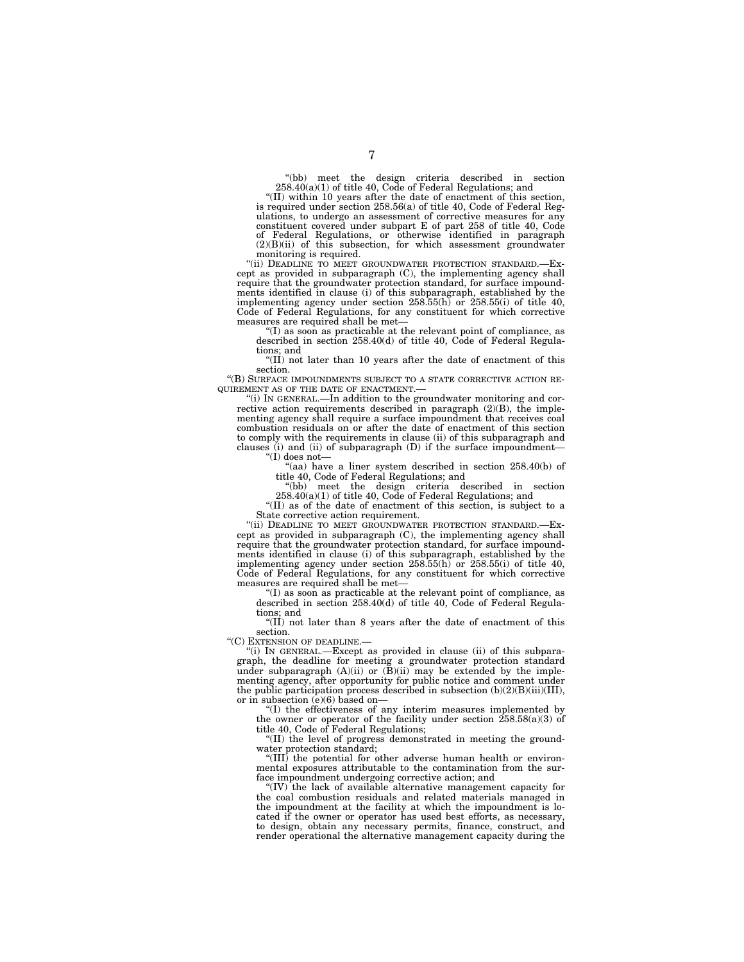"(bb) meet the design criteria described in section  $258.40(a)(1)$  of title 40, Code of Federal Regulations; and

''(II) within 10 years after the date of enactment of this section, is required under section 258.56(a) of title 40, Code of Federal Regulations, to undergo an assessment of corrective measures for any constituent covered under subpart E of part 258 of title 40, Code of Federal Regulations, or otherwise identified in paragraph (2)(B)(ii) of this subsection, for which assessment groundwater monitoring is required.

"(ii) DEADLINE TO MEET GROUNDWATER PROTECTION STANDARD.—Except as provided in subparagraph (C), the implementing agency shall require that the groundwater protection standard, for surface impoundments identified in clause (i) of this subparagraph, established by the implementing agency under section 258.55(h) or 258.55(i) of title 40, Code of Federal Regulations, for any constituent for which corrective measures are required shall be met—

''(I) as soon as practicable at the relevant point of compliance, as described in section 258.40(d) of title 40, Code of Federal Regulations; and

" $(II)$  not later than 10 years after the date of enactment of this section.

''(B) SURFACE IMPOUNDMENTS SUBJECT TO A STATE CORRECTIVE ACTION RE-QUIREMENT AS OF THE DATE OF ENACTMENT.—

 $\frac{d}{d}$ '(i) In GENERAL.—In addition to the groundwater monitoring and corrective action requirements described in paragraph (2)(B), the implementing agency shall require a surface impoundment that receives coal combustion residuals on or after the date of enactment of this section to comply with the requirements in clause (ii) of this subparagraph and clauses (i) and (ii) of subparagraph (D) if the surface impoundment— ''(I) does not—

"(aa) have a liner system described in section 258.40(b) of title 40, Code of Federal Regulations; and

''(bb) meet the design criteria described in section 258.40(a)(1) of title 40, Code of Federal Regulations; and

''(II) as of the date of enactment of this section, is subject to a State corrective action requirement.

"(ii) DEADLINE TO MEET GROUNDWATER PROTECTION STANDARD.cept as provided in subparagraph (C), the implementing agency shall require that the groundwater protection standard, for surface impoundments identified in clause (i) of this subparagraph, established by the implementing agency under section  $258.55(h)$  or  $258.55(i)$  of title 40, Code of Federal Regulations, for any constituent for which corrective measures are required shall be met—

''(I) as soon as practicable at the relevant point of compliance, as described in section 258.40(d) of title 40, Code of Federal Regulations; and

"(II) not later than 8 years after the date of enactment of this section.

''(C) EXTENSION OF DEADLINE.—

''(i) IN GENERAL.—Except as provided in clause (ii) of this subparagraph, the deadline for meeting a groundwater protection standard under subparagraph (A)(ii) or (B)(ii) may be extended by the implementing agency, after opportunity for public notice and comment under the public participation process described in subsection (b)(2)(B)(iii)(III), or in subsection (e)(6) based on—

''(I) the effectiveness of any interim measures implemented by the owner or operator of the facility under section  $258.58(a)(3)$  of title 40, Code of Federal Regulations;

''(II) the level of progress demonstrated in meeting the groundwater protection standard;

"(III) the potential for other adverse human health or environmental exposures attributable to the contamination from the surface impoundment undergoing corrective action; and

''(IV) the lack of available alternative management capacity for the coal combustion residuals and related materials managed in the impoundment at the facility at which the impoundment is located if the owner or operator has used best efforts, as necessary, to design, obtain any necessary permits, finance, construct, and render operational the alternative management capacity during the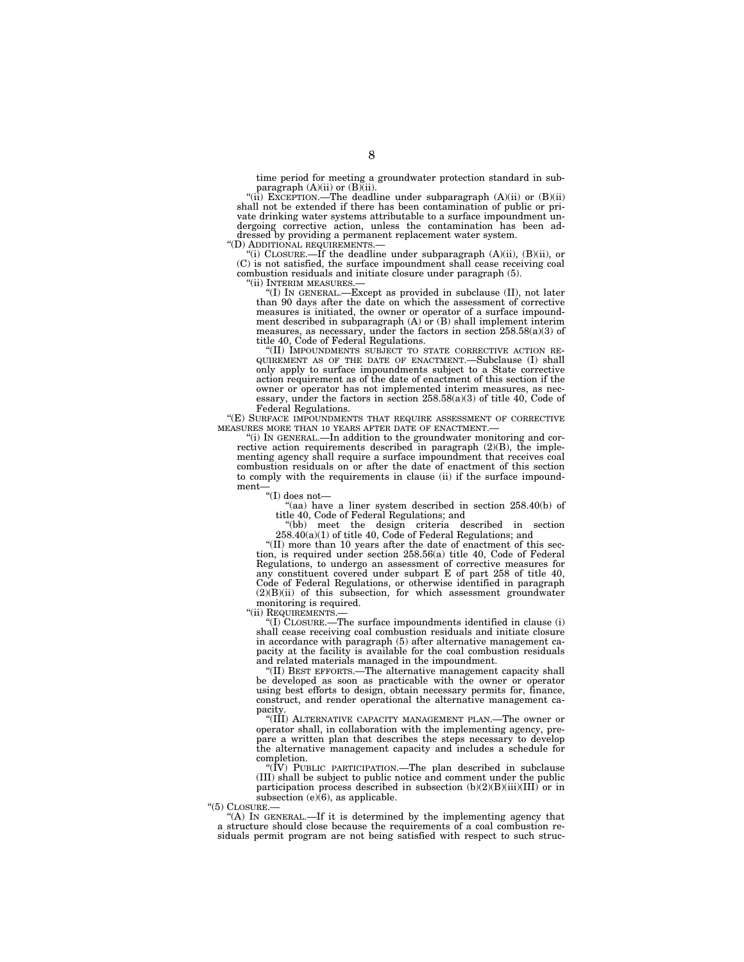time period for meeting a groundwater protection standard in subparagraph (A)(ii) or (B)(ii).<br>"(ii) EXCEPTION.—The deadline under subparagraph (A)(ii) or (B)(ii)

shall not be extended if there has been contamination of public or private drinking water systems attributable to a surface impoundment undergoing corrective action, unless the contamination has been addressed by providing a permanent replacement water system.<br>"(D) ADDITIONAL REQUIREMENTS.—

 $'$ (i) CLOSURE.—If the deadline under subparagraph (A)(ii), (B)(ii), or (C) is not satisfied, the surface impoundment shall cease receiving coal combustion residuals and initiate closure under paragraph (5).<br>
"(ii)  $\frac{W}{W}$ ENM MEASURES.

'(I) IN GENERAL.—Except as provided in subclause (II), not later than 90 days after the date on which the assessment of corrective measures is initiated, the owner or operator of a surface impoundment described in subparagraph (A) or (B) shall implement interim measures, as necessary, under the factors in section 258.58(a)(3) of title 40, Code of Federal Regulations.<br>
"(II) IMPOUNDMENTS SUBJECT TO STATE CORRECTIVE ACTION RE-

''(II) IMPOUNDMENTS SUBJECT TO STATE CORRECTIVE ACTION RE- QUIREMENT AS OF THE DATE OF ENACTMENT.—Subclause (I) shall only apply to surface impoundments subject to a State corrective action requirement as of the date of enactment of this section if the owner or operator has not implemented interim measures, as necessary, under the factors in section 258.58(a)(3) of title 40, Code of Federal Regulations.

''(E) SURFACE IMPOUNDMENTS THAT REQUIRE ASSESSMENT OF CORRECTIVE MEASURES MORE THAN 10 YEARS AFTER DATE OF ENACTMENT.

''(i) IN GENERAL.—In addition to the groundwater monitoring and corrective action requirements described in paragraph (2)(B), the implementing agency shall require a surface impoundment that receives coal combustion residuals on or after the date of enactment of this section to comply with the requirements in clause (ii) if the surface impoundment—

 $\mathrm{``(I)}$  does not—

''(aa) have a liner system described in section 258.40(b) of title 40, Code of Federal Regulations; and

''(bb) meet the design criteria described in section 258.40(a)(1) of title 40, Code of Federal Regulations; and

''(II) more than 10 years after the date of enactment of this section, is required under section 258.56(a) title 40, Code of Federal Regulations, to undergo an assessment of corrective measures for any constituent covered under subpart E of part 258 of title 40, Code of Federal Regulations, or otherwise identified in paragraph (2)(B)(ii) of this subsection, for which assessment groundwater monitoring is required.

''(ii) REQUIREMENTS.—

''(I) CLOSURE.—The surface impoundments identified in clause (i) shall cease receiving coal combustion residuals and initiate closure in accordance with paragraph (5) after alternative management capacity at the facility is available for the coal combustion residuals and related materials managed in the impoundment.

''(II) BEST EFFORTS.—The alternative management capacity shall be developed as soon as practicable with the owner or operator using best efforts to design, obtain necessary permits for, finance, construct, and render operational the alternative management capacity.

''(III) ALTERNATIVE CAPACITY MANAGEMENT PLAN.—The owner or operator shall, in collaboration with the implementing agency, prepare a written plan that describes the steps necessary to develop the alternative management capacity and includes a schedule for completion.

''(IV) PUBLIC PARTICIPATION.—The plan described in subclause (III) shall be subject to public notice and comment under the public participation process described in subsection  $(b)(2)(B)(iii)(III)$  or in subsection  $(e)(6)$ , as applicable.

 $(5)$  CLOSURE.

''(A) IN GENERAL.—If it is determined by the implementing agency that a structure should close because the requirements of a coal combustion residuals permit program are not being satisfied with respect to such struc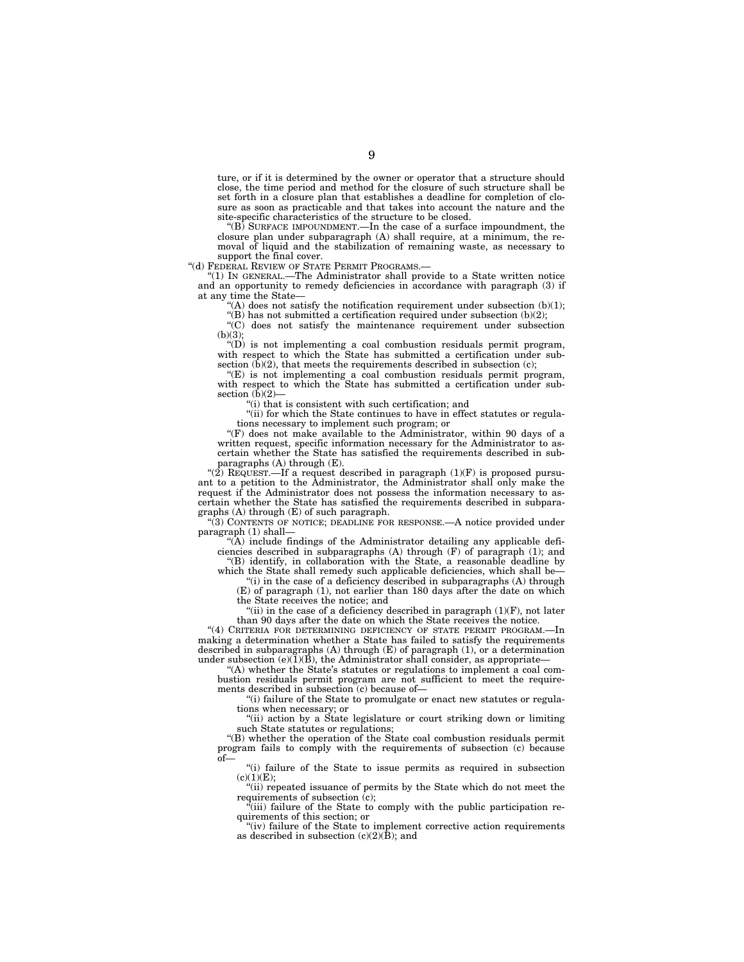ture, or if it is determined by the owner or operator that a structure should close, the time period and method for the closure of such structure shall be set forth in a closure plan that establishes a deadline for completion of closure as soon as practicable and that takes into account the nature and the site-specific characteristics of the structure to be closed.

''(B) SURFACE IMPOUNDMENT.—In the case of a surface impoundment, the closure plan under subparagraph (A) shall require, at a minimum, the removal of liquid and the stabilization of remaining waste, as necessary to support the final cover.

''(d) FEDERAL REVIEW OF STATE PERMIT PROGRAMS.—

''(1) IN GENERAL.—The Administrator shall provide to a State written notice and an opportunity to remedy deficiencies in accordance with paragraph (3) if at any time the State—

"(A) does not satisfy the notification requirement under subsection  $(b)(1)$ ; "(B) has not submitted a certification required under subsection  $(b)(2)$ ;

 $\mathcal{C}(C)$  does not satisfy the maintenance requirement under subsection  $(b)(3);$ 

''(D) is not implementing a coal combustion residuals permit program, with respect to which the State has submitted a certification under subsection  $(b)(2)$ , that meets the requirements described in subsection  $(c)$ ;

''(E) is not implementing a coal combustion residuals permit program, with respect to which the State has submitted a certification under subsection  $(b)(2)$ -

''(i) that is consistent with such certification; and

''(ii) for which the State continues to have in effect statutes or regulations necessary to implement such program; or

''(F) does not make available to the Administrator, within 90 days of a written request, specific information necessary for the Administrator to ascertain whether the State has satisfied the requirements described in subparagraphs (A) through (E).

" $(2)$  REQUEST.—If a request described in paragraph  $(1)(F)$  is proposed pursuant to a petition to the Administrator, the Administrator shall only make the request if the Administrator does not possess the information necessary to ascertain whether the State has satisfied the requirements described in subparagraphs (A) through (E) of such paragraph.

''(3) CONTENTS OF NOTICE; DEADLINE FOR RESPONSE.—A notice provided under paragraph (1) shall—

 $\hat{A}$ ) include findings of the Administrator detailing any applicable deficiencies described in subparagraphs (A) through (F) of paragraph (1); and ''(B) identify, in collaboration with the State, a reasonable deadline by

which the State shall remedy such applicable deficiencies, which shall be— "(i) in the case of a deficiency described in subparagraphs (A) through

(E) of paragraph (1), not earlier than 180 days after the date on which the State receives the notice; and

"(ii) in the case of a deficiency described in paragraph  $(1)(F)$ , not later than 90 days after the date on which the State receives the notice.

"(4) CRITERIA FOR DETERMINING DEFICIENCY OF STATE PERMIT PROGRAM.-In making a determination whether a State has failed to satisfy the requirements described in subparagraphs  $(A)$  through  $(E)$  of paragraph  $(1)$ , or a determination under subsection  $(e)(\tilde{1})(\tilde{B})$ , the Administrator shall consider, as appropriate

''(A) whether the State's statutes or regulations to implement a coal combustion residuals permit program are not sufficient to meet the requirements described in subsection (c) because of—

''(i) failure of the State to promulgate or enact new statutes or regulations when necessary; or

''(ii) action by a State legislature or court striking down or limiting such State statutes or regulations;

''(B) whether the operation of the State coal combustion residuals permit program fails to comply with the requirements of subsection (c) because of—

''(i) failure of the State to issue permits as required in subsection  $(c)(1)(E);$ 

''(ii) repeated issuance of permits by the State which do not meet the requirements of subsection (c);<br>"(iii) failure of the State to comply with the public participation re-

quirements of this section; or

"(iv) failure of the State to implement corrective action requirements as described in subsection  $(c)(2)(\bar{B})$ ; and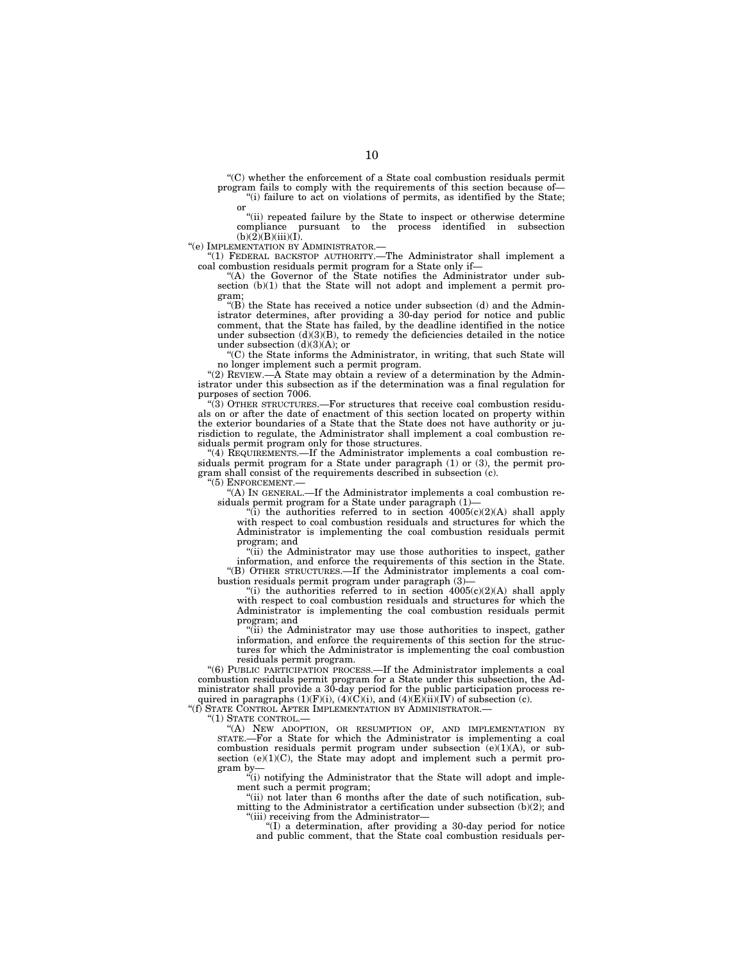''(C) whether the enforcement of a State coal combustion residuals permit program fails to comply with the requirements of this section because of  $f(i)$  failure to act on violations of permits, as identified by the State; or

''(ii) repeated failure by the State to inspect or otherwise determine compliance pursuant to the process identified in subsection  $(b)(2)(B)(iii)(I).$ 

''(e) IMPLEMENTATION BY ADMINISTRATOR.—

''(1) FEDERAL BACKSTOP AUTHORITY.—The Administrator shall implement a coal combustion residuals permit program for a State only if—

''(A) the Governor of the State notifies the Administrator under subsection (b)(1) that the State will not adopt and implement a permit program;

 $\sqrt[4]{(B)}$  the State has received a notice under subsection (d) and the Administrator determines, after providing a 30-day period for notice and public comment, that the State has failed, by the deadline identified in the notice under subsection (d)(3)(B), to remedy the deficiencies detailed in the notice under subsection  $(d)(3)(A)$ ; or

''(C) the State informs the Administrator, in writing, that such State will no longer implement such a permit program.

"(2) REVIEW.— $\hat{A}$  State may obtain a review of a determination by the Administrator under this subsection as if the determination was a final regulation for purposes of section 7006.

''(3) OTHER STRUCTURES.—For structures that receive coal combustion residuals on or after the date of enactment of this section located on property within the exterior boundaries of a State that the State does not have authority or jurisdiction to regulate, the Administrator shall implement a coal combustion residuals permit program only for those structures.

''(4) REQUIREMENTS.—If the Administrator implements a coal combustion residuals permit program for a State under paragraph (1) or (3), the permit program shall consist of the requirements described in subsection (c).

''(5) ENFORCEMENT.—

''(A) IN GENERAL.—If the Administrator implements a coal combustion residuals permit program for a State under paragraph (1)—

"(i) the authorities referred to in section  $4005(c)(2)(A)$  shall apply with respect to coal combustion residuals and structures for which the Administrator is implementing the coal combustion residuals permit program; and

''(ii) the Administrator may use those authorities to inspect, gather information, and enforce the requirements of this section in the State. ''(B) OTHER STRUCTURES.—If the Administrator implements a coal combustion residuals permit program under paragraph  $(3)$ -

"(i) the authorities referred to in section  $4005(c)(2)(A)$  shall apply with respect to coal combustion residuals and structures for which the Administrator is implementing the coal combustion residuals permit program; and

''(ii) the Administrator may use those authorities to inspect, gather information, and enforce the requirements of this section for the structures for which the Administrator is implementing the coal combustion residuals permit program.

''(6) PUBLIC PARTICIPATION PROCESS.—If the Administrator implements a coal combustion residuals permit program for a State under this subsection, the Administrator shall provide a 30-day period for the public participation process required in paragraphs  $(1)(F)(i)$ ,  $(4)(C)(i)$ , and  $(4)(E)(ii)(IV)^{\dagger}$  of subsection  $(c)$ .

''(f) STATE CONTROL AFTER IMPLEMENTATION BY ADMINISTRATOR.—

''(1) STATE CONTROL.—

''(A) NEW ADOPTION, OR RESUMPTION OF, AND IMPLEMENTATION BY STATE.—For a State for which the Administrator is implementing a coal combustion residuals permit program under subsection (e)(1)(A), or subsection  $(e)(1)(C)$ , the State may adopt and implement such a permit program by—

''(i) notifying the Administrator that the State will adopt and implement such a permit program;

''(ii) not later than 6 months after the date of such notification, submitting to the Administrator a certification under subsection (b)(2); and "(iii) receiving from the Administrator-

''(I) a determination, after providing a 30-day period for notice and public comment, that the State coal combustion residuals per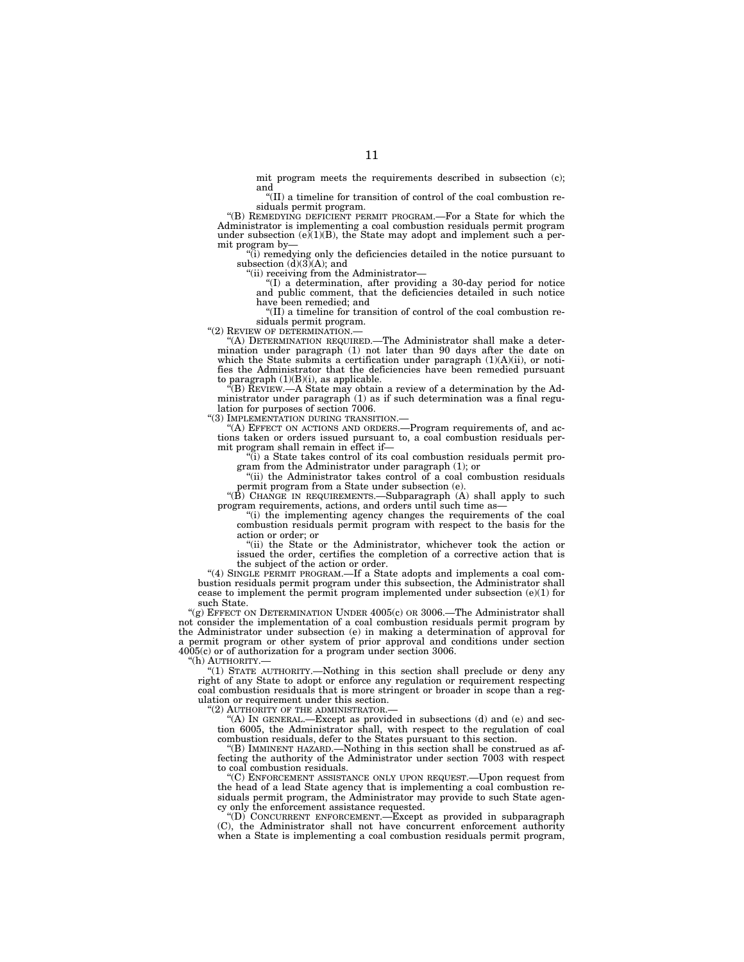mit program meets the requirements described in subsection (c); and

''(II) a timeline for transition of control of the coal combustion residuals permit program.

''(B) REMEDYING DEFICIENT PERMIT PROGRAM.—For a State for which the Administrator is implementing a coal combustion residuals permit program under subsection (e)(1)(B), the State may adopt and implement such a permit program by—

"(i) remedying only the deficiencies detailed in the notice pursuant to subsection  $(d)(3)(A)$ ; and

"(ii) receiving from the Administrator-

''(I) a determination, after providing a 30-day period for notice and public comment, that the deficiencies detailed in such notice

have been remedied; and<br>"(II) a timeline for transition of control of the coal combustion residuals permit program.<br>"(2) REVIEW OF DETERMINATION —

''(2) REVIEW OF DETERMINATION.— ''(A) DETERMINATION REQUIRED.—The Administrator shall make a deter-mination under paragraph (1) not later than 90 days after the date on which the State submits a certification under paragraph (1)(A)(ii), or notifies the Administrator that the deficiencies have been remedied pursuant to paragraph (1)(B)(i), as applicable.

''(B) REVIEW.—A State may obtain a review of a determination by the Administrator under paragraph (1) as if such determination was a final regulation for purposes of section 7006.

''(3) IMPLEMENTATION DURING TRANSITION.—

(A) EFFECT ON ACTIONS AND ORDERS.—Program requirements of, and actions taken or orders issued pursuant to, a coal combustion residuals permit program shall remain in effect if—

 $\langle \tilde{u} \rangle$  a State takes control of its coal combustion residuals permit program from the Administrator under paragraph (1); or

''(ii) the Administrator takes control of a coal combustion residuals permit program from a State under subsection (e).

''(B) CHANGE IN REQUIREMENTS.—Subparagraph (A) shall apply to such program requirements, actions, and orders until such time as—

''(i) the implementing agency changes the requirements of the coal combustion residuals permit program with respect to the basis for the action or order; or

''(ii) the State or the Administrator, whichever took the action or issued the order, certifies the completion of a corrective action that is the subject of the action or order.

"(4) SINGLE PERMIT PROGRAM.—If a State adopts and implements a coal combustion residuals permit program under this subsection, the Administrator shall cease to implement the permit program implemented under subsection  $(e)(1)$  for such State.

" $(g)$  EFFECT ON DETERMINATION UNDER 4005(c) OR 3006.—The Administrator shall not consider the implementation of a coal combustion residuals permit program by the Administrator under subsection (e) in making a determination of approval for a permit program or other system of prior approval and conditions under section 4005(c) or of authorization for a program under section 3006.

"(h) AUTHORITY.

''(1) STATE AUTHORITY.—Nothing in this section shall preclude or deny any right of any State to adopt or enforce any regulation or requirement respecting coal combustion residuals that is more stringent or broader in scope than a regulation or requirement under this section.

''(2) AUTHORITY OF THE ADMINISTRATOR.—

 $*(A)$  IN GENERAL.—Except as provided in subsections (d) and (e) and section 6005, the Administrator shall, with respect to the regulation of coal combustion residuals, defer to the States pursuant to this section.

''(B) IMMINENT HAZARD.—Nothing in this section shall be construed as affecting the authority of the Administrator under section 7003 with respect to coal combustion residuals.

''(C) ENFORCEMENT ASSISTANCE ONLY UPON REQUEST.—Upon request from the head of a lead State agency that is implementing a coal combustion residuals permit program, the Administrator may provide to such State agency only the enforcement assistance requested.

''(D) CONCURRENT ENFORCEMENT.—Except as provided in subparagraph (C), the Administrator shall not have concurrent enforcement authority when a State is implementing a coal combustion residuals permit program,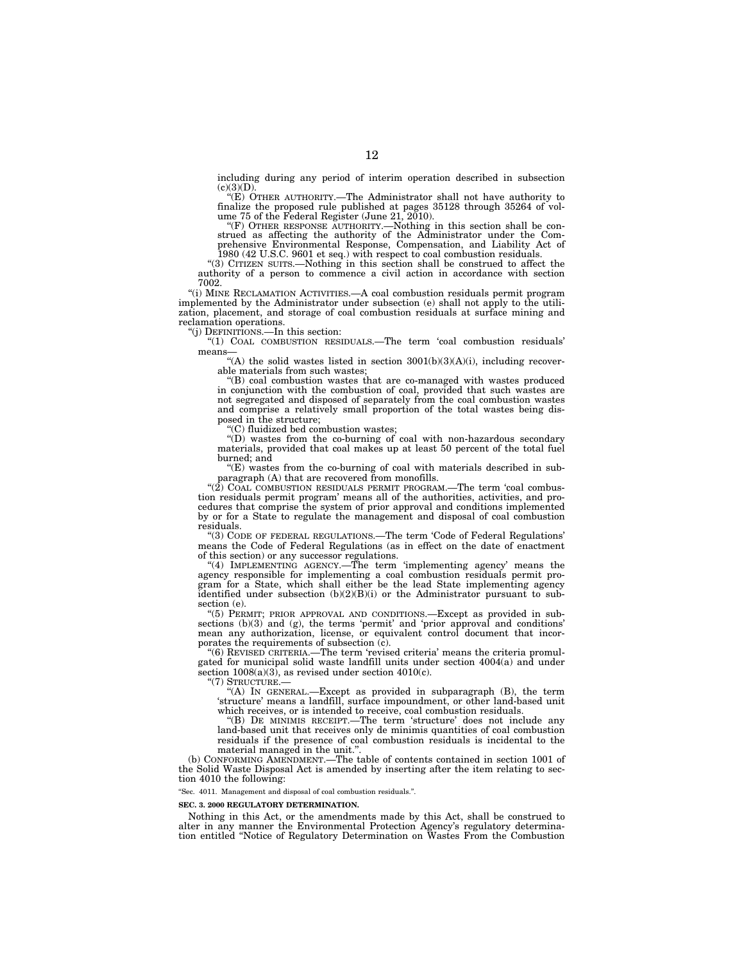including during any period of interim operation described in subsection

(c)(3)(D). ''(E) OTHER AUTHORITY.—The Administrator shall not have authority to finalize the proposed rule published at pages 35128 through 35264 of vol-ume 75 of the Federal Register (June 21, 2010).

''(F) OTHER RESPONSE AUTHORITY.—Nothing in this section shall be con-strued as affecting the authority of the Administrator under the Comprehensive Environmental Response, Compensation, and Liability Act of 1980 (42 U.S.C. 9601 et seq.) with respect to coal combustion residuals.

''(3) CITIZEN SUITS.—Nothing in this section shall be construed to affect the authority of a person to commence a civil action in accordance with section 7002.

''(i) MINE RECLAMATION ACTIVITIES.—A coal combustion residuals permit program implemented by the Administrator under subsection (e) shall not apply to the utilization, placement, and storage of coal combustion residuals at surface mining and reclamation operations.

''(j) DEFINITIONS.—In this section:

''(1) COAL COMBUSTION RESIDUALS.—The term 'coal combustion residuals' means—

"(A) the solid wastes listed in section  $3001(b)(3)(A)(i)$ , including recoverable materials from such wastes;

''(B) coal combustion wastes that are co-managed with wastes produced in conjunction with the combustion of coal, provided that such wastes are not segregated and disposed of separately from the coal combustion wastes and comprise a relatively small proportion of the total wastes being disposed in the structure;

''(C) fluidized bed combustion wastes;

''(D) wastes from the co-burning of coal with non-hazardous secondary materials, provided that coal makes up at least 50 percent of the total fuel burned; and

 $(E)$  wastes from the co-burning of coal with materials described in subparagraph (A) that are recovered from monofills.

" $(2)$  COAL COMBUSTION RESIDUALS PERMIT PROGRAM.—The term 'coal combustion residuals permit program' means all of the authorities, activities, and procedures that comprise the system of prior approval and conditions implemented by or for a State to regulate the management and disposal of coal combustion residuals.

''(3) CODE OF FEDERAL REGULATIONS.—The term 'Code of Federal Regulations' means the Code of Federal Regulations (as in effect on the date of enactment of this section) or any successor regulations.

"(4) IMPLEMENTING AGENCY.—The term 'implementing agency' means the agency responsible for implementing a coal combustion residuals permit program for a State, which shall either be the lead State implementing agency identified under subsection  $(b)(2)(B)(i)$  or the Administrator pursuant to subsection (e).

''(5) PERMIT; PRIOR APPROVAL AND CONDITIONS.—Except as provided in subsections (b)(3) and (g), the terms 'permit' and 'prior approval and conditions' mean any authorization, license, or equivalent control document that incorporates the requirements of subsection (c).

"(6) REVISED CRITERIA.—The term 'revised criteria' means the criteria promulgated for municipal solid waste landfill units under section 4004(a) and under section  $1008(a)(3)$ , as revised under section  $4010(c)$ .

''(7) STRUCTURE.—

''(A) IN GENERAL.—Except as provided in subparagraph (B), the term 'structure' means a landfill, surface impoundment, or other land-based unit which receives, or is intended to receive, coal combustion residuals.

''(B) DE MINIMIS RECEIPT.—The term 'structure' does not include any land-based unit that receives only de minimis quantities of coal combustion residuals if the presence of coal combustion residuals is incidental to the material managed in the unit.'

(b) CONFORMING AMENDMENT.—The table of contents contained in section 1001 of the Solid Waste Disposal Act is amended by inserting after the item relating to section 4010 the following:

''Sec. 4011. Management and disposal of coal combustion residuals.''.

#### **SEC. 3. 2000 REGULATORY DETERMINATION.**

Nothing in this Act, or the amendments made by this Act, shall be construed to alter in any manner the Environmental Protection Agency's regulatory determination entitled ''Notice of Regulatory Determination on Wastes From the Combustion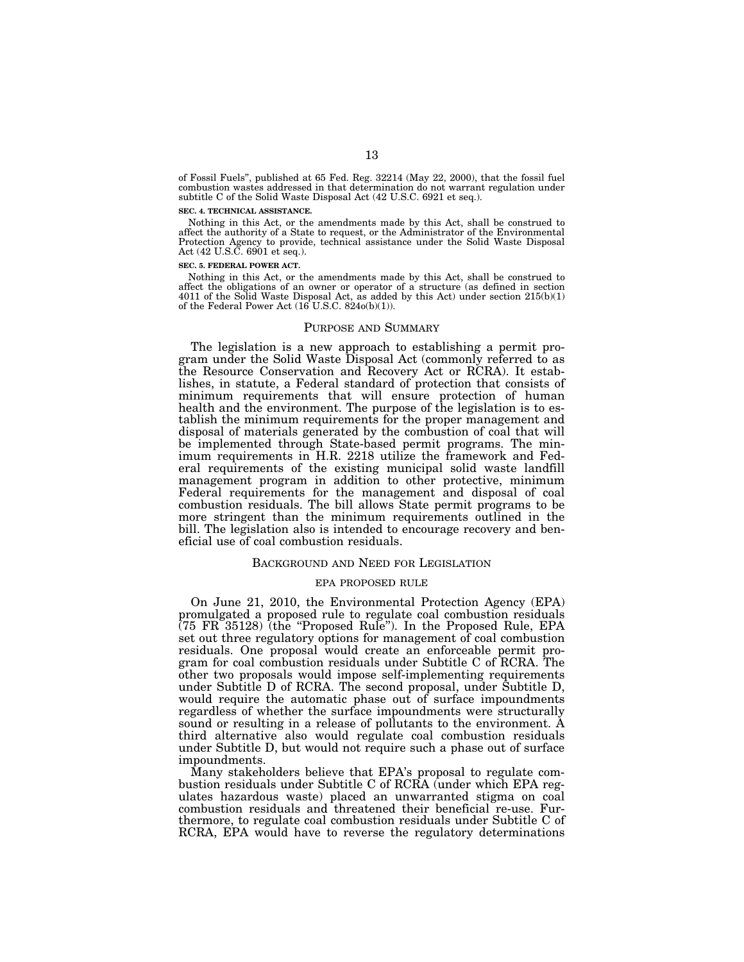of Fossil Fuels'', published at 65 Fed. Reg. 32214 (May 22, 2000), that the fossil fuel combustion wastes addressed in that determination do not warrant regulation under subtitle C of the Solid Waste Disposal Act (42 U.S.C. 6921 et seq.).

#### **SEC. 4. TECHNICAL ASSISTANCE.**

Nothing in this Act, or the amendments made by this Act, shall be construed to affect the authority of a State to request, or the Administrator of the Environmental Protection Agency to provide, technical assistance under the Solid Waste Disposal Act (42 U.S.C. 6901 et seq.).

#### **SEC. 5. FEDERAL POWER ACT.**

Nothing in this Act, or the amendments made by this Act, shall be construed to affect the obligations of an owner or operator of a structure (as defined in section 4011 of the Solid Waste Disposal Act, as added by this Act) under section  $215(b)(1)$ of the Federal Power Act  $(16$  U.S.C. 824 $o(b)(1)$ ).

# PURPOSE AND SUMMARY

The legislation is a new approach to establishing a permit program under the Solid Waste Disposal Act (commonly referred to as the Resource Conservation and Recovery Act or RCRA). It establishes, in statute, a Federal standard of protection that consists of minimum requirements that will ensure protection of human health and the environment. The purpose of the legislation is to establish the minimum requirements for the proper management and disposal of materials generated by the combustion of coal that will be implemented through State-based permit programs. The minimum requirements in H.R. 2218 utilize the framework and Federal requirements of the existing municipal solid waste landfill management program in addition to other protective, minimum Federal requirements for the management and disposal of coal combustion residuals. The bill allows State permit programs to be more stringent than the minimum requirements outlined in the bill. The legislation also is intended to encourage recovery and beneficial use of coal combustion residuals.

#### BACKGROUND AND NEED FOR LEGISLATION

#### EPA PROPOSED RULE

On June 21, 2010, the Environmental Protection Agency (EPA) promulgated a proposed rule to regulate coal combustion residuals (75 FR 35128) (the ''Proposed Rule''). In the Proposed Rule, EPA set out three regulatory options for management of coal combustion residuals. One proposal would create an enforceable permit program for coal combustion residuals under Subtitle C of RCRA. The other two proposals would impose self-implementing requirements under Subtitle D of RCRA. The second proposal, under Subtitle D, would require the automatic phase out of surface impoundments regardless of whether the surface impoundments were structurally sound or resulting in a release of pollutants to the environment. A third alternative also would regulate coal combustion residuals under Subtitle D, but would not require such a phase out of surface impoundments.

Many stakeholders believe that EPA's proposal to regulate combustion residuals under Subtitle C of RCRA (under which EPA regulates hazardous waste) placed an unwarranted stigma on coal combustion residuals and threatened their beneficial re-use. Furthermore, to regulate coal combustion residuals under Subtitle C of RCRA, EPA would have to reverse the regulatory determinations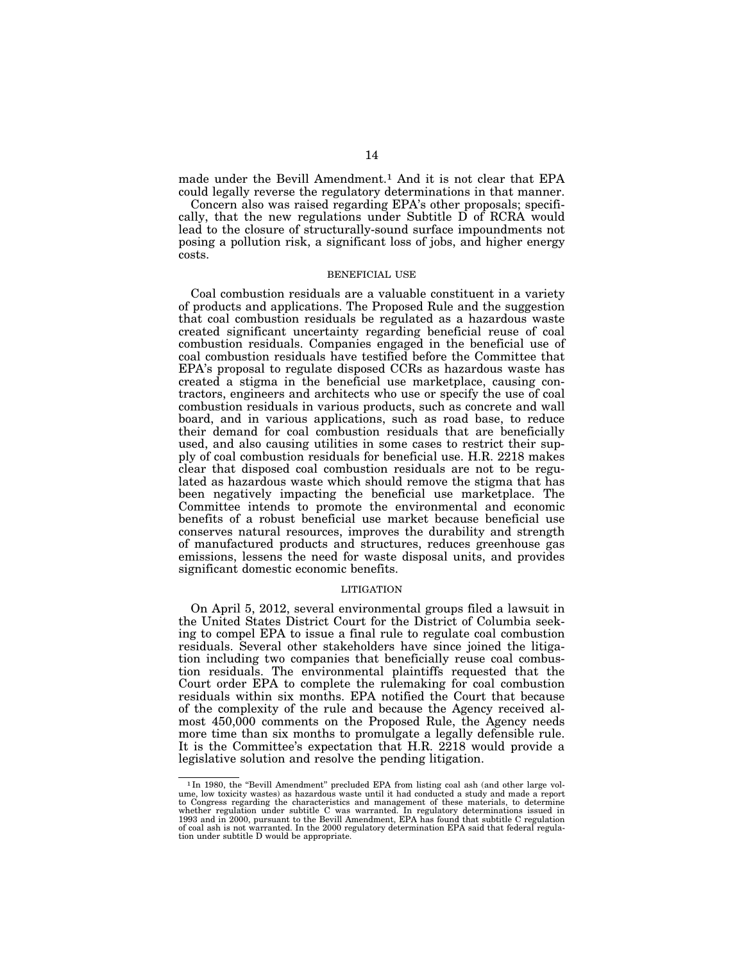made under the Bevill Amendment.<sup>1</sup> And it is not clear that EPA could legally reverse the regulatory determinations in that manner.

Concern also was raised regarding EPA's other proposals; specifically, that the new regulations under Subtitle D of RCRA would lead to the closure of structurally-sound surface impoundments not posing a pollution risk, a significant loss of jobs, and higher energy costs.

## BENEFICIAL USE

Coal combustion residuals are a valuable constituent in a variety of products and applications. The Proposed Rule and the suggestion that coal combustion residuals be regulated as a hazardous waste created significant uncertainty regarding beneficial reuse of coal combustion residuals. Companies engaged in the beneficial use of coal combustion residuals have testified before the Committee that EPA's proposal to regulate disposed CCRs as hazardous waste has created a stigma in the beneficial use marketplace, causing contractors, engineers and architects who use or specify the use of coal combustion residuals in various products, such as concrete and wall board, and in various applications, such as road base, to reduce their demand for coal combustion residuals that are beneficially used, and also causing utilities in some cases to restrict their supply of coal combustion residuals for beneficial use. H.R. 2218 makes clear that disposed coal combustion residuals are not to be regulated as hazardous waste which should remove the stigma that has been negatively impacting the beneficial use marketplace. The Committee intends to promote the environmental and economic benefits of a robust beneficial use market because beneficial use conserves natural resources, improves the durability and strength of manufactured products and structures, reduces greenhouse gas emissions, lessens the need for waste disposal units, and provides significant domestic economic benefits.

## LITIGATION

On April 5, 2012, several environmental groups filed a lawsuit in the United States District Court for the District of Columbia seeking to compel EPA to issue a final rule to regulate coal combustion residuals. Several other stakeholders have since joined the litigation including two companies that beneficially reuse coal combustion residuals. The environmental plaintiffs requested that the Court order EPA to complete the rulemaking for coal combustion residuals within six months. EPA notified the Court that because of the complexity of the rule and because the Agency received almost 450,000 comments on the Proposed Rule, the Agency needs more time than six months to promulgate a legally defensible rule. It is the Committee's expectation that H.R. 2218 would provide a legislative solution and resolve the pending litigation.

<sup>&</sup>lt;sup>1</sup>In 1980, the "Bevill Amendment" precluded EPA from listing coal ash (and other large volume, low toxicity wastes) as hazardous waste until it had conducted a study and made a report<br>to Congress regarding the characteristics and management of these materials, to determine<br>whether regulation under subtitle C wa 1993 and in 2000, pursuant to the Bevill Amendment, EPA has found that subtitle C regulation of coal ash is not warranted. In the 2000 regulatory determination EPA said that federal regulation under subtitle D would be appropriate.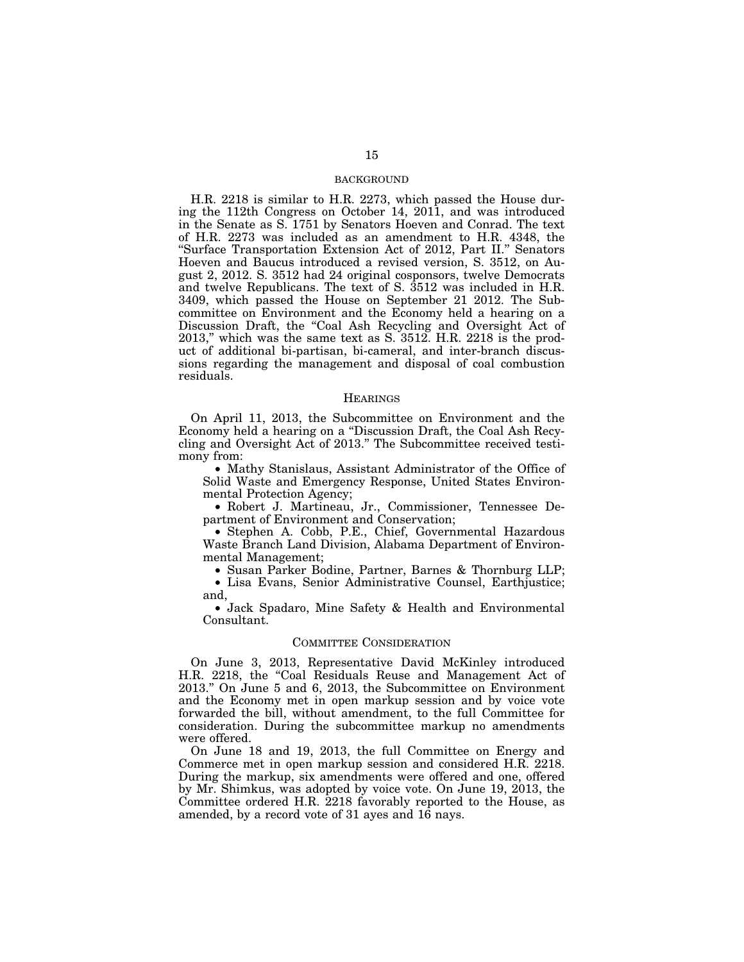# BACKGROUND

H.R. 2218 is similar to H.R. 2273, which passed the House during the 112th Congress on October 14, 2011, and was introduced in the Senate as S. 1751 by Senators Hoeven and Conrad. The text of H.R. 2273 was included as an amendment to H.R. 4348, the ''Surface Transportation Extension Act of 2012, Part II.'' Senators Hoeven and Baucus introduced a revised version, S. 3512, on August 2, 2012. S. 3512 had 24 original cosponsors, twelve Democrats and twelve Republicans. The text of S. 3512 was included in H.R. 3409, which passed the House on September 21 2012. The Subcommittee on Environment and the Economy held a hearing on a Discussion Draft, the "Coal Ash Recycling and Oversight Act of 2013,'' which was the same text as S. 3512. H.R. 2218 is the product of additional bi-partisan, bi-cameral, and inter-branch discussions regarding the management and disposal of coal combustion residuals.

## **HEARINGS**

On April 11, 2013, the Subcommittee on Environment and the Economy held a hearing on a ''Discussion Draft, the Coal Ash Recycling and Oversight Act of 2013.'' The Subcommittee received testimony from:

• Mathy Stanislaus, Assistant Administrator of the Office of Solid Waste and Emergency Response, United States Environmental Protection Agency;

• Robert J. Martineau, Jr., Commissioner, Tennessee Department of Environment and Conservation;

• Stephen A. Cobb, P.E., Chief, Governmental Hazardous Waste Branch Land Division, Alabama Department of Environmental Management;

• Susan Parker Bodine, Partner, Barnes & Thornburg LLP;

• Lisa Evans, Senior Administrative Counsel, Earthjustice; and,

• Jack Spadaro, Mine Safety & Health and Environmental Consultant.

# COMMITTEE CONSIDERATION

On June 3, 2013, Representative David McKinley introduced H.R. 2218, the "Coal Residuals Reuse and Management Act of 2013.'' On June 5 and 6, 2013, the Subcommittee on Environment and the Economy met in open markup session and by voice vote forwarded the bill, without amendment, to the full Committee for consideration. During the subcommittee markup no amendments were offered.

On June 18 and 19, 2013, the full Committee on Energy and Commerce met in open markup session and considered H.R. 2218. During the markup, six amendments were offered and one, offered by Mr. Shimkus, was adopted by voice vote. On June 19, 2013, the Committee ordered H.R. 2218 favorably reported to the House, as amended, by a record vote of 31 ayes and 16 nays.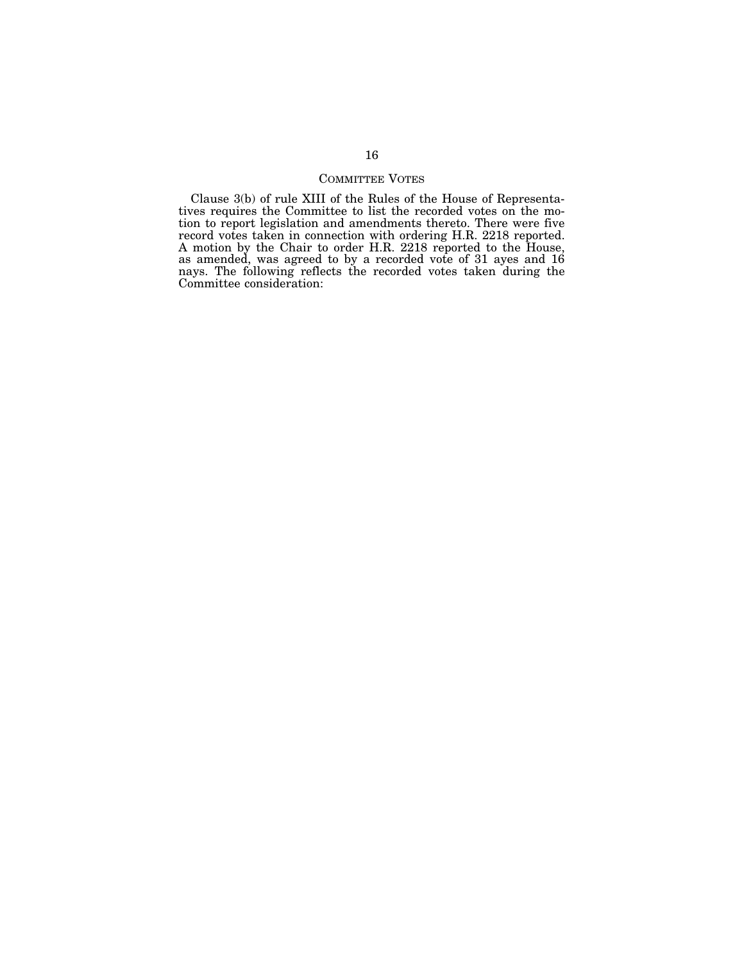# COMMITTEE VOTES

Clause 3(b) of rule XIII of the Rules of the House of Representatives requires the Committee to list the recorded votes on the motion to report legislation and amendments thereto. There were five record votes taken in connection with ordering H.R. 2218 reported. A motion by the Chair to order H.R. 2218 reported to the House, as amended, was agreed to by a recorded vote of 31 ayes and 16 nays. The following reflects the recorded votes taken during the Committee consideration: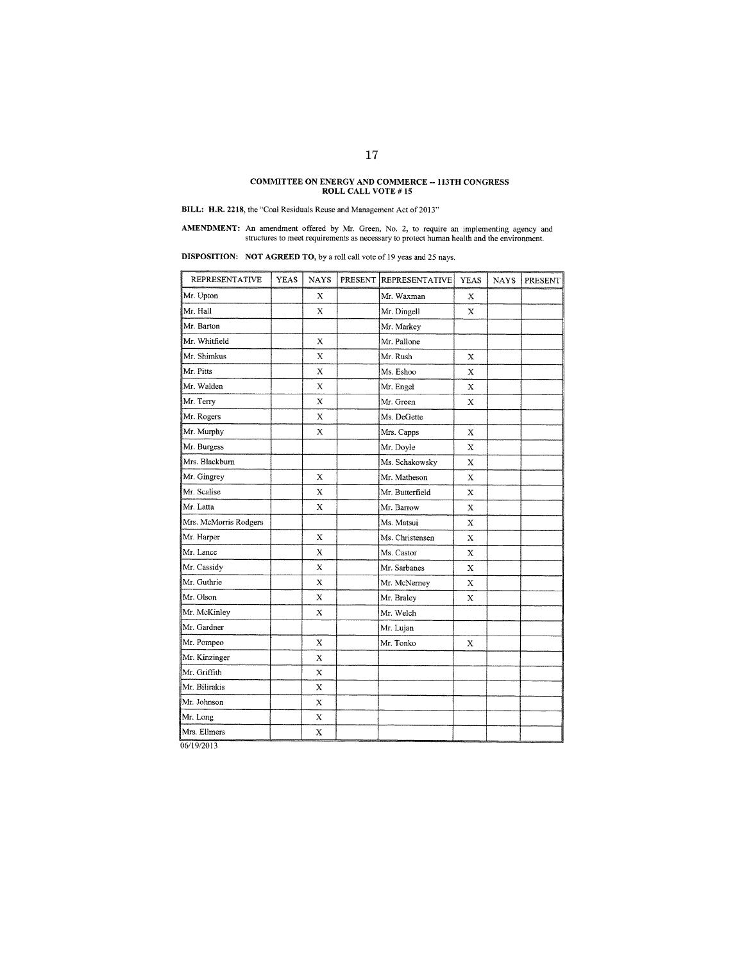# **COMMITTEE ON ENERGY AND COMMERCE - 113TH CONGRESS ROLL CALL VOTE # 15**

**BILL: H.R. 2218, the "Coal Residuals Reuse and Management Act of 2013"** 

**AMENDMENT:** An amendment offered by Mr. Green, No. 2, to require an implementing agency and structures to meet requirements as necessary to protect human health and the environment.

**DISPOSITION:** NOT AGREED TO, by a roll call vote of 19 yeas and 25 nays.

| <b>REPRESENTATIVE</b> | <b>YEAS</b> | <b>NAYS</b>               | PRESENT REPRESENTATIVE | <b>YEAS</b> | <b>NAYS</b> | PRESENT |
|-----------------------|-------------|---------------------------|------------------------|-------------|-------------|---------|
| Mr. Upton             |             | X                         | Mr. Waxman             | Х           |             |         |
| Mr. Hall              |             | X                         | Mr. Dingell            | X           |             |         |
| Mr. Barton            |             |                           | Mr. Markey             |             |             |         |
| Mr. Whitfield         |             | X                         | Mr. Pallone            |             |             |         |
| Mr. Shimkus           |             | X                         | Mr. Rush               | X           |             |         |
| Mr. Pitts             |             | X                         | Ms. Eshoo              | X           |             |         |
| Mr. Walden            |             | X                         | Mr. Engel              | X           |             |         |
| Mr. Terry             |             | $\boldsymbol{\mathsf{x}}$ | Mr. Green              | X           |             |         |
| Mr. Rogers            |             | X                         | Ms. DeGette            |             |             |         |
| Mr. Murphy            |             | X                         | Mrs. Capps             | X           |             |         |
| Mr. Burgess           |             |                           | Mr. Doyle              | X           |             |         |
| Mrs. Blackburn        |             |                           | Ms. Schakowsky         | X           |             |         |
| Mr. Gingrey           |             | $\mathbf x$               | Mr. Matheson           | $\mathbf x$ |             |         |
| Mr. Scalise           |             | X                         | Mr. Butterfield        | х           |             |         |
| Mr. Latta             |             | $\bf{X}$                  | Mr. Barrow             | x           |             |         |
| Mrs. McMorris Rodgers |             |                           | Ms. Matsui             | X           |             |         |
| Mr. Harper            |             | X                         | Ms. Christensen        | X           |             |         |
| Mr. Lance             |             | X                         | Ms. Castor             | X           |             |         |
| Mr. Cassidy           |             | X                         | Mr. Sarbanes           | X           |             |         |
| Mr. Guthrie           |             | X                         | Mr. McNerney           | $\mathbf x$ |             |         |
| Mr. Olson             |             | $\bf{X}$                  | Mr. Braley             | X           |             |         |
| Mr. McKinley          |             | X                         | Mr. Welch              |             |             |         |
| Mr. Gardner           |             |                           | Mr. Lujan              |             |             |         |
| Mr. Pompeo            |             | $\bf{X}$                  | Mr. Tonko              | X           |             |         |
| Mr. Kinzinger         |             | X                         |                        |             |             |         |
| Mr. Griffith          |             | х                         |                        |             |             |         |
| Mr. Bilirakis         |             | X                         |                        |             |             |         |
| Mr. Johnson           |             | X                         |                        |             |             |         |
| Mr. Long              |             | X                         |                        |             |             |         |
| Mrs. Ellmers          |             | X                         |                        |             |             |         |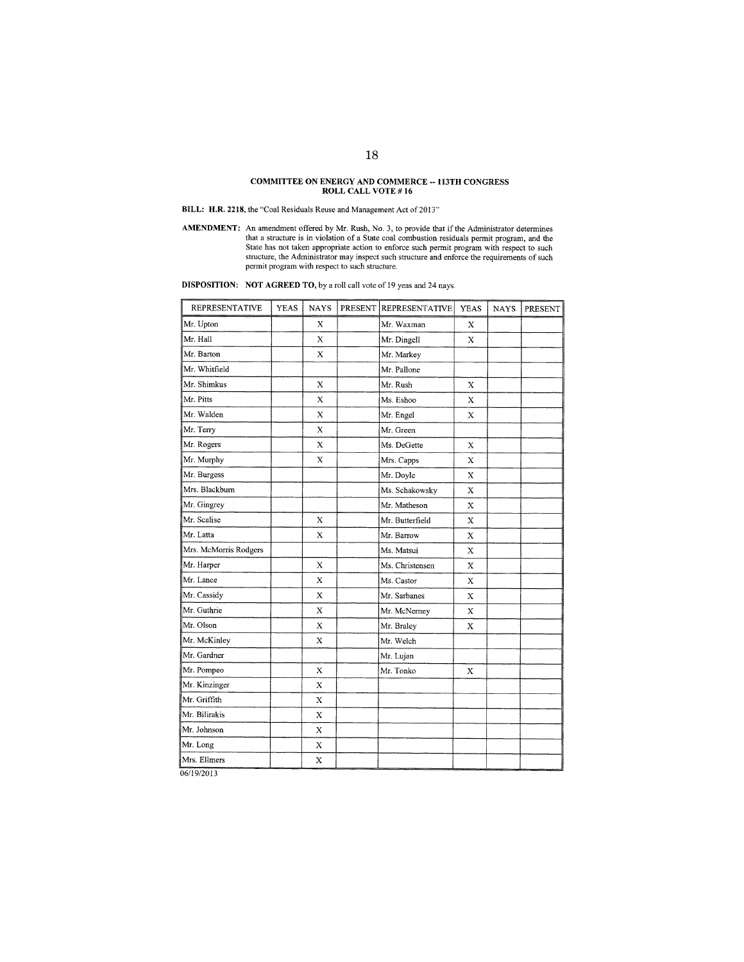# COMMITTEE ON ENERGY AND COMMERCE -- 1 13TH CONGRESS ROLL CALL VOTE # 16

BILL: H.R. 2218, the "Coal Residuals Reuse and Management Act of 2013"

**AMENDMENT:** An amendment offered by Mr. Rush, No. 3, to provide that if the Administrator determines that a structure is in violation of a State coal combustion residuals permit program, and the State has not taken approp structure, the Administrator may inspect such structure and enforce the requirements of such permit program with respect to such stmcture.

DISPOSITION: NOT AGREED TO, by a roll call votc of 19 yeas and 24 nays.

| <b>REPRESENTATIVE</b> | <b>YEAS</b> | <b>NAYS</b> | PRESENT | <b>REPRESENTATIVE</b> | <b>YEAS</b> | <b>NAYS</b> | <b>PRESENT</b> |
|-----------------------|-------------|-------------|---------|-----------------------|-------------|-------------|----------------|
| Mr. Upton             |             | X           |         | Mr. Waxman            | X           |             |                |
| Mr. Hall              |             | X           |         | Mr. Dingell           | X           |             |                |
| Mr. Barton            |             | X           |         | Mr. Markey            |             |             |                |
| Mr. Whitfield         |             |             |         | Mr. Pallone           |             |             |                |
| Mr. Shimkus           |             | X           |         | Mr. Rush              | X           |             |                |
| Mr. Pitts             |             | X           |         | Ms. Eshoo             | X           |             |                |
| Mr. Walden            |             | $\mathbf x$ |         | Mr. Engel             | X           |             |                |
| Mr. Terry             |             | $\mathbf x$ |         | Mr. Green             |             |             |                |
| Mr. Rogers            |             | X           |         | Ms. DeGette           | X           |             |                |
| Mr. Murphy            |             | $\mathbf x$ |         | Mrs. Capps            | X           |             |                |
| Mr. Burgess           |             |             |         | Mr. Doyle             | X           |             |                |
| Mrs. Blackburn        |             |             |         | Ms. Schakowsky        | X           |             |                |
| Mr. Gingrey           |             |             |         | Mr. Matheson          | X           |             |                |
| Mr. Scalise           |             | X           |         | Mr. Butterfield       | X           |             |                |
| Mr. Latta             |             | X           |         | Mr. Barrow            | X           |             |                |
| Mrs. McMorris Rodgers |             |             |         | Ms. Matsui            | X           |             |                |
| Mr. Harper            |             | X           |         | Ms. Christensen       | $\mathbf X$ |             |                |
| Mr. Lance             |             | X           |         | Ms. Castor            | $\mathbf x$ |             |                |
| Mr. Cassidy           |             | X           |         | Mr. Sarbanes          | X           |             |                |
| Mr. Guthrie           |             | X           |         | Mr. McNerney          | X           |             |                |
| Mr. Olson             |             | $\mathbf x$ |         | Mr. Braley            | X           |             |                |
| Mr. McKinley          |             | х           |         | Mr. Welch             |             |             |                |
| Mr. Gardner           |             |             |         | Mr. Lujan             |             |             |                |
| Mr. Pompeo            |             | X           |         | Mr. Tonko             | x           |             |                |
| Mr. Kinzinger         |             | Х           |         |                       |             |             |                |
| Mr. Griffith          |             | X           |         |                       |             |             |                |
| Mr. Bilirakis         |             | X           |         |                       |             |             |                |
| Mr. Johnson           |             | X           |         |                       |             |             |                |
| Mr. Long              |             | $\bf{X}$    |         |                       |             |             |                |
| Mrs. Ellmers          |             | $\mathbf x$ |         |                       |             |             |                |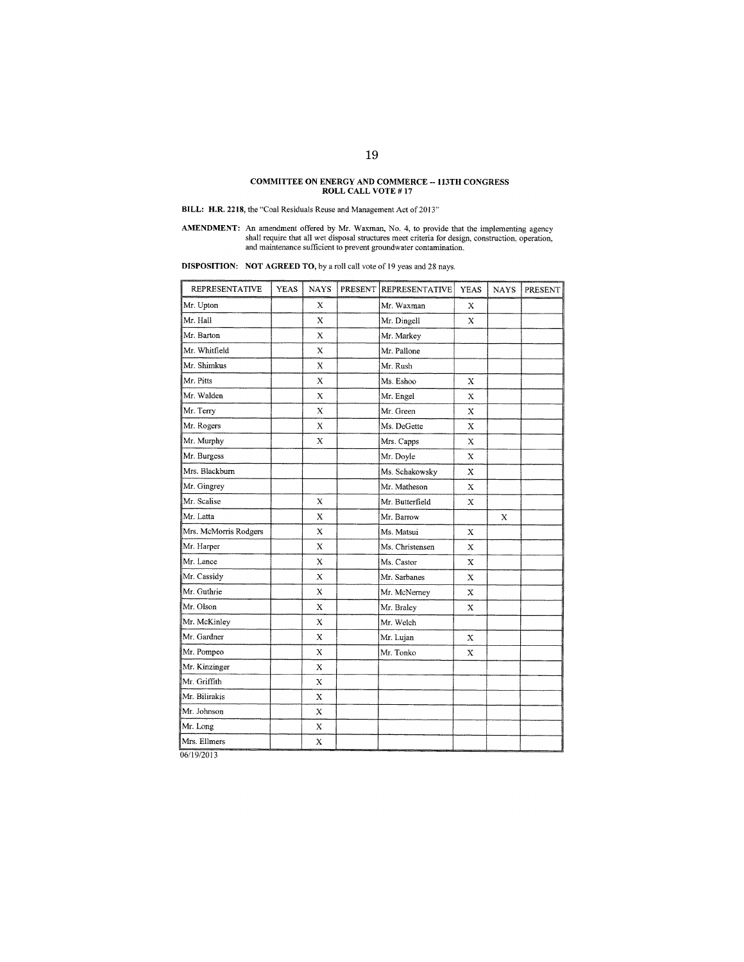# **COMMITTEE ON ENERGY AND COMMERCE -- 113TH CONGRESS ROLL CALL VOTE # 17**

**BILL: H.R. 2218, the "Coal Residuals Reuse and Management Act of 2013"** 

**AMENDMENT:** An amendment offered by Mr. Waxman, No. 4, to provide that the implementing agency shall require that all wet disposal structures meet criteria for design, construction, operation, and maintenance sufficient t

**DISPOSITION:** NOT AGREED TO, by a roll call vote of 19 yeas and 28 nays.

| <b>REPRESENTATIVE</b> | <b>YEAS</b> | <b>NAYS</b> | PRESENT | <b>REPRESENTATIVE</b> | <b>YEAS</b> | <b>NAYS</b> | PRESENT |
|-----------------------|-------------|-------------|---------|-----------------------|-------------|-------------|---------|
| Mr. Upton             |             | X           |         | Mr. Waxman            | х           |             |         |
| Mr. Hall              |             | $\mathbf X$ |         | Mr. Dingell           | X           |             |         |
| Mr. Barton            |             | X           |         | Mr. Markey            |             |             |         |
| Mr. Whitfield         |             | X           |         | Mr. Pallone           |             |             |         |
| Mr. Shimkus           |             | X           |         | Mr. Rush              |             |             |         |
| Mr. Pitts             |             | X           |         | Ms. Eshoo             | х           |             |         |
| Mr. Walden            |             | $\bf{X}$    |         | Mr. Engel             | x           |             |         |
| Mr. Terry             |             | $\mathbf x$ |         | Mr. Green             | X           |             |         |
| Mr. Rogers            |             | X           |         | Ms. DeGette           | X           |             |         |
| Mr. Murphy            |             | $\bf{x}$    |         | Mrs. Capps            | X           |             |         |
| Mr. Burgess           |             |             |         | Mr. Doyle             | X           |             |         |
| Mrs. Blackburn        |             |             |         | Ms. Schakowsky        | X           |             |         |
| Mr. Gingrey           |             |             |         | Mr. Matheson          | X           |             |         |
| Mr. Scalise           |             | X           |         | Mr. Butterfield       | X           |             |         |
| Mr. Latta             |             | $\mathbf x$ |         | Mr. Barrow            |             | X           |         |
| Mrs. McMorris Rodgers |             | X           |         | Ms. Matsui            | X           |             |         |
| Mr. Harper            |             | $\mathbf X$ |         | Ms. Christensen       | X           |             |         |
| Mr. Lance             |             | $\bf{x}$    |         | Ms. Castor            | X           |             |         |
| Mr. Cassidy           |             | X           |         | Mr. Sarbanes          | X           |             |         |
| Mr. Guthrie           |             | X           |         | Mr. McNerney          | X           |             |         |
| Mr. Olson             |             | X           |         | Mr. Braley            | X           |             |         |
| Mr. McKinley          |             | X           |         | Mr. Welch             |             |             |         |
| Mr. Gardner           |             | $\bf{X}$    |         | Mr. Lujan             | Х           |             |         |
| Mr. Pompeo            |             | х           |         | Mr. Tonko             | $\mathbf X$ |             |         |
| Mr. Kinzinger         |             | $\bar{x}$   |         |                       |             |             |         |
| Mr. Griffith          |             | Х           |         |                       |             |             |         |
| Mr. Bilirakis         |             | $\mathbf X$ |         |                       |             |             |         |
| Mr. Johnson           |             | $\bf{X}$    |         |                       |             |             |         |
| Mr. Long              |             | X           |         |                       |             |             |         |
| Mrs. Ellmers          |             | X           |         |                       |             |             |         |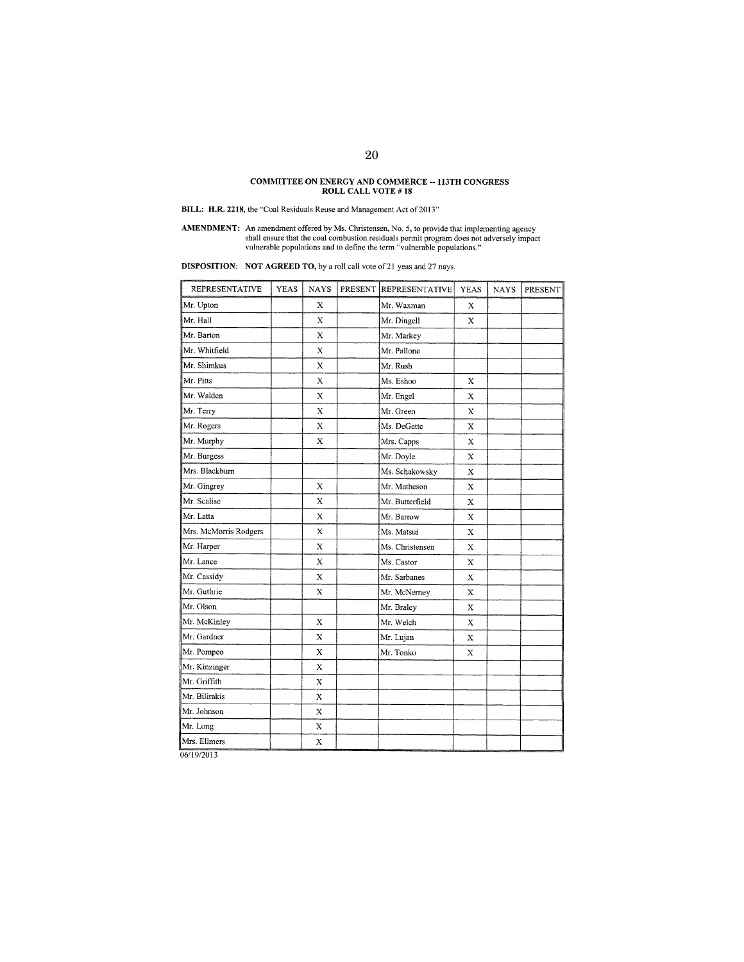# COMMITTEE ON ENERGY AND COMMERCE -- 113TH CONGRESS **ROLL** CALL VOTE # **18**

BILL: H.R. 2218, the "Coal Residuals Reuse and Management Act of 2013"

**AMENDMENT:** An amendment offered by Ms. Christensen, No. 5, to provide that implementing agency shall ensure that the coal combustion residuals permit program does not adversely impact vulnerable populations and to define

DISPOSITION: NOT AGREED TO, by a roll call vote of 21 yeas and 27 nays.

| <b>REPRESENTATIVE</b> | <b>YEAS</b> | <b>NAYS</b> | PRESENT | <b>REPRESENTATIVE</b> | <b>YEAS</b> | <b>NAYS</b> | PRESENT |
|-----------------------|-------------|-------------|---------|-----------------------|-------------|-------------|---------|
| Mr. Upton             |             | X           |         | Mr. Waxman            | Х           |             |         |
| Mr. Hall              |             | X           |         | Mr. Dingell           | X           |             |         |
| Mr. Barton            |             | X           |         | Mr. Markey            |             |             |         |
| Mr. Whitfield         |             | $\mathbf x$ |         | Mr. Pallone           |             |             |         |
| Mr. Shimkus           |             | X           |         | Mr. Rush              |             |             |         |
| Mr. Pitts             |             | X           |         | Ms. Eshoo             | X           |             |         |
| Mr. Walden            |             | X           |         | Mr. Engel             | X           |             |         |
| Mr. Terry             |             | $\bar{X}$   |         | Mr. Green             | X           |             |         |
| Mr. Rogers            |             | $\bf x$     |         | Ms. DeGette           | Х           |             |         |
| Mr. Murphy            |             | х           |         | Mrs. Capps            | X           |             |         |
| Mr. Burgess           |             |             |         | Mr. Doyle             | X           |             |         |
| Mrs. Blackburn        |             |             |         | Ms. Schakowsky        | X           |             |         |
| Mr. Gingrey           |             | X           |         | Mr. Matheson          | X           |             |         |
| Mr. Scalise           |             | X           |         | Mr. Butterfield       | X           |             |         |
| Mr. Latta             |             | X           |         | Mr. Barrow            | X           |             |         |
| Mrs. McMorris Rodgers |             | X           |         | Ms. Matsui            | Х           |             |         |
| Mr. Harper            |             | $\bf{X}$    |         | Ms. Christensen       | X           |             |         |
| Mr. Lance             |             | X           |         | Ms. Castor            | X           |             |         |
| Mr. Cassidy           |             | X           |         | Mr. Sarbanes          | X           |             |         |
| Mr. Guthrie           |             | $\mathbf x$ |         | Mr. McNerney          | X           |             |         |
| Mr. Olson             |             |             |         | Mr. Braley            | X           |             |         |
| Mr. McKinley          |             | X           |         | Mr. Welch             | X           |             |         |
| Mr. Gardner           |             | X           |         | Mr. Lujan             | X           |             |         |
| Mr. Pompeo            |             | X           |         | Mr. Tonko             | X           |             |         |
| Mr. Kinzinger         |             | $\mathbf x$ |         |                       |             |             |         |
| Mr. Griffith          |             | X           |         |                       |             |             |         |
| Mr. Bilirakis         |             | X           |         |                       |             |             |         |
| Mr. Johnson           |             | $\bar{x}$   |         |                       |             |             |         |
| Mr. Long              |             | X           |         |                       |             |             |         |
| Mrs. Ellmers          |             | $\bf{X}$    |         |                       |             |             |         |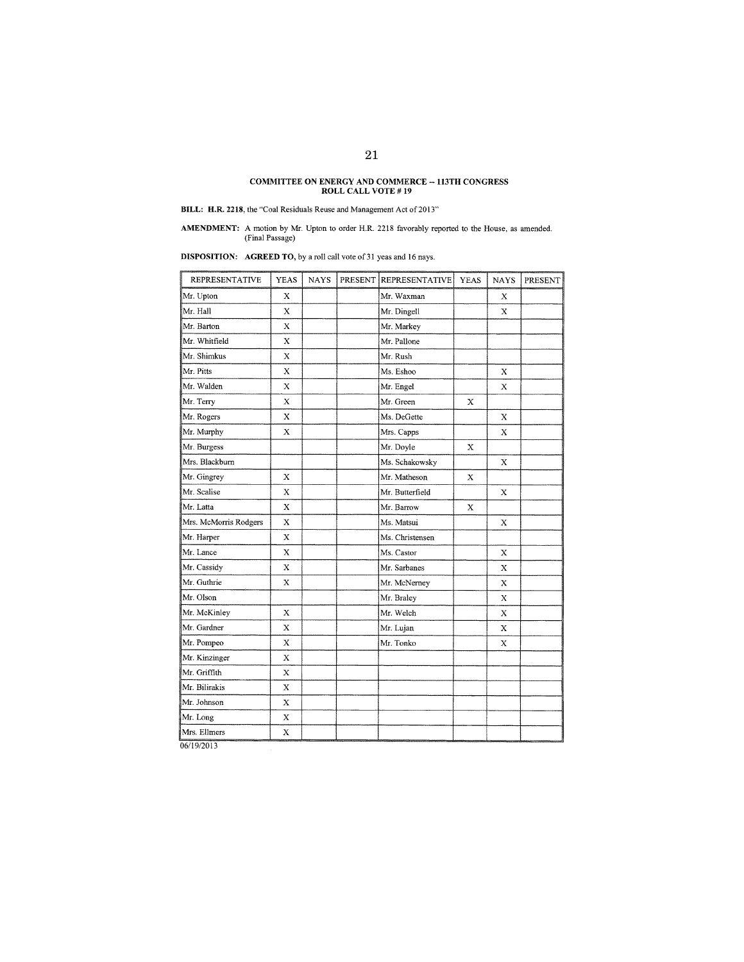# **COMMITTEE ON ENERGY AND COMMERCE -- 113TR CONGRESS ROLL CALL VOTE # 19**

**BILL: H.R. 2218**, the "Coal Residuals Reuse and Management Act of 2013"

**AMENDMENT:** A motion by Mr. Upton to order H.R. 2218 favorably reported to the House, as amended. (Final Passage)

**DISPOSITION:** AGREED TO, by a roll call vote of 31 yeas and 16 nays.

| <b>REPRESENTATIVE</b> | <b>YEAS</b> | <b>NAYS</b> | PRESENT | <b>REPRESENTATIVE</b> | <b>YEAS</b> | <b>NAYS</b>  | PRESENT |
|-----------------------|-------------|-------------|---------|-----------------------|-------------|--------------|---------|
| Mr. Upton             | $\mathbf x$ |             |         | Mr. Waxman            |             | X            |         |
| Mr. Hall              | $\mathbf X$ |             |         | Mr. Dingell           |             | $\mathbf x$  |         |
| Mr. Barton            | $\mathbf x$ |             |         | Mr. Markey            |             |              |         |
| Mr. Whitfield         | X           |             |         | Mr. Pallone           |             |              |         |
| Mr. Shimkus           | $\mathbf X$ |             |         | Mr. Rush              |             |              |         |
| Mr. Pitts             | $\mathbf x$ |             |         | Ms. Eshoo             |             | X            |         |
| Mr. Walden            | $\mathbf X$ |             |         | Mr. Engel             |             | X            |         |
| Mr. Terry             | X           |             |         | Mr. Green             | X           |              |         |
| Mr. Rogers            | X           |             |         | Ms. DeGette           |             | X            |         |
| Mr. Murphy            | $\mathbf x$ |             |         | Mrs. Capps            |             | $\mathbf{x}$ |         |
| Mr. Burgess           |             |             |         | Mr. Doyle             | X           |              |         |
| Mrs. Blackburn        |             |             |         | Ms. Schakowsky        |             | X            |         |
| Mr. Gingrey           | X           |             |         | Mr. Matheson          | X           |              |         |
| Mr. Scalise           | х           |             |         | Mr. Butterfield       |             | Х            |         |
| Mr. Latta             | $\mathbf x$ |             |         | Mr. Barrow            | X           |              |         |
| Mrs. McMorris Rodgers | X           |             |         | Ms. Matsui            |             | X            |         |
| Mr. Harper            | $\mathbf X$ |             |         | Ms. Christensen       |             |              |         |
| Mr. Lance             | $\mathbf x$ |             |         | Ms. Castor            |             | X            |         |
| Mr. Cassidy           | $\mathbf x$ |             |         | Mr. Sarbanes          |             | X            |         |
| Mr. Guthrie           | $\mathbf x$ |             |         | Mr. McNerney          |             | X            |         |
| Mr. Olson             |             |             |         | Mr. Braley            |             | X            |         |
| Mr. McKinley          | X           |             |         | Mr. Welch             |             | X            |         |
| Mr. Gardner           | X           |             |         | Mr. Lujan             |             | X            |         |
| Mr. Pompeo            | X           |             |         | Mr. Tonko             |             | X            |         |
| Mr. Kinzinger         | X           |             |         |                       |             |              |         |
| Mr. Griffith          | X           |             |         |                       |             |              |         |
| Mr. Bilirakis         | X           |             |         |                       |             |              |         |
| Mr. Johnson           | X           |             |         |                       |             |              |         |
| Mr. Long              | х           |             |         |                       |             |              |         |
| Mrs. Ellmers          | $\bf{X}$    |             |         |                       |             |              |         |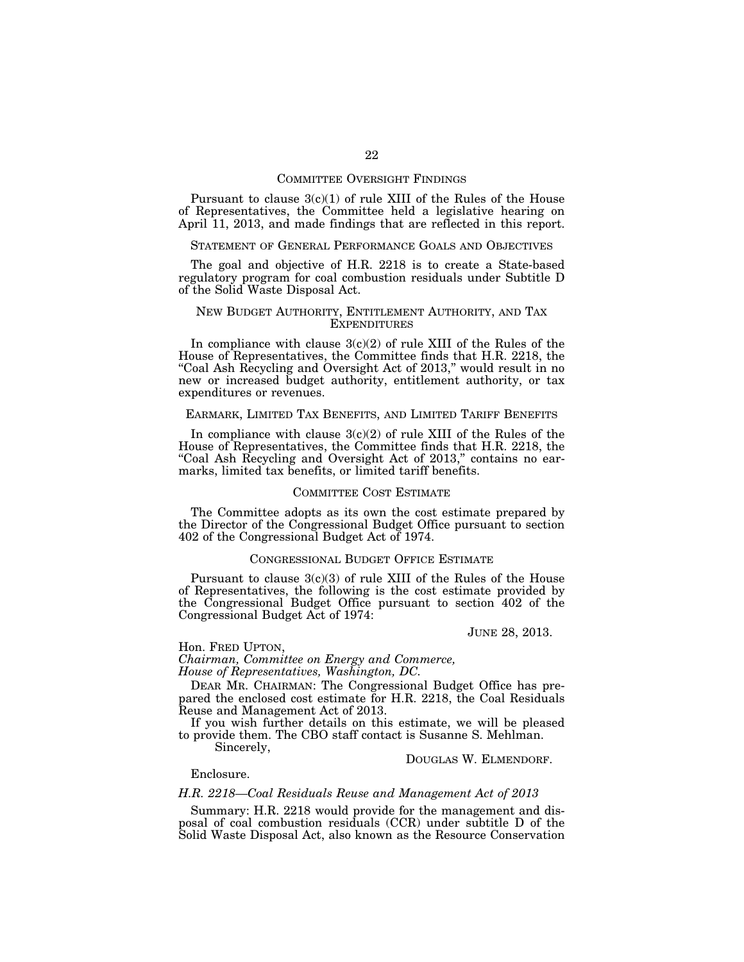## COMMITTEE OVERSIGHT FINDINGS

Pursuant to clause  $3(c)(1)$  of rule XIII of the Rules of the House of Representatives, the Committee held a legislative hearing on April 11, 2013, and made findings that are reflected in this report.

## STATEMENT OF GENERAL PERFORMANCE GOALS AND OBJECTIVES

The goal and objective of H.R. 2218 is to create a State-based regulatory program for coal combustion residuals under Subtitle D of the Solid Waste Disposal Act.

## NEW BUDGET AUTHORITY, ENTITLEMENT AUTHORITY, AND TAX EXPENDITURES

In compliance with clause  $3(c)(2)$  of rule XIII of the Rules of the House of Representatives, the Committee finds that H.R. 2218, the "Coal Ash Recycling and Oversight Act of 2013," would result in no new or increased budget authority, entitlement authority, or tax expenditures or revenues.

# EARMARK, LIMITED TAX BENEFITS, AND LIMITED TARIFF BENEFITS

In compliance with clause  $3(c)(2)$  of rule XIII of the Rules of the House of Representatives, the Committee finds that H.R. 2218, the "Coal Ash Recycling and Oversight Act of 2013," contains no earmarks, limited tax benefits, or limited tariff benefits.

# COMMITTEE COST ESTIMATE

The Committee adopts as its own the cost estimate prepared by the Director of the Congressional Budget Office pursuant to section 402 of the Congressional Budget Act of 1974.

## CONGRESSIONAL BUDGET OFFICE ESTIMATE

Pursuant to clause 3(c)(3) of rule XIII of the Rules of the House of Representatives, the following is the cost estimate provided by the Congressional Budget Office pursuant to section 402 of the Congressional Budget Act of 1974:

### JUNE 28, 2013.

Hon. FRED UPTON,

*Chairman, Committee on Energy and Commerce, House of Representatives, Washington, DC.* 

DEAR MR. CHAIRMAN: The Congressional Budget Office has prepared the enclosed cost estimate for H.R. 2218, the Coal Residuals Reuse and Management Act of 2013.

If you wish further details on this estimate, we will be pleased to provide them. The CBO staff contact is Susanne S. Mehlman.

Sincerely,

## DOUGLAS W. ELMENDORF.

Enclosure.

# *H.R. 2218—Coal Residuals Reuse and Management Act of 2013*

Summary: H.R. 2218 would provide for the management and disposal of coal combustion residuals (CCR) under subtitle D of the Solid Waste Disposal Act, also known as the Resource Conservation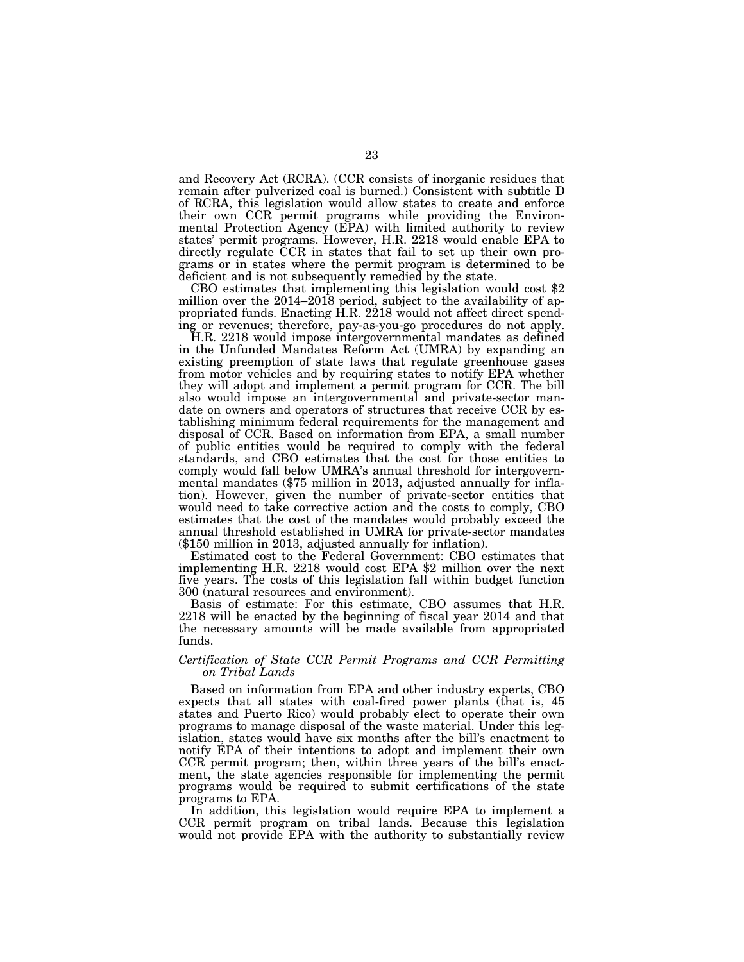and Recovery Act (RCRA). (CCR consists of inorganic residues that remain after pulverized coal is burned.) Consistent with subtitle D of RCRA, this legislation would allow states to create and enforce their own CCR permit programs while providing the Environmental Protection Agency (EPA) with limited authority to review states' permit programs. However, H.R. 2218 would enable EPA to directly regulate CCR in states that fail to set up their own programs or in states where the permit program is determined to be

CBO estimates that implementing this legislation would cost  $$2$ million over the 2014–2018 period, subject to the availability of appropriated funds. Enacting H.R. 2218 would not affect direct spending or revenues; therefore, pay-as-you-go procedures do not apply.

H.R. 2218 would impose intergovernmental mandates as defined in the Unfunded Mandates Reform Act (UMRA) by expanding an existing preemption of state laws that regulate greenhouse gases from motor vehicles and by requiring states to notify EPA whether they will adopt and implement a permit program for CCR. The bill also would impose an intergovernmental and private-sector mandate on owners and operators of structures that receive CCR by establishing minimum federal requirements for the management and disposal of CCR. Based on information from EPA, a small number of public entities would be required to comply with the federal standards, and CBO estimates that the cost for those entities to comply would fall below UMRA's annual threshold for intergovernmental mandates (\$75 million in 2013, adjusted annually for inflation). However, given the number of private-sector entities that would need to take corrective action and the costs to comply, CBO estimates that the cost of the mandates would probably exceed the annual threshold established in UMRA for private-sector mandates (\$150 million in 2013, adjusted annually for inflation).

Estimated cost to the Federal Government: CBO estimates that implementing H.R. 2218 would cost EPA \$2 million over the next five years. The costs of this legislation fall within budget function 300 (natural resources and environment).

Basis of estimate: For this estimate, CBO assumes that H.R. 2218 will be enacted by the beginning of fiscal year 2014 and that the necessary amounts will be made available from appropriated funds.

# *Certification of State CCR Permit Programs and CCR Permitting on Tribal Lands*

Based on information from EPA and other industry experts, CBO expects that all states with coal-fired power plants (that is, 45) states and Puerto Rico) would probably elect to operate their own programs to manage disposal of the waste material. Under this legislation, states would have six months after the bill's enactment to notify EPA of their intentions to adopt and implement their own CCR permit program; then, within three years of the bill's enactment, the state agencies responsible for implementing the permit programs would be required to submit certifications of the state programs to EPA.

In addition, this legislation would require EPA to implement a CCR permit program on tribal lands. Because this legislation would not provide EPA with the authority to substantially review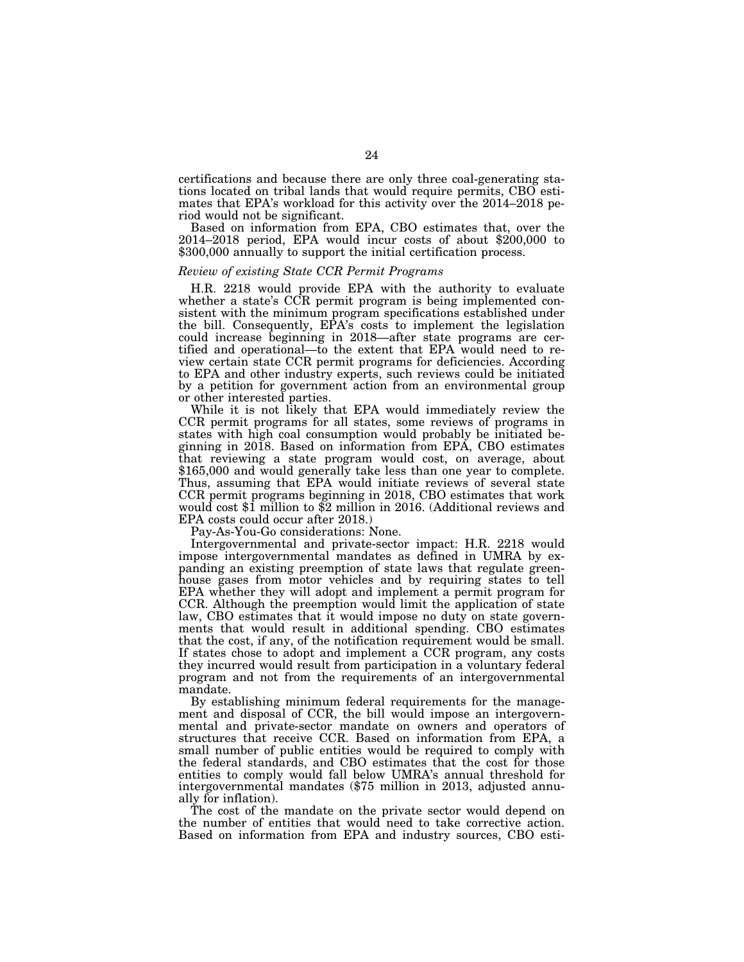certifications and because there are only three coal-generating stations located on tribal lands that would require permits, CBO estimates that EPA's workload for this activity over the 2014–2018 period would not be significant.

Based on information from EPA, CBO estimates that, over the 2014–2018 period, EPA would incur costs of about \$200,000 to \$300,000 annually to support the initial certification process.

# *Review of existing State CCR Permit Programs*

H.R. 2218 would provide EPA with the authority to evaluate whether a state's CCR permit program is being implemented consistent with the minimum program specifications established under the bill. Consequently, EPA's costs to implement the legislation could increase beginning in 2018—after state programs are certified and operational—to the extent that EPA would need to review certain state CCR permit programs for deficiencies. According to EPA and other industry experts, such reviews could be initiated by a petition for government action from an environmental group or other interested parties.

While it is not likely that EPA would immediately review the CCR permit programs for all states, some reviews of programs in states with high coal consumption would probably be initiated beginning in 2018. Based on information from EPA, CBO estimates that reviewing a state program would cost, on average, about \$165,000 and would generally take less than one year to complete. Thus, assuming that EPA would initiate reviews of several state CCR permit programs beginning in 2018, CBO estimates that work would cost \$1 million to \$2 million in 2016. (Additional reviews and EPA costs could occur after 2018.)

Pay-As-You-Go considerations: None.

Intergovernmental and private-sector impact: H.R. 2218 would impose intergovernmental mandates as defined in UMRA by expanding an existing preemption of state laws that regulate greenhouse gases from motor vehicles and by requiring states to tell EPA whether they will adopt and implement a permit program for CCR. Although the preemption would limit the application of state law, CBO estimates that it would impose no duty on state governments that would result in additional spending. CBO estimates that the cost, if any, of the notification requirement would be small. If states chose to adopt and implement a CCR program, any costs they incurred would result from participation in a voluntary federal program and not from the requirements of an intergovernmental mandate.

By establishing minimum federal requirements for the management and disposal of CCR, the bill would impose an intergovernmental and private-sector mandate on owners and operators of structures that receive CCR. Based on information from EPA, a small number of public entities would be required to comply with the federal standards, and CBO estimates that the cost for those entities to comply would fall below UMRA's annual threshold for intergovernmental mandates (\$75 million in 2013, adjusted annually for inflation).

The cost of the mandate on the private sector would depend on the number of entities that would need to take corrective action. Based on information from EPA and industry sources, CBO esti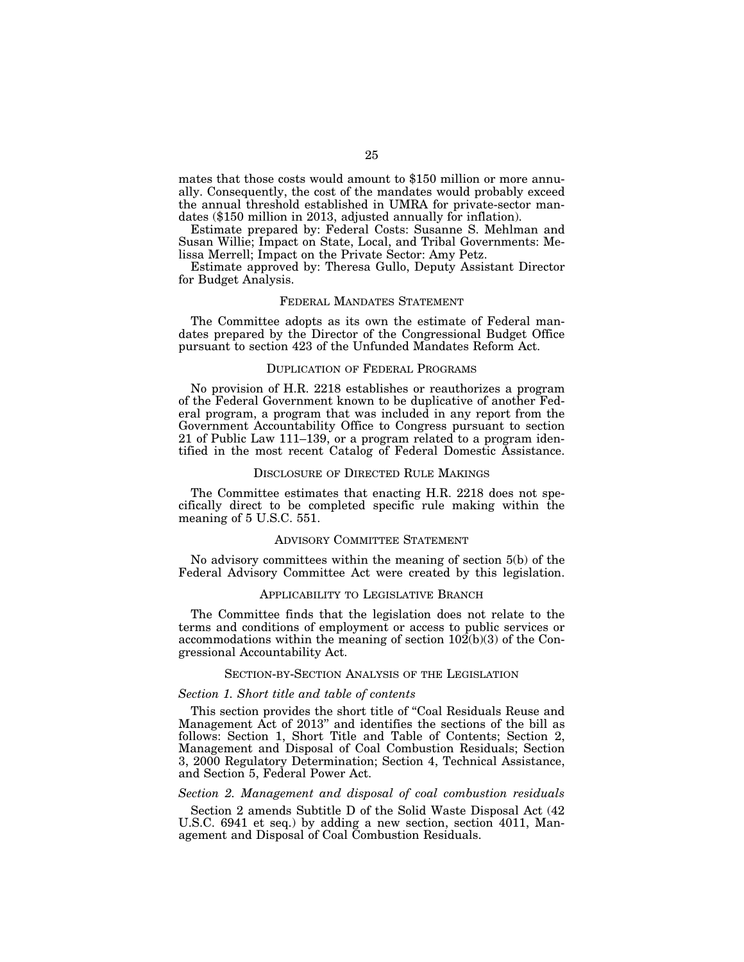mates that those costs would amount to \$150 million or more annually. Consequently, the cost of the mandates would probably exceed the annual threshold established in UMRA for private-sector mandates (\$150 million in 2013, adjusted annually for inflation).

Estimate prepared by: Federal Costs: Susanne S. Mehlman and Susan Willie; Impact on State, Local, and Tribal Governments: Melissa Merrell; Impact on the Private Sector: Amy Petz.

Estimate approved by: Theresa Gullo, Deputy Assistant Director for Budget Analysis.

## FEDERAL MANDATES STATEMENT

The Committee adopts as its own the estimate of Federal mandates prepared by the Director of the Congressional Budget Office pursuant to section 423 of the Unfunded Mandates Reform Act.

## DUPLICATION OF FEDERAL PROGRAMS

No provision of H.R. 2218 establishes or reauthorizes a program of the Federal Government known to be duplicative of another Federal program, a program that was included in any report from the Government Accountability Office to Congress pursuant to section 21 of Public Law 111–139, or a program related to a program identified in the most recent Catalog of Federal Domestic Assistance.

## DISCLOSURE OF DIRECTED RULE MAKINGS

The Committee estimates that enacting H.R. 2218 does not specifically direct to be completed specific rule making within the meaning of 5 U.S.C. 551.

## ADVISORY COMMITTEE STATEMENT

No advisory committees within the meaning of section 5(b) of the Federal Advisory Committee Act were created by this legislation.

# APPLICABILITY TO LEGISLATIVE BRANCH

The Committee finds that the legislation does not relate to the terms and conditions of employment or access to public services or accommodations within the meaning of section 102(b)(3) of the Congressional Accountability Act.

# SECTION-BY-SECTION ANALYSIS OF THE LEGISLATION

# *Section 1. Short title and table of contents*

This section provides the short title of ''Coal Residuals Reuse and Management Act of 2013'' and identifies the sections of the bill as follows: Section 1, Short Title and Table of Contents; Section 2, Management and Disposal of Coal Combustion Residuals; Section 3, 2000 Regulatory Determination; Section 4, Technical Assistance, and Section 5, Federal Power Act.

# *Section 2. Management and disposal of coal combustion residuals*

Section 2 amends Subtitle D of the Solid Waste Disposal Act (42 U.S.C. 6941 et seq.) by adding a new section, section 4011, Management and Disposal of Coal Combustion Residuals.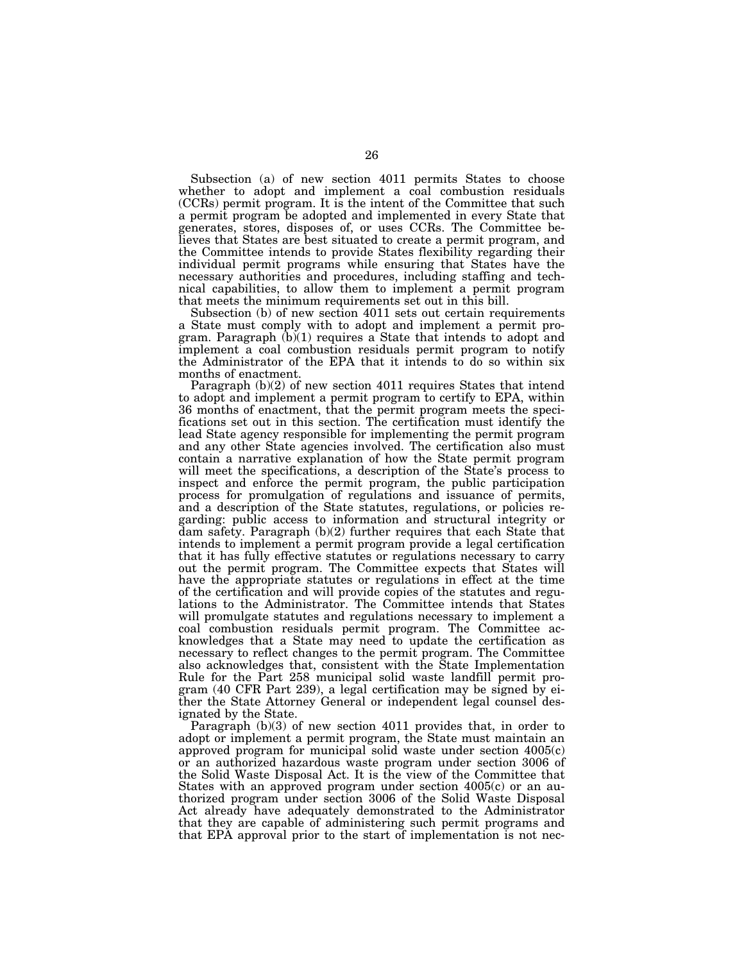Subsection (a) of new section 4011 permits States to choose whether to adopt and implement a coal combustion residuals (CCRs) permit program. It is the intent of the Committee that such a permit program be adopted and implemented in every State that generates, stores, disposes of, or uses CCRs. The Committee believes that States are best situated to create a permit program, and the Committee intends to provide States flexibility regarding their individual permit programs while ensuring that States have the necessary authorities and procedures, including staffing and technical capabilities, to allow them to implement a permit program that meets the minimum requirements set out in this bill.

Subsection (b) of new section 4011 sets out certain requirements a State must comply with to adopt and implement a permit program. Paragraph (b)(1) requires a State that intends to adopt and implement a coal combustion residuals permit program to notify the Administrator of the EPA that it intends to do so within six months of enactment.

Paragraph (b)(2) of new section 4011 requires States that intend to adopt and implement a permit program to certify to EPA, within 36 months of enactment, that the permit program meets the specifications set out in this section. The certification must identify the lead State agency responsible for implementing the permit program and any other State agencies involved. The certification also must contain a narrative explanation of how the State permit program will meet the specifications, a description of the State's process to inspect and enforce the permit program, the public participation process for promulgation of regulations and issuance of permits, and a description of the State statutes, regulations, or policies regarding: public access to information and structural integrity or dam safety. Paragraph (b)(2) further requires that each State that intends to implement a permit program provide a legal certification that it has fully effective statutes or regulations necessary to carry out the permit program. The Committee expects that States will have the appropriate statutes or regulations in effect at the time of the certification and will provide copies of the statutes and regulations to the Administrator. The Committee intends that States will promulgate statutes and regulations necessary to implement a coal combustion residuals permit program. The Committee acknowledges that a State may need to update the certification as necessary to reflect changes to the permit program. The Committee also acknowledges that, consistent with the State Implementation Rule for the Part 258 municipal solid waste landfill permit program (40 CFR Part 239), a legal certification may be signed by either the State Attorney General or independent legal counsel designated by the State.

Paragraph (b)(3) of new section 4011 provides that, in order to adopt or implement a permit program, the State must maintain an approved program for municipal solid waste under section 4005(c) or an authorized hazardous waste program under section 3006 of the Solid Waste Disposal Act. It is the view of the Committee that States with an approved program under section 4005(c) or an authorized program under section 3006 of the Solid Waste Disposal Act already have adequately demonstrated to the Administrator that they are capable of administering such permit programs and that EPA approval prior to the start of implementation is not nec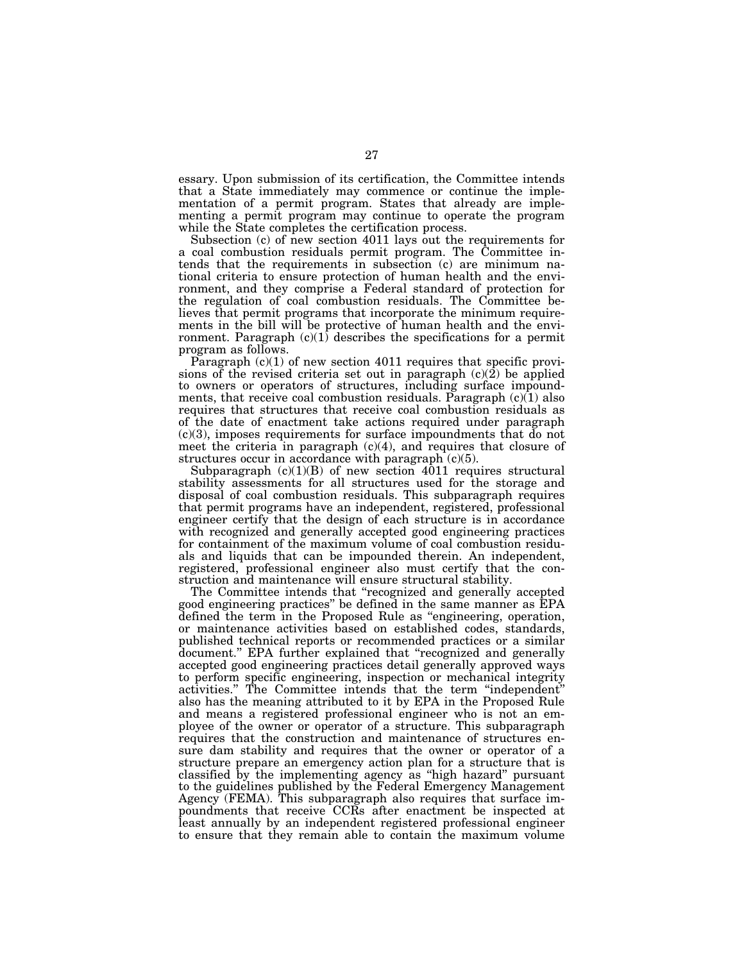essary. Upon submission of its certification, the Committee intends that a State immediately may commence or continue the implementation of a permit program. States that already are implementing a permit program may continue to operate the program while the State completes the certification process.

Subsection (c) of new section 4011 lays out the requirements for a coal combustion residuals permit program. The Committee intends that the requirements in subsection (c) are minimum national criteria to ensure protection of human health and the environment, and they comprise a Federal standard of protection for the regulation of coal combustion residuals. The Committee believes that permit programs that incorporate the minimum requirements in the bill will be protective of human health and the environment. Paragraph  $(c)(1)$  describes the specifications for a permit program as follows.

Paragraph  $(c)(1)$  of new section 4011 requires that specific provisions of the revised criteria set out in paragraph (c)(2) be applied to owners or operators of structures, including surface impoundments, that receive coal combustion residuals. Paragraph (c)(1) also requires that structures that receive coal combustion residuals as of the date of enactment take actions required under paragraph (c)(3), imposes requirements for surface impoundments that do not meet the criteria in paragraph  $(c)(4)$ , and requires that closure of structures occur in accordance with paragraph  $(c)(5)$ .

Subparagraph  $(c)(1)(B)$  of new section 4011 requires structural stability assessments for all structures used for the storage and disposal of coal combustion residuals. This subparagraph requires that permit programs have an independent, registered, professional engineer certify that the design of each structure is in accordance with recognized and generally accepted good engineering practices for containment of the maximum volume of coal combustion residuals and liquids that can be impounded therein. An independent, registered, professional engineer also must certify that the construction and maintenance will ensure structural stability.

The Committee intends that ''recognized and generally accepted good engineering practices'' be defined in the same manner as EPA defined the term in the Proposed Rule as ''engineering, operation, or maintenance activities based on established codes, standards, published technical reports or recommended practices or a similar document.'' EPA further explained that ''recognized and generally accepted good engineering practices detail generally approved ways to perform specific engineering, inspection or mechanical integrity activities.'' The Committee intends that the term ''independent'' also has the meaning attributed to it by EPA in the Proposed Rule and means a registered professional engineer who is not an employee of the owner or operator of a structure. This subparagraph requires that the construction and maintenance of structures ensure dam stability and requires that the owner or operator of a structure prepare an emergency action plan for a structure that is classified by the implementing agency as ''high hazard'' pursuant to the guidelines published by the Federal Emergency Management Agency (FEMA). This subparagraph also requires that surface impoundments that receive CCRs after enactment be inspected at least annually by an independent registered professional engineer to ensure that they remain able to contain the maximum volume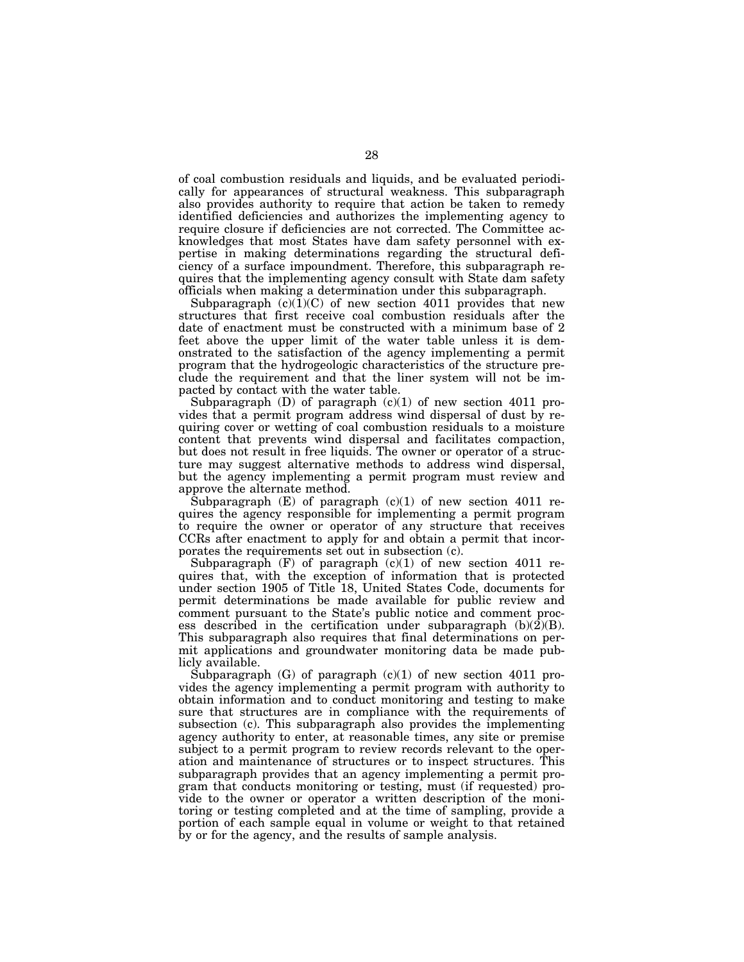of coal combustion residuals and liquids, and be evaluated periodically for appearances of structural weakness. This subparagraph also provides authority to require that action be taken to remedy identified deficiencies and authorizes the implementing agency to require closure if deficiencies are not corrected. The Committee acknowledges that most States have dam safety personnel with expertise in making determinations regarding the structural deficiency of a surface impoundment. Therefore, this subparagraph requires that the implementing agency consult with State dam safety officials when making a determination under this subparagraph.

Subparagraph  $(c)(1)(C)$  of new section 4011 provides that new structures that first receive coal combustion residuals after the date of enactment must be constructed with a minimum base of 2 feet above the upper limit of the water table unless it is demonstrated to the satisfaction of the agency implementing a permit program that the hydrogeologic characteristics of the structure preclude the requirement and that the liner system will not be impacted by contact with the water table.

Subparagraph  $(D)$  of paragraph  $(c)(1)$  of new section 4011 provides that a permit program address wind dispersal of dust by requiring cover or wetting of coal combustion residuals to a moisture content that prevents wind dispersal and facilitates compaction, but does not result in free liquids. The owner or operator of a structure may suggest alternative methods to address wind dispersal, but the agency implementing a permit program must review and approve the alternate method.

Subparagraph  $(E)$  of paragraph  $(c)(1)$  of new section 4011 requires the agency responsible for implementing a permit program to require the owner or operator of any structure that receives CCRs after enactment to apply for and obtain a permit that incorporates the requirements set out in subsection (c).

Subparagraph  $(F)$  of paragraph  $(c)(1)$  of new section 4011 requires that, with the exception of information that is protected under section 1905 of Title 18, United States Code, documents for permit determinations be made available for public review and comment pursuant to the State's public notice and comment process described in the certification under subparagraph  $(b)(\overline{2})(B)$ . This subparagraph also requires that final determinations on permit applications and groundwater monitoring data be made publicly available.

Subparagraph  $(G)$  of paragraph  $(c)(1)$  of new section 4011 provides the agency implementing a permit program with authority to obtain information and to conduct monitoring and testing to make sure that structures are in compliance with the requirements of subsection (c). This subparagraph also provides the implementing agency authority to enter, at reasonable times, any site or premise subject to a permit program to review records relevant to the operation and maintenance of structures or to inspect structures. This subparagraph provides that an agency implementing a permit program that conducts monitoring or testing, must (if requested) provide to the owner or operator a written description of the monitoring or testing completed and at the time of sampling, provide a portion of each sample equal in volume or weight to that retained by or for the agency, and the results of sample analysis.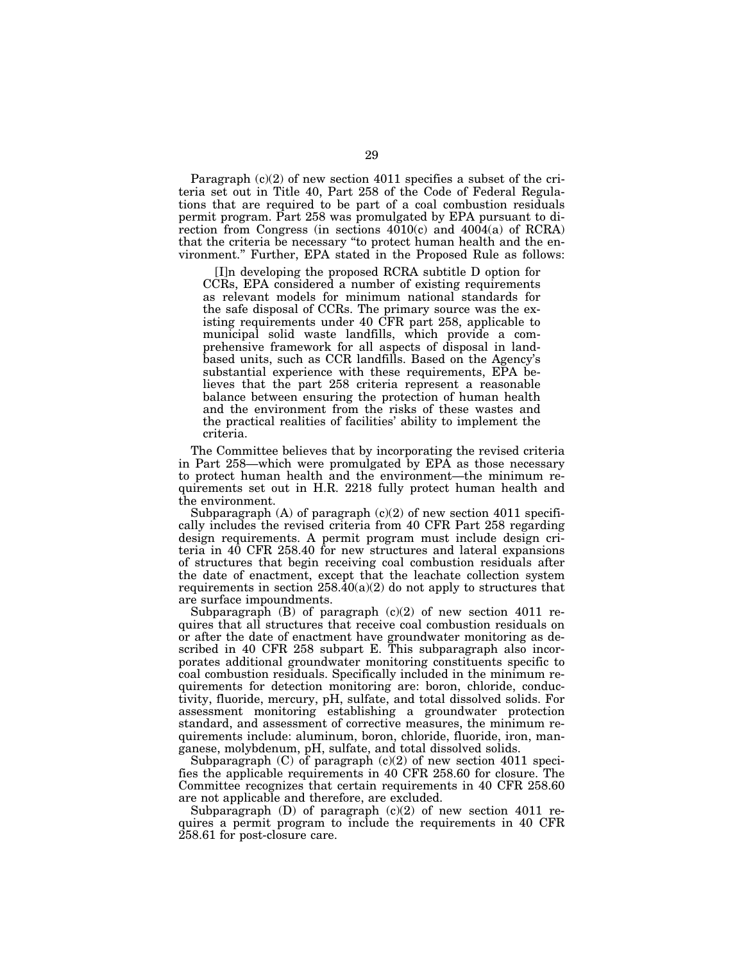Paragraph  $(c)(2)$  of new section 4011 specifies a subset of the criteria set out in Title 40, Part 258 of the Code of Federal Regulations that are required to be part of a coal combustion residuals permit program. Part 258 was promulgated by EPA pursuant to direction from Congress (in sections  $4010(c)$  and  $4004(a)$  of RCRA) that the criteria be necessary ''to protect human health and the environment.'' Further, EPA stated in the Proposed Rule as follows:

[I]n developing the proposed RCRA subtitle D option for CCRs, EPA considered a number of existing requirements as relevant models for minimum national standards for the safe disposal of CCRs. The primary source was the existing requirements under 40 CFR part 258, applicable to municipal solid waste landfills, which provide a comprehensive framework for all aspects of disposal in landbased units, such as CCR landfills. Based on the Agency's substantial experience with these requirements, EPA believes that the part 258 criteria represent a reasonable balance between ensuring the protection of human health and the environment from the risks of these wastes and the practical realities of facilities' ability to implement the criteria.

The Committee believes that by incorporating the revised criteria in Part 258—which were promulgated by EPA as those necessary to protect human health and the environment—the minimum requirements set out in H.R. 2218 fully protect human health and the environment.

Subparagraph  $(A)$  of paragraph  $(c)(2)$  of new section 4011 specifically includes the revised criteria from 40 CFR Part 258 regarding design requirements. A permit program must include design criteria in 40 CFR 258.40 for new structures and lateral expansions of structures that begin receiving coal combustion residuals after the date of enactment, except that the leachate collection system requirements in section  $258.\overline{40(a)(2)}$  do not apply to structures that are surface impoundments.

Subparagraph  $(B)$  of paragraph  $(c)(2)$  of new section 4011 requires that all structures that receive coal combustion residuals on or after the date of enactment have groundwater monitoring as described in 40 CFR 258 subpart E. This subparagraph also incorporates additional groundwater monitoring constituents specific to coal combustion residuals. Specifically included in the minimum requirements for detection monitoring are: boron, chloride, conductivity, fluoride, mercury, pH, sulfate, and total dissolved solids. For assessment monitoring establishing a groundwater protection standard, and assessment of corrective measures, the minimum requirements include: aluminum, boron, chloride, fluoride, iron, manganese, molybdenum, pH, sulfate, and total dissolved solids.

Subparagraph (C) of paragraph (c)(2) of new section 4011 specifies the applicable requirements in 40 CFR 258.60 for closure. The Committee recognizes that certain requirements in 40 CFR 258.60 are not applicable and therefore, are excluded.

Subparagraph (D) of paragraph (c)(2) of new section 4011 requires a permit program to include the requirements in 40 CFR 258.61 for post-closure care.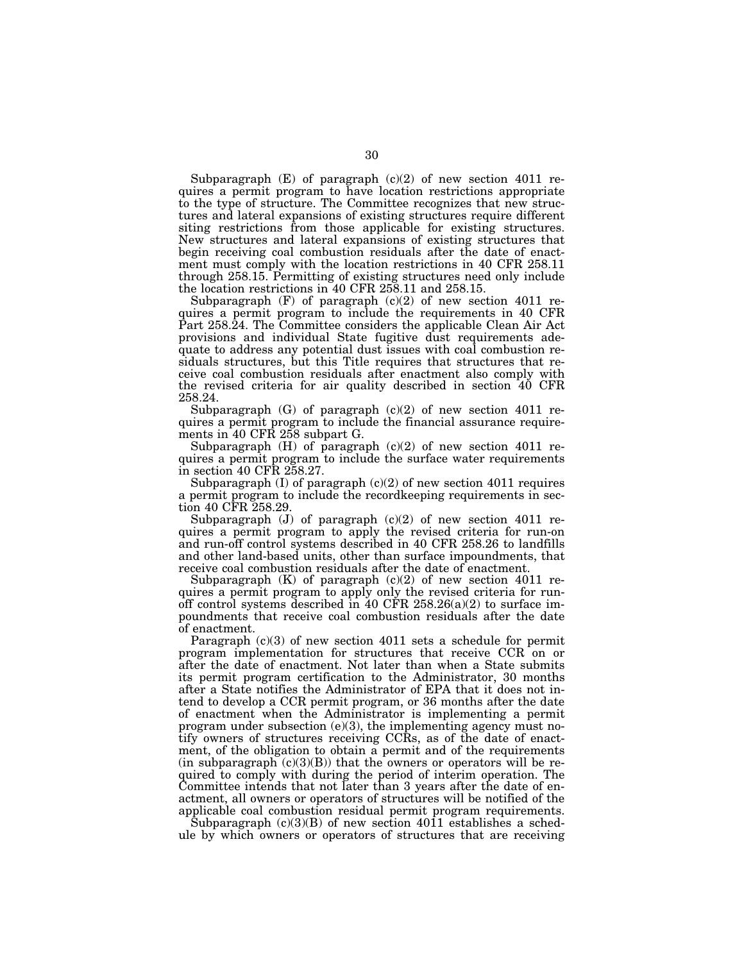Subparagraph  $(E)$  of paragraph  $(c)(2)$  of new section 4011 requires a permit program to have location restrictions appropriate to the type of structure. The Committee recognizes that new structures and lateral expansions of existing structures require different siting restrictions from those applicable for existing structures. New structures and lateral expansions of existing structures that begin receiving coal combustion residuals after the date of enactment must comply with the location restrictions in 40 CFR 258.11 through 258.15. Permitting of existing structures need only include the location restrictions in 40 CFR 258.11 and 258.15.

Subparagraph  $(F)$  of paragraph  $(c)(2)$  of new section 4011 requires a permit program to include the requirements in 40 CFR Part 258.24. The Committee considers the applicable Clean Air Act provisions and individual State fugitive dust requirements adequate to address any potential dust issues with coal combustion residuals structures, but this Title requires that structures that receive coal combustion residuals after enactment also comply with the revised criteria for air quality described in section 40 CFR 258.24.

Subparagraph  $(G)$  of paragraph  $(c)(2)$  of new section 4011 requires a permit program to include the financial assurance requirements in 40 CFR 258 subpart G.

Subparagraph (H) of paragraph (c)(2) of new section 4011 requires a permit program to include the surface water requirements in section 40 CFR 258.27.

Subparagraph  $(I)$  of paragraph  $(c)(2)$  of new section 4011 requires a permit program to include the recordkeeping requirements in section 40 CFR 258.29.

Subparagraph  $(J)$  of paragraph  $(c)(2)$  of new section 4011 requires a permit program to apply the revised criteria for run-on and run-off control systems described in 40 CFR 258.26 to landfills and other land-based units, other than surface impoundments, that receive coal combustion residuals after the date of enactment.

Subparagraph  $(K)$  of paragraph  $(c)(2)$  of new section 4011 requires a permit program to apply only the revised criteria for runoff control systems described in 40 CFR  $258.26(a)(2)$  to surface impoundments that receive coal combustion residuals after the date of enactment.

Paragraph (c)(3) of new section 4011 sets a schedule for permit program implementation for structures that receive CCR on or after the date of enactment. Not later than when a State submits its permit program certification to the Administrator, 30 months after a State notifies the Administrator of EPA that it does not intend to develop a CCR permit program, or 36 months after the date of enactment when the Administrator is implementing a permit program under subsection  $(e)(3)$ , the implementing agency must notify owners of structures receiving CCRs, as of the date of enactment, of the obligation to obtain a permit and of the requirements (in subparagraph  $(c)(3)(B)$ ) that the owners or operators will be required to comply with during the period of interim operation. The Committee intends that not later than 3 years after the date of enactment, all owners or operators of structures will be notified of the applicable coal combustion residual permit program requirements.

Subparagraph  $(c)(3)(B)$  of new section 4011 establishes a schedule by which owners or operators of structures that are receiving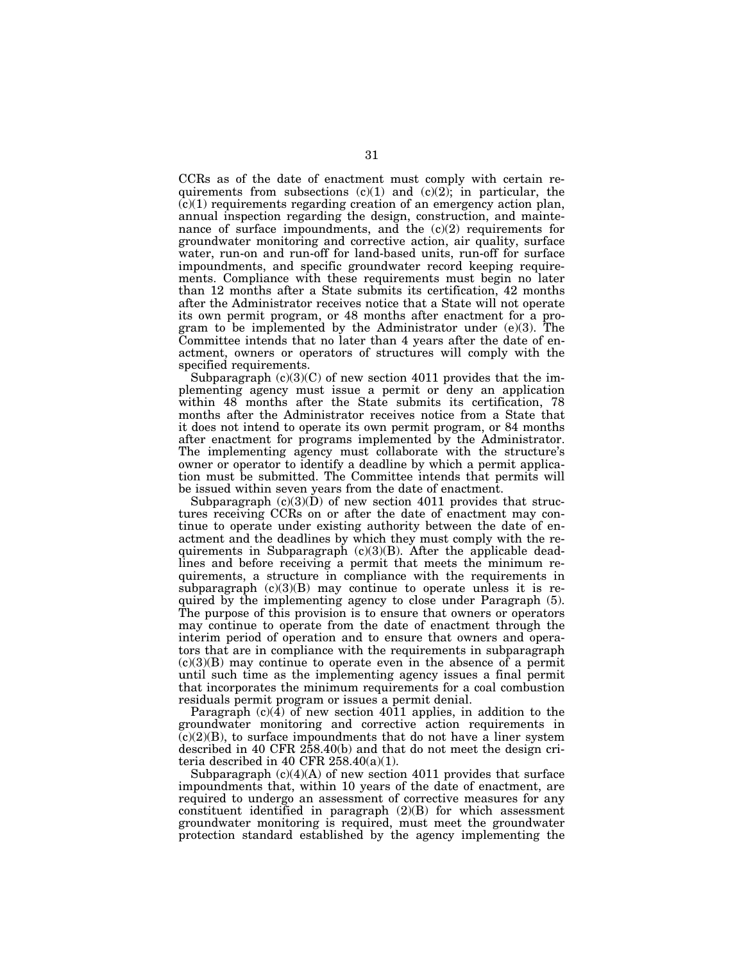CCRs as of the date of enactment must comply with certain requirements from subsections  $(c)(1)$  and  $(c)(2)$ ; in particular, the  $(c)(1)$  requirements regarding creation of an emergency action plan, annual inspection regarding the design, construction, and maintenance of surface impoundments, and the  $(c)(2)$  requirements for groundwater monitoring and corrective action, air quality, surface water, run-on and run-off for land-based units, run-off for surface impoundments, and specific groundwater record keeping requirements. Compliance with these requirements must begin no later than 12 months after a State submits its certification, 42 months after the Administrator receives notice that a State will not operate its own permit program, or 48 months after enactment for a program to be implemented by the Administrator under (e)(3). The Committee intends that no later than 4 years after the date of enactment, owners or operators of structures will comply with the specified requirements.

Subparagraph  $(c)(3)(C)$  of new section 4011 provides that the implementing agency must issue a permit or deny an application within 48 months after the State submits its certification, 78 months after the Administrator receives notice from a State that it does not intend to operate its own permit program, or 84 months after enactment for programs implemented by the Administrator. The implementing agency must collaborate with the structure's owner or operator to identify a deadline by which a permit application must be submitted. The Committee intends that permits will be issued within seven years from the date of enactment.

Subparagraph  $(c)(3)(D)$  of new section 4011 provides that structures receiving CCRs on or after the date of enactment may continue to operate under existing authority between the date of enactment and the deadlines by which they must comply with the requirements in Subparagraph  $(c)(3)(B)$ . After the applicable deadlines and before receiving a permit that meets the minimum requirements, a structure in compliance with the requirements in subparagraph  $(c)(3)(B)$  may continue to operate unless it is required by the implementing agency to close under Paragraph (5). The purpose of this provision is to ensure that owners or operators may continue to operate from the date of enactment through the interim period of operation and to ensure that owners and operators that are in compliance with the requirements in subparagraph  $(c)(3)(B)$  may continue to operate even in the absence of a permit until such time as the implementing agency issues a final permit that incorporates the minimum requirements for a coal combustion residuals permit program or issues a permit denial.

Paragraph  $(c)(4)$  of new section 4011 applies, in addition to the groundwater monitoring and corrective action requirements in  $(c)(2)(B)$ , to surface impoundments that do not have a liner system described in 40 CFR 258.40(b) and that do not meet the design criteria described in 40 CFR  $258.40(a)(1)$ .

Subparagraph  $(c)(4)(A)$  of new section 4011 provides that surface impoundments that, within 10 years of the date of enactment, are required to undergo an assessment of corrective measures for any constituent identified in paragraph  $(2)(B)$  for which assessment groundwater monitoring is required, must meet the groundwater protection standard established by the agency implementing the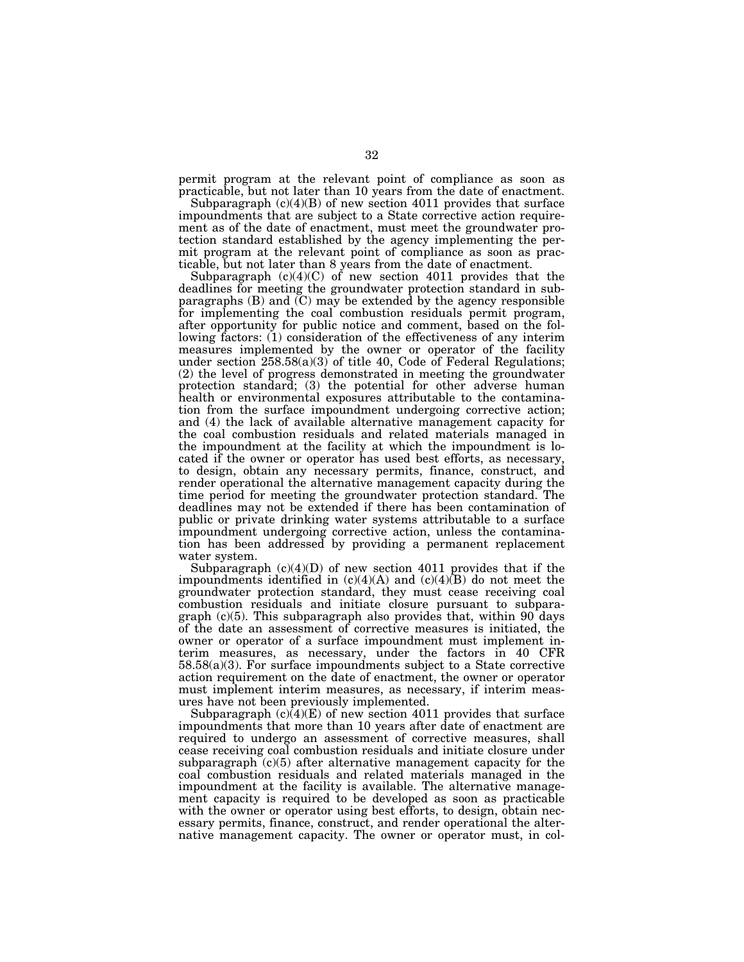permit program at the relevant point of compliance as soon as practicable, but not later than 10 years from the date of enactment.

Subparagraph  $(c)(4)(B)$  of new section 4011 provides that surface impoundments that are subject to a State corrective action requirement as of the date of enactment, must meet the groundwater protection standard established by the agency implementing the permit program at the relevant point of compliance as soon as practicable, but not later than 8 years from the date of enactment.

Subparagraph  $(c)(4)(C)$  of new section 4011 provides that the deadlines for meeting the groundwater protection standard in subparagraphs (B) and (C) may be extended by the agency responsible for implementing the coal combustion residuals permit program, after opportunity for public notice and comment, based on the following factors: (1) consideration of the effectiveness of any interim measures implemented by the owner or operator of the facility under section  $258.58(a)(3)$  of title 40, Code of Federal Regulations; (2) the level of progress demonstrated in meeting the groundwater protection standard; (3) the potential for other adverse human health or environmental exposures attributable to the contamination from the surface impoundment undergoing corrective action; and (4) the lack of available alternative management capacity for the coal combustion residuals and related materials managed in the impoundment at the facility at which the impoundment is located if the owner or operator has used best efforts, as necessary, to design, obtain any necessary permits, finance, construct, and render operational the alternative management capacity during the time period for meeting the groundwater protection standard. The deadlines may not be extended if there has been contamination of public or private drinking water systems attributable to a surface impoundment undergoing corrective action, unless the contamination has been addressed by providing a permanent replacement water system.

Subparagraph  $(c)(4)(D)$  of new section 4011 provides that if the impoundments identified in  $(c)(4)(A)$  and  $(c)(4)(B)$  do not meet the groundwater protection standard, they must cease receiving coal combustion residuals and initiate closure pursuant to subparagraph  $(c)(5)$ . This subparagraph also provides that, within 90 days of the date an assessment of corrective measures is initiated, the owner or operator of a surface impoundment must implement interim measures, as necessary, under the factors in 40 CFR 58.58(a)(3). For surface impoundments subject to a State corrective action requirement on the date of enactment, the owner or operator must implement interim measures, as necessary, if interim measures have not been previously implemented.

Subparagraph  $(c)(4)(E)$  of new section 4011 provides that surface impoundments that more than 10 years after date of enactment are required to undergo an assessment of corrective measures, shall cease receiving coal combustion residuals and initiate closure under subparagraph (c)(5) after alternative management capacity for the coal combustion residuals and related materials managed in the impoundment at the facility is available. The alternative management capacity is required to be developed as soon as practicable with the owner or operator using best efforts, to design, obtain necessary permits, finance, construct, and render operational the alternative management capacity. The owner or operator must, in col-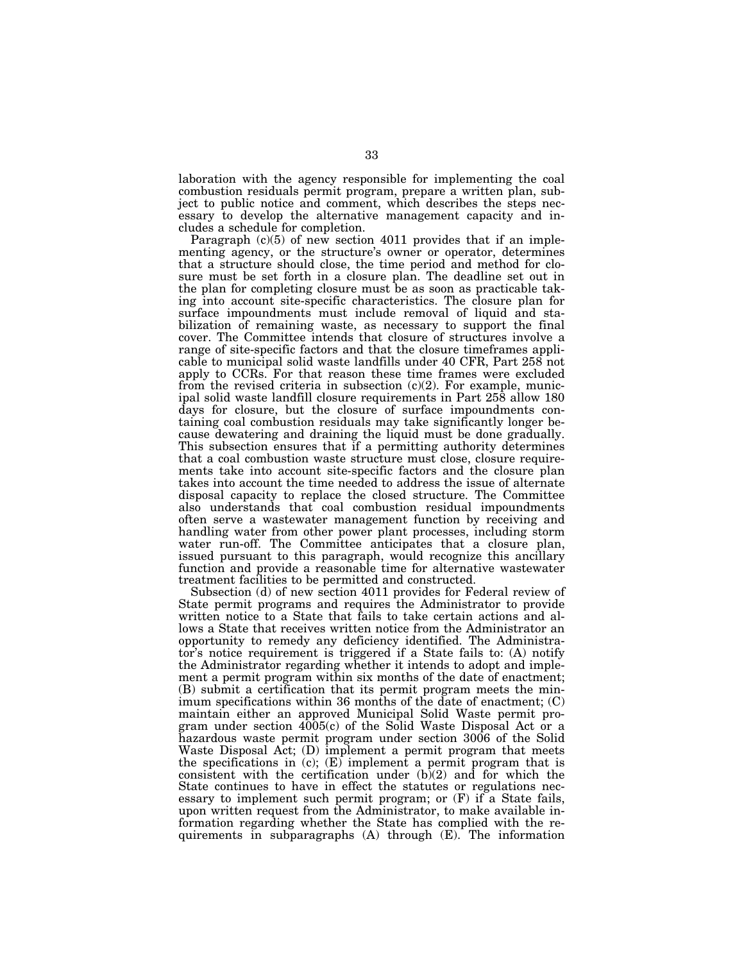laboration with the agency responsible for implementing the coal combustion residuals permit program, prepare a written plan, subject to public notice and comment, which describes the steps necessary to develop the alternative management capacity and includes a schedule for completion.

Paragraph  $(c)(5)$  of new section 4011 provides that if an implementing agency, or the structure's owner or operator, determines that a structure should close, the time period and method for closure must be set forth in a closure plan. The deadline set out in the plan for completing closure must be as soon as practicable taking into account site-specific characteristics. The closure plan for surface impoundments must include removal of liquid and stabilization of remaining waste, as necessary to support the final cover. The Committee intends that closure of structures involve a range of site-specific factors and that the closure timeframes applicable to municipal solid waste landfills under 40 CFR, Part 258 not apply to CCRs. For that reason these time frames were excluded from the revised criteria in subsection  $(c)(2)$ . For example, municipal solid waste landfill closure requirements in Part 258 allow 180 days for closure, but the closure of surface impoundments containing coal combustion residuals may take significantly longer because dewatering and draining the liquid must be done gradually. This subsection ensures that if a permitting authority determines that a coal combustion waste structure must close, closure requirements take into account site-specific factors and the closure plan takes into account the time needed to address the issue of alternate disposal capacity to replace the closed structure. The Committee also understands that coal combustion residual impoundments often serve a wastewater management function by receiving and handling water from other power plant processes, including storm water run-off. The Committee anticipates that a closure plan, issued pursuant to this paragraph, would recognize this ancillary function and provide a reasonable time for alternative wastewater treatment facilities to be permitted and constructed.

Subsection (d) of new section 4011 provides for Federal review of State permit programs and requires the Administrator to provide written notice to a State that fails to take certain actions and allows a State that receives written notice from the Administrator an opportunity to remedy any deficiency identified. The Administrator's notice requirement is triggered if a State fails to: (A) notify the Administrator regarding whether it intends to adopt and implement a permit program within six months of the date of enactment; (B) submit a certification that its permit program meets the minimum specifications within 36 months of the date of enactment; (C) maintain either an approved Municipal Solid Waste permit program under section 4005(c) of the Solid Waste Disposal Act or a hazardous waste permit program under section 3006 of the Solid Waste Disposal Act; (D) implement a permit program that meets the specifications in  $(c)$ ;  $(E)$  implement a permit program that is consistent with the certification under  $(b)(2)$  and for which the State continues to have in effect the statutes or regulations necessary to implement such permit program; or (F) if a State fails, upon written request from the Administrator, to make available information regarding whether the State has complied with the requirements in subparagraphs (A) through (E). The information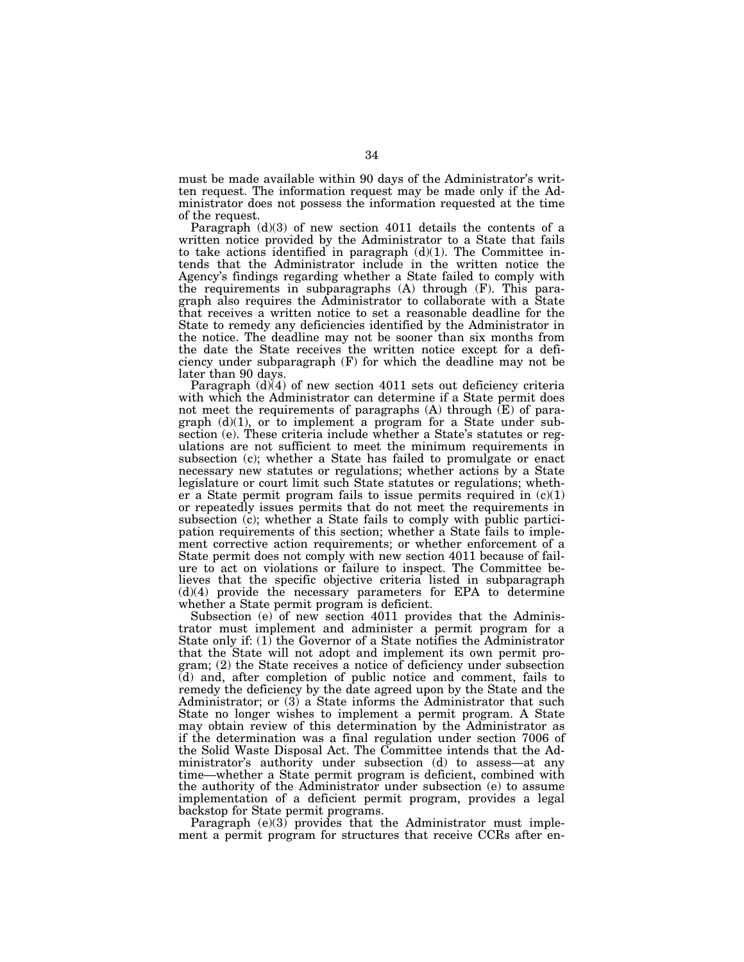must be made available within 90 days of the Administrator's written request. The information request may be made only if the Administrator does not possess the information requested at the time of the request.

Paragraph (d)(3) of new section 4011 details the contents of a written notice provided by the Administrator to a State that fails to take actions identified in paragraph  $(d)(1)$ . The Committee intends that the Administrator include in the written notice the Agency's findings regarding whether a State failed to comply with the requirements in subparagraphs (A) through (F). This paragraph also requires the Administrator to collaborate with a State that receives a written notice to set a reasonable deadline for the State to remedy any deficiencies identified by the Administrator in the notice. The deadline may not be sooner than six months from the date the State receives the written notice except for a deficiency under subparagraph (F) for which the deadline may not be later than 90 days.

Paragraph (d)(4) of new section 4011 sets out deficiency criteria with which the Administrator can determine if a State permit does not meet the requirements of paragraphs  $(A)$  through  $(E)$  of paragraph (d)(1), or to implement a program for a State under subsection (e). These criteria include whether a State's statutes or regulations are not sufficient to meet the minimum requirements in subsection (c); whether a State has failed to promulgate or enact necessary new statutes or regulations; whether actions by a State legislature or court limit such State statutes or regulations; whether a State permit program fails to issue permits required in  $(c)(1)$ or repeatedly issues permits that do not meet the requirements in subsection (c); whether a State fails to comply with public participation requirements of this section; whether a State fails to implement corrective action requirements; or whether enforcement of a State permit does not comply with new section 4011 because of failure to act on violations or failure to inspect. The Committee believes that the specific objective criteria listed in subparagraph (d)(4) provide the necessary parameters for EPA to determine whether a State permit program is deficient.

Subsection (e) of new section 4011 provides that the Administrator must implement and administer a permit program for a State only if: (1) the Governor of a State notifies the Administrator that the State will not adopt and implement its own permit program; (2) the State receives a notice of deficiency under subsection (d) and, after completion of public notice and comment, fails to remedy the deficiency by the date agreed upon by the State and the Administrator; or (3) a State informs the Administrator that such State no longer wishes to implement a permit program. A State may obtain review of this determination by the Administrator as if the determination was a final regulation under section 7006 of the Solid Waste Disposal Act. The Committee intends that the Administrator's authority under subsection (d) to assess—at any time—whether a State permit program is deficient, combined with the authority of the Administrator under subsection (e) to assume implementation of a deficient permit program, provides a legal backstop for State permit programs.

Paragraph (e)(3) provides that the Administrator must implement a permit program for structures that receive CCRs after en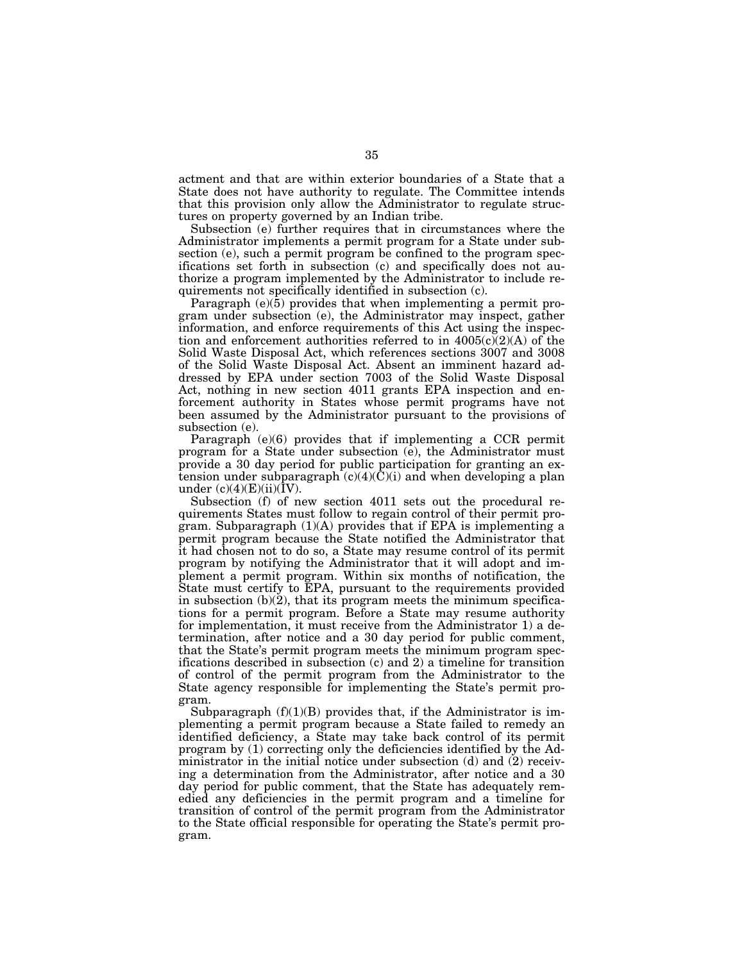actment and that are within exterior boundaries of a State that a State does not have authority to regulate. The Committee intends that this provision only allow the Administrator to regulate structures on property governed by an Indian tribe.

Subsection (e) further requires that in circumstances where the Administrator implements a permit program for a State under subsection (e), such a permit program be confined to the program specifications set forth in subsection (c) and specifically does not authorize a program implemented by the Administrator to include requirements not specifically identified in subsection (c).

Paragraph (e)(5) provides that when implementing a permit program under subsection (e), the Administrator may inspect, gather information, and enforce requirements of this Act using the inspection and enforcement authorities referred to in  $4005(c)(2)(A)$  of the Solid Waste Disposal Act, which references sections 3007 and 3008 of the Solid Waste Disposal Act. Absent an imminent hazard addressed by EPA under section 7003 of the Solid Waste Disposal Act, nothing in new section 4011 grants EPA inspection and enforcement authority in States whose permit programs have not been assumed by the Administrator pursuant to the provisions of subsection (e).

Paragraph (e)(6) provides that if implementing a CCR permit program for a State under subsection (e), the Administrator must provide a 30 day period for public participation for granting an extension under subparagraph  $(c)(4)(C)(i)$  and when developing a plan under  $(c)(4)(E)(ii)(IV)$ .

Subsection (f) of new section 4011 sets out the procedural requirements States must follow to regain control of their permit program. Subparagraph (1)(A) provides that if EPA is implementing a permit program because the State notified the Administrator that it had chosen not to do so, a State may resume control of its permit program by notifying the Administrator that it will adopt and implement a permit program. Within six months of notification, the State must certify to EPA, pursuant to the requirements provided in subsection (b)(2), that its program meets the minimum specifications for a permit program. Before a State may resume authority for implementation, it must receive from the Administrator 1) a determination, after notice and a 30 day period for public comment, that the State's permit program meets the minimum program specifications described in subsection (c) and 2) a timeline for transition of control of the permit program from the Administrator to the State agency responsible for implementing the State's permit program.

Subparagraph  $(f)(1)(B)$  provides that, if the Administrator is implementing a permit program because a State failed to remedy an identified deficiency, a State may take back control of its permit program by (1) correcting only the deficiencies identified by the Administrator in the initial notice under subsection (d) and (2) receiving a determination from the Administrator, after notice and a 30 day period for public comment, that the State has adequately remedied any deficiencies in the permit program and a timeline for transition of control of the permit program from the Administrator to the State official responsible for operating the State's permit program.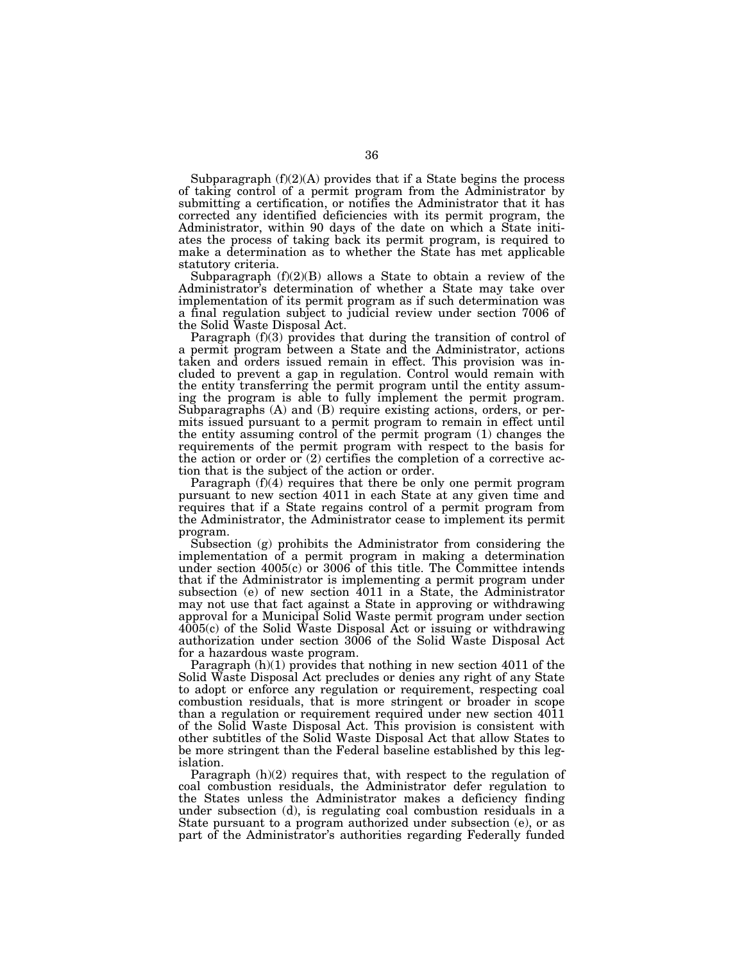Subparagraph  $(f)(2)(A)$  provides that if a State begins the process of taking control of a permit program from the Administrator by submitting a certification, or notifies the Administrator that it has corrected any identified deficiencies with its permit program, the Administrator, within 90 days of the date on which a State initiates the process of taking back its permit program, is required to make a determination as to whether the State has met applicable statutory criteria.

Subparagraph  $(f)(2)(B)$  allows a State to obtain a review of the Administrator's determination of whether a State may take over implementation of its permit program as if such determination was a final regulation subject to judicial review under section 7006 of the Solid Waste Disposal Act.

Paragraph (f)(3) provides that during the transition of control of a permit program between a State and the Administrator, actions taken and orders issued remain in effect. This provision was included to prevent a gap in regulation. Control would remain with the entity transferring the permit program until the entity assuming the program is able to fully implement the permit program. Subparagraphs (A) and (B) require existing actions, orders, or permits issued pursuant to a permit program to remain in effect until the entity assuming control of the permit program (1) changes the requirements of the permit program with respect to the basis for the action or order or (2) certifies the completion of a corrective action that is the subject of the action or order.

Paragraph (f)(4) requires that there be only one permit program pursuant to new section 4011 in each State at any given time and requires that if a State regains control of a permit program from the Administrator, the Administrator cease to implement its permit program.

Subsection (g) prohibits the Administrator from considering the implementation of a permit program in making a determination under section  $4005(c)$  or  $3006$  of this title. The Committee intends that if the Administrator is implementing a permit program under subsection (e) of new section 4011 in a State, the Administrator may not use that fact against a State in approving or withdrawing approval for a Municipal Solid Waste permit program under section 4005(c) of the Solid Waste Disposal Act or issuing or withdrawing authorization under section 3006 of the Solid Waste Disposal Act for a hazardous waste program.

Paragraph (h)(1) provides that nothing in new section 4011 of the Solid Waste Disposal Act precludes or denies any right of any State to adopt or enforce any regulation or requirement, respecting coal combustion residuals, that is more stringent or broader in scope than a regulation or requirement required under new section 4011 of the Solid Waste Disposal Act. This provision is consistent with other subtitles of the Solid Waste Disposal Act that allow States to be more stringent than the Federal baseline established by this legislation.

Paragraph (h)(2) requires that, with respect to the regulation of coal combustion residuals, the Administrator defer regulation to the States unless the Administrator makes a deficiency finding under subsection (d), is regulating coal combustion residuals in a State pursuant to a program authorized under subsection (e), or as part of the Administrator's authorities regarding Federally funded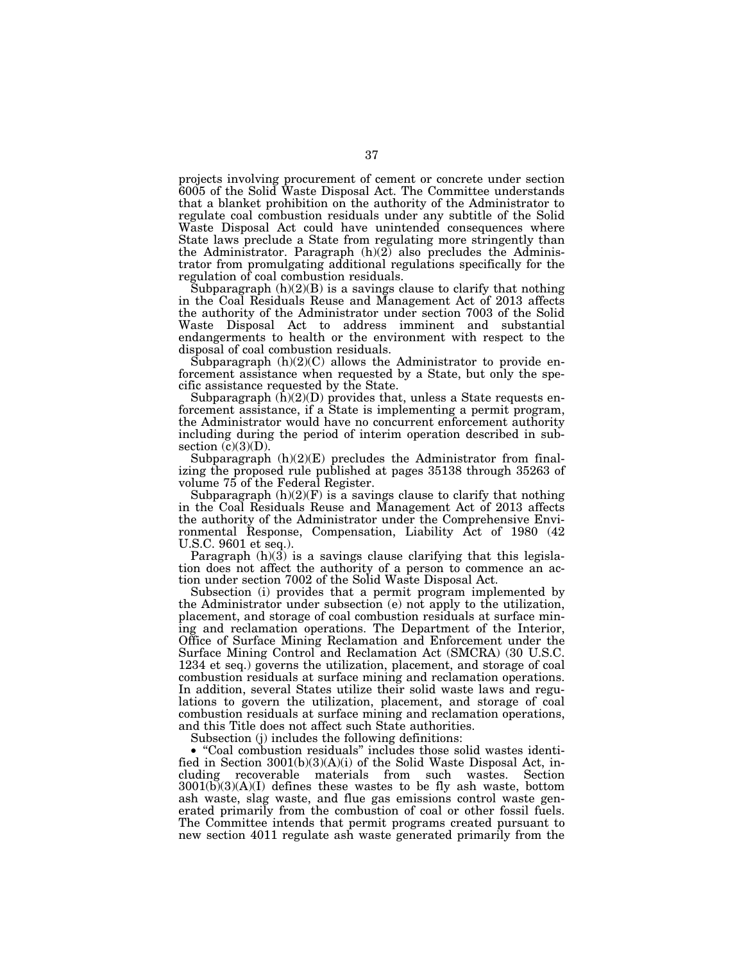projects involving procurement of cement or concrete under section 6005 of the Solid Waste Disposal Act. The Committee understands that a blanket prohibition on the authority of the Administrator to regulate coal combustion residuals under any subtitle of the Solid Waste Disposal Act could have unintended consequences where State laws preclude a State from regulating more stringently than the Administrator. Paragraph  $(h)(2)$  also precludes the Administrator from promulgating additional regulations specifically for the regulation of coal combustion residuals.

Subparagraph  $(h)(2)(B)$  is a savings clause to clarify that nothing in the Coal Residuals Reuse and Management Act of 2013 affects the authority of the Administrator under section 7003 of the Solid Waste Disposal Act to address imminent and substantial endangerments to health or the environment with respect to the disposal of coal combustion residuals.

Subparagraph  $(h)(2)(C)$  allows the Administrator to provide enforcement assistance when requested by a State, but only the specific assistance requested by the State.

Subparagraph  $(\bar{h})(2)(D)$  provides that, unless a State requests enforcement assistance, if a State is implementing a permit program, the Administrator would have no concurrent enforcement authority including during the period of interim operation described in subsection  $(c)(3)(D)$ .

Subparagraph  $(h)(2)(E)$  precludes the Administrator from finalizing the proposed rule published at pages 35138 through 35263 of volume 75 of the Federal Register.

Subparagraph  $(h)(2)(F)$  is a savings clause to clarify that nothing in the Coal Residuals Reuse and Management Act of 2013 affects the authority of the Administrator under the Comprehensive Environmental Response, Compensation, Liability Act of 1980 (42 U.S.C. 9601 et seq.).

Paragraph  $(h)(3)$  is a savings clause clarifying that this legislation does not affect the authority of a person to commence an action under section 7002 of the Solid Waste Disposal Act.

Subsection (i) provides that a permit program implemented by the Administrator under subsection (e) not apply to the utilization, placement, and storage of coal combustion residuals at surface mining and reclamation operations. The Department of the Interior, Office of Surface Mining Reclamation and Enforcement under the Surface Mining Control and Reclamation Act (SMCRA) (30 U.S.C. 1234 et seq.) governs the utilization, placement, and storage of coal combustion residuals at surface mining and reclamation operations. In addition, several States utilize their solid waste laws and regulations to govern the utilization, placement, and storage of coal combustion residuals at surface mining and reclamation operations, and this Title does not affect such State authorities.

Subsection (j) includes the following definitions:

• "Coal combustion residuals" includes those solid wastes identified in Section 3001(b)(3)(A)(i) of the Solid Waste Disposal Act, including recoverable materials from such wastes. Section 3001(b)(3)(A)(I) defines these wastes to be fly ash waste, bottom ash waste, slag waste, and flue gas emissions control waste generated primarily from the combustion of coal or other fossil fuels. The Committee intends that permit programs created pursuant to new section 4011 regulate ash waste generated primarily from the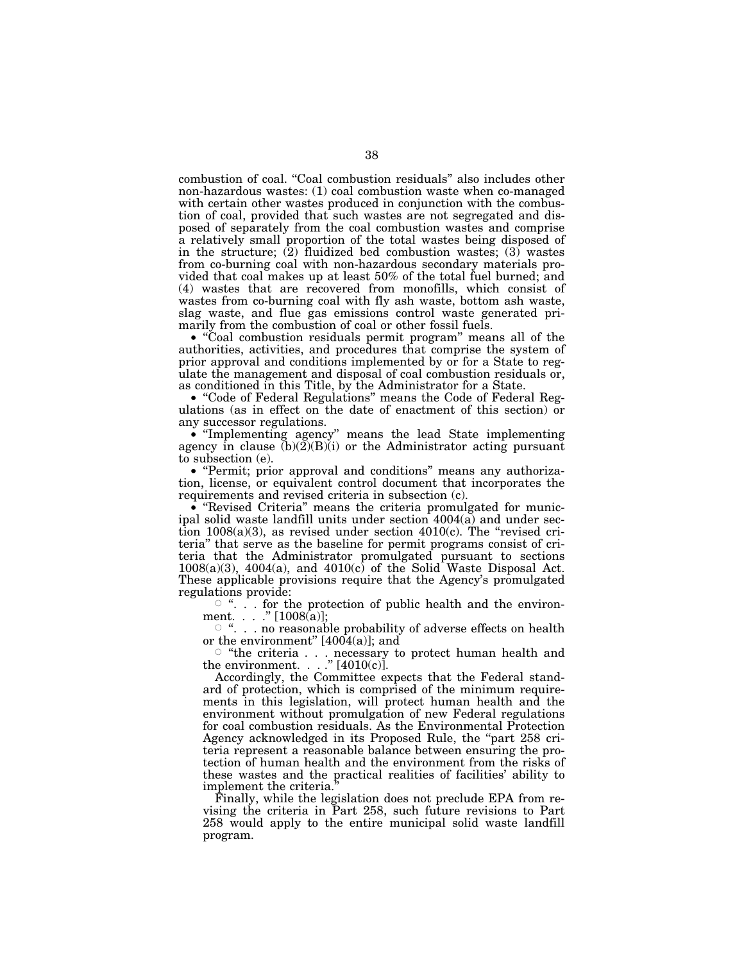combustion of coal. ''Coal combustion residuals'' also includes other non-hazardous wastes: (1) coal combustion waste when co-managed with certain other wastes produced in conjunction with the combustion of coal, provided that such wastes are not segregated and disposed of separately from the coal combustion wastes and comprise a relatively small proportion of the total wastes being disposed of in the structure;  $(2)$  fluidized bed combustion wastes;  $(3)$  wastes from co-burning coal with non-hazardous secondary materials provided that coal makes up at least 50% of the total fuel burned; and (4) wastes that are recovered from monofills, which consist of wastes from co-burning coal with fly ash waste, bottom ash waste, slag waste, and flue gas emissions control waste generated primarily from the combustion of coal or other fossil fuels.

• "Coal combustion residuals permit program" means all of the authorities, activities, and procedures that comprise the system of prior approval and conditions implemented by or for a State to regulate the management and disposal of coal combustion residuals or, as conditioned in this Title, by the Administrator for a State.

• ''Code of Federal Regulations'' means the Code of Federal Regulations (as in effect on the date of enactment of this section) or any successor regulations.

• ''Implementing agency'' means the lead State implementing agency in clause  $(b)(\tilde{2})(B)(i)$  or the Administrator acting pursuant to subsection (e).

• "Permit; prior approval and conditions" means any authorization, license, or equivalent control document that incorporates the requirements and revised criteria in subsection (c).

• "Revised Criteria" means the criteria promulgated for municipal solid waste landfill units under section 4004(a) and under section  $1008(a)(3)$ , as revised under section  $4010(c)$ . The "revised criteria'' that serve as the baseline for permit programs consist of criteria that the Administrator promulgated pursuant to sections  $1008(a)(3)$ ,  $4004(a)$ , and  $4010(c)$  of the Solid Waste Disposal Act. These applicable provisions require that the Agency's promulgated regulations provide:

 $\circ$  ". . . for the protection of public health and the environment. . . . "  $[1008(a)]$ ;

 $\circ$  ". . . no reasonable probability of adverse effects on health or the environment"  $[4004(a)]$ ; and

 $\circ$  "the criteria . . . necessary to protect human health and the environment.  $\ldots$  " [4010(c)].

Accordingly, the Committee expects that the Federal standard of protection, which is comprised of the minimum requirements in this legislation, will protect human health and the environment without promulgation of new Federal regulations for coal combustion residuals. As the Environmental Protection Agency acknowledged in its Proposed Rule, the "part 258 criteria represent a reasonable balance between ensuring the protection of human health and the environment from the risks of these wastes and the practical realities of facilities' ability to implement the criteria.''

Finally, while the legislation does not preclude EPA from revising the criteria in Part 258, such future revisions to Part 258 would apply to the entire municipal solid waste landfill program.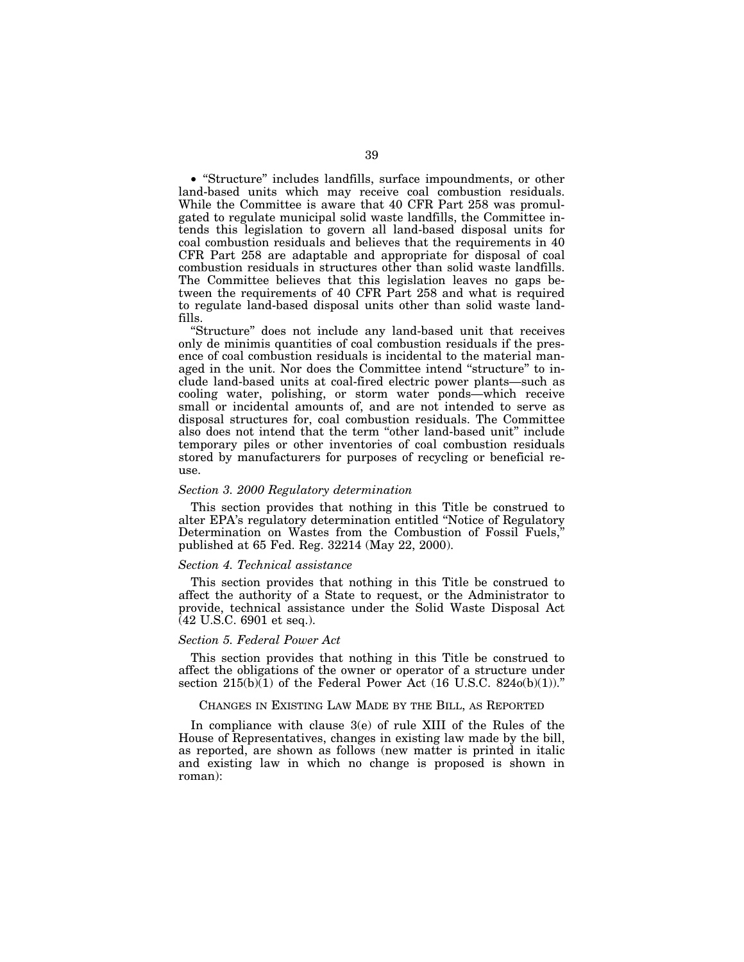• "Structure" includes landfills, surface impoundments, or other land-based units which may receive coal combustion residuals. While the Committee is aware that 40 CFR Part 258 was promulgated to regulate municipal solid waste landfills, the Committee intends this legislation to govern all land-based disposal units for coal combustion residuals and believes that the requirements in 40 CFR Part 258 are adaptable and appropriate for disposal of coal combustion residuals in structures other than solid waste landfills. The Committee believes that this legislation leaves no gaps between the requirements of 40 CFR Part 258 and what is required to regulate land-based disposal units other than solid waste landfills.

''Structure'' does not include any land-based unit that receives only de minimis quantities of coal combustion residuals if the presence of coal combustion residuals is incidental to the material managed in the unit. Nor does the Committee intend ''structure'' to include land-based units at coal-fired electric power plants—such as cooling water, polishing, or storm water ponds—which receive small or incidental amounts of, and are not intended to serve as disposal structures for, coal combustion residuals. The Committee also does not intend that the term "other land-based unit" include temporary piles or other inventories of coal combustion residuals stored by manufacturers for purposes of recycling or beneficial reuse.

## *Section 3. 2000 Regulatory determination*

This section provides that nothing in this Title be construed to alter EPA's regulatory determination entitled ''Notice of Regulatory Determination on Wastes from the Combustion of Fossil Fuels,'' published at 65 Fed. Reg. 32214 (May 22, 2000).

#### *Section 4. Technical assistance*

This section provides that nothing in this Title be construed to affect the authority of a State to request, or the Administrator to provide, technical assistance under the Solid Waste Disposal Act (42 U.S.C. 6901 et seq.).

## *Section 5. Federal Power Act*

This section provides that nothing in this Title be construed to affect the obligations of the owner or operator of a structure under section  $215(b)\overline{(1)}$  of the Federal Power Act (16 U.S.C. 824o(b)(1))."

# CHANGES IN EXISTING LAW MADE BY THE BILL, AS REPORTED

In compliance with clause 3(e) of rule XIII of the Rules of the House of Representatives, changes in existing law made by the bill, as reported, are shown as follows (new matter is printed in italic and existing law in which no change is proposed is shown in roman):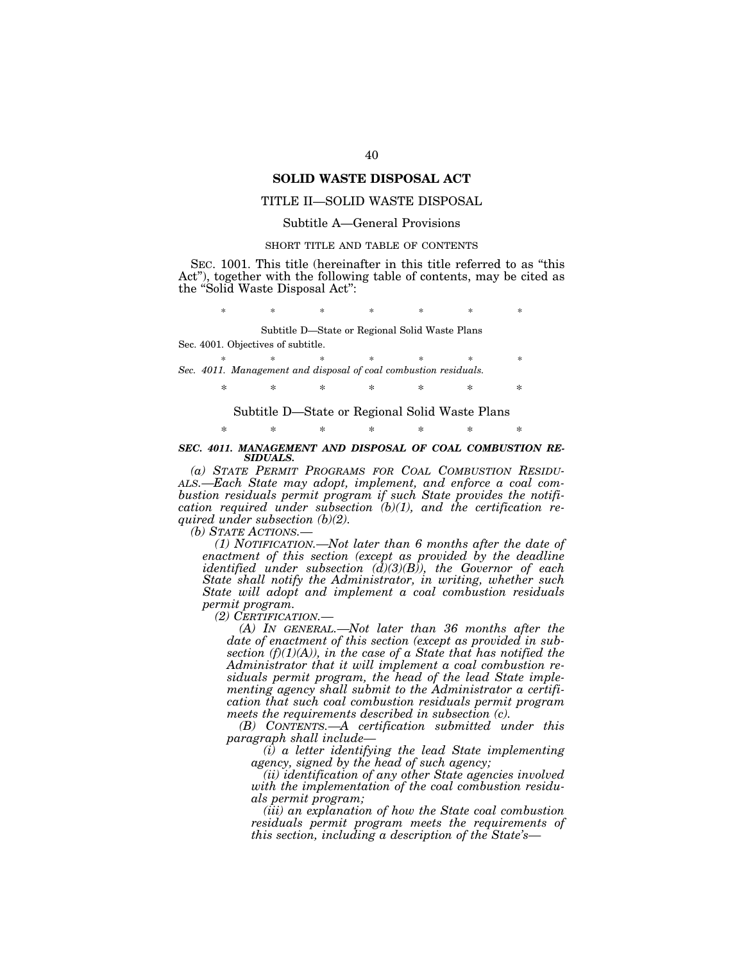# **SOLID WASTE DISPOSAL ACT**

# TITLE II—SOLID WASTE DISPOSAL

## Subtitle A—General Provisions

#### SHORT TITLE AND TABLE OF CONTENTS

SEC. 1001. This title (hereinafter in this title referred to as ''this Act''), together with the following table of contents, may be cited as the ''Solid Waste Disposal Act'':

\* \* \* \* \* \* \* \*

Subtitle D—State or Regional Solid Waste Plans

Sec. 4001. Objectives of subtitle.

\* \* \* \* \* \* \* *Sec. 4011. Management and disposal of coal combustion residuals.* 

\* \* \* \* \* \* \*

Subtitle D—State or Regional Solid Waste Plans

\* \* \* \* \* \* \*

#### *SEC. 4011. MANAGEMENT AND DISPOSAL OF COAL COMBUSTION RE-SIDUALS.*

*(a) STATE PERMIT PROGRAMS FOR COAL COMBUSTION RESIDU- ALS.—Each State may adopt, implement, and enforce a coal combustion residuals permit program if such State provides the notification required under subsection (b)(1), and the certification required under subsection (b)(2).* 

*(b) STATE ACTIONS.—* 

*(1) NOTIFICATION.—Not later than 6 months after the date of enactment of this section (except as provided by the deadline identified under subsection (d)(3)(B)), the Governor of each State shall notify the Administrator, in writing, whether such State will adopt and implement a coal combustion residuals permit program.* 

*(2) CERTIFICATION.—* 

*(A) IN GENERAL.—Not later than 36 months after the date of enactment of this section (except as provided in sub*section  $(f)(1)(A)$ , in the case of a State that has notified the *Administrator that it will implement a coal combustion residuals permit program, the head of the lead State implementing agency shall submit to the Administrator a certification that such coal combustion residuals permit program meets the requirements described in subsection (c).* 

*(B) CONTENTS.—A certification submitted under this paragraph shall include—* 

*(i) a letter identifying the lead State implementing agency, signed by the head of such agency;* 

*(ii) identification of any other State agencies involved with the implementation of the coal combustion residuals permit program;* 

*(iii) an explanation of how the State coal combustion residuals permit program meets the requirements of this section, including a description of the State's—*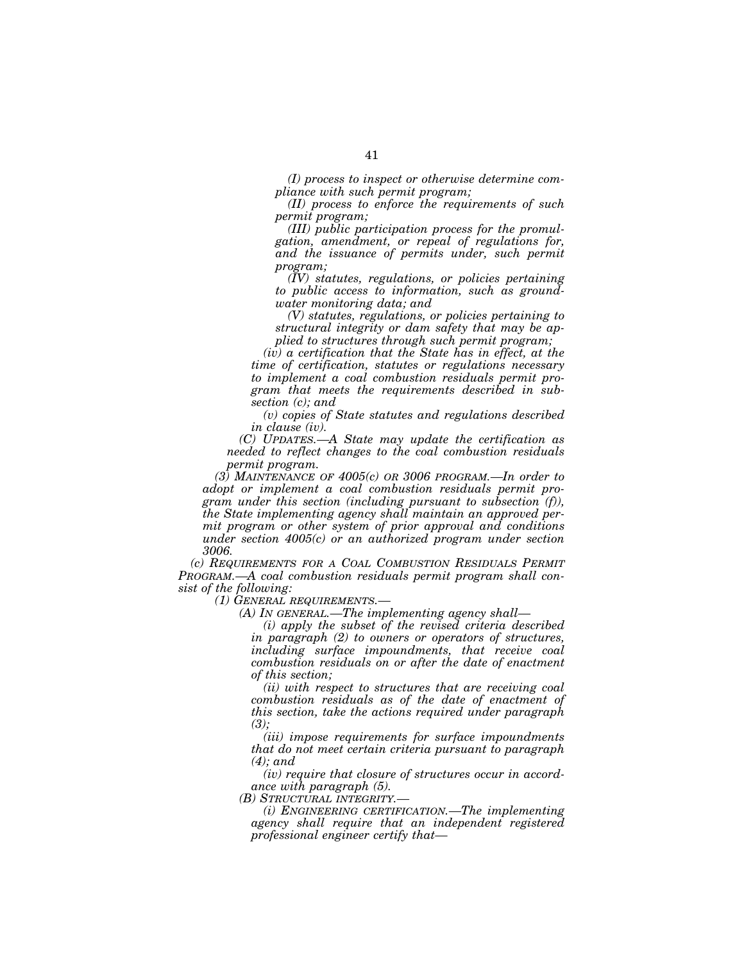*(I) process to inspect or otherwise determine compliance with such permit program;* 

*(II) process to enforce the requirements of such permit program;* 

*(III) public participation process for the promulgation, amendment, or repeal of regulations for, and the issuance of permits under, such permit program;* 

*(IV) statutes, regulations, or policies pertaining to public access to information, such as groundwater monitoring data; and* 

*(V) statutes, regulations, or policies pertaining to structural integrity or dam safety that may be applied to structures through such permit program;* 

*(iv) a certification that the State has in effect, at the time of certification, statutes or regulations necessary to implement a coal combustion residuals permit program that meets the requirements described in subsection (c); and* 

*(v) copies of State statutes and regulations described in clause (iv).* 

*(C) UPDATES.—A State may update the certification as needed to reflect changes to the coal combustion residuals permit program.* 

*(3) MAINTENANCE OF 4005(c) OR 3006 PROGRAM.—In order to adopt or implement a coal combustion residuals permit program under this section (including pursuant to subsection (f)), the State implementing agency shall maintain an approved permit program or other system of prior approval and conditions under section 4005(c) or an authorized program under section 3006.* 

*(c) REQUIREMENTS FOR A COAL COMBUSTION RESIDUALS PERMIT PROGRAM.—A coal combustion residuals permit program shall consist of the following:* 

*(1) GENERAL REQUIREMENTS.—* 

*(A) IN GENERAL.—The implementing agency shall—* 

*(i) apply the subset of the revised criteria described in paragraph (2) to owners or operators of structures, including surface impoundments, that receive coal combustion residuals on or after the date of enactment of this section;* 

*(ii) with respect to structures that are receiving coal combustion residuals as of the date of enactment of this section, take the actions required under paragraph (3);* 

*(iii) impose requirements for surface impoundments that do not meet certain criteria pursuant to paragraph (4); and* 

*(iv) require that closure of structures occur in accordance with paragraph (5).* 

*(B) STRUCTURAL INTEGRITY.—* 

*(i) ENGINEERING CERTIFICATION.—The implementing agency shall require that an independent registered professional engineer certify that—*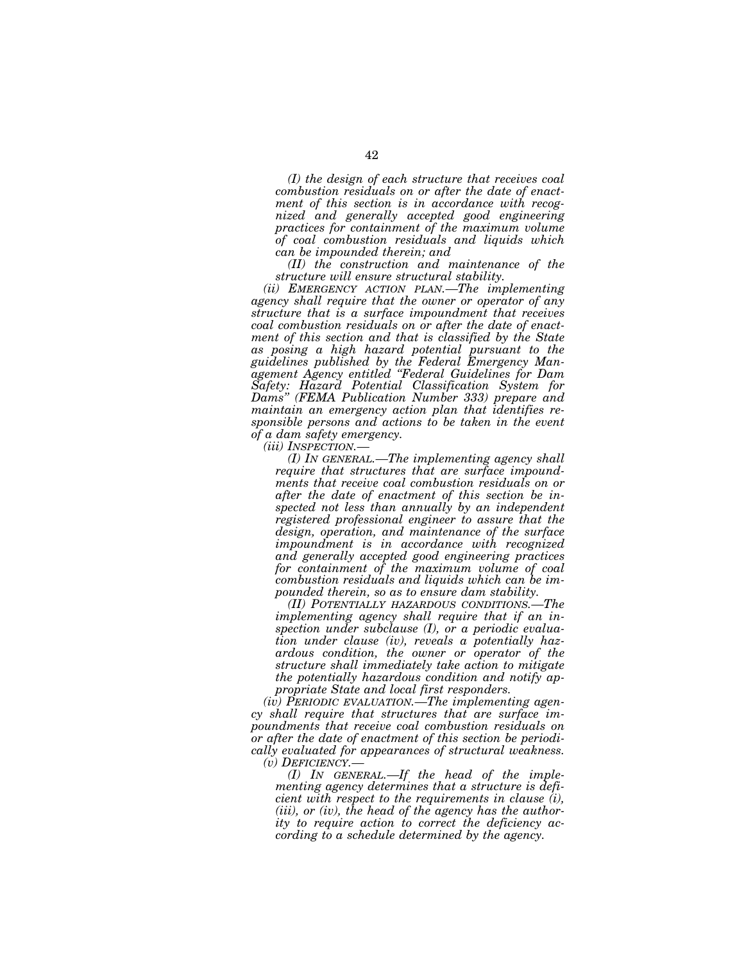*(I) the design of each structure that receives coal combustion residuals on or after the date of enactment of this section is in accordance with recognized and generally accepted good engineering practices for containment of the maximum volume of coal combustion residuals and liquids which can be impounded therein; and* 

*(II) the construction and maintenance of the structure will ensure structural stability.* 

*(ii) EMERGENCY ACTION PLAN.—The implementing agency shall require that the owner or operator of any structure that is a surface impoundment that receives coal combustion residuals on or after the date of enactment of this section and that is classified by the State as posing a high hazard potential pursuant to the guidelines published by the Federal Emergency Management Agency entitled ''Federal Guidelines for Dam Safety: Hazard Potential Classification System for Dams'' (FEMA Publication Number 333) prepare and maintain an emergency action plan that identifies responsible persons and actions to be taken in the event of a dam safety emergency.* 

*(I) IN GENERAL.—The implementing agency shall require that structures that are surface impoundments that receive coal combustion residuals on or after the date of enactment of this section be inspected not less than annually by an independent registered professional engineer to assure that the design, operation, and maintenance of the surface impoundment is in accordance with recognized and generally accepted good engineering practices for containment of the maximum volume of coal combustion residuals and liquids which can be impounded therein, so as to ensure dam stability.* 

*(II) POTENTIALLY HAZARDOUS CONDITIONS.—The implementing agency shall require that if an inspection under subclause (I), or a periodic evaluation under clause (iv), reveals a potentially hazardous condition, the owner or operator of the structure shall immediately take action to mitigate the potentially hazardous condition and notify appropriate State and local first responders.* 

*(iv) PERIODIC EVALUATION.—The implementing agency shall require that structures that are surface impoundments that receive coal combustion residuals on or after the date of enactment of this section be periodically evaluated for appearances of structural weakness.* 

*(v) DEFICIENCY.— (I) IN GENERAL.—If the head of the implementing agency determines that a structure is deficient with respect to the requirements in clause (i), (iii), or (iv), the head of the agency has the authority to require action to correct the deficiency according to a schedule determined by the agency.*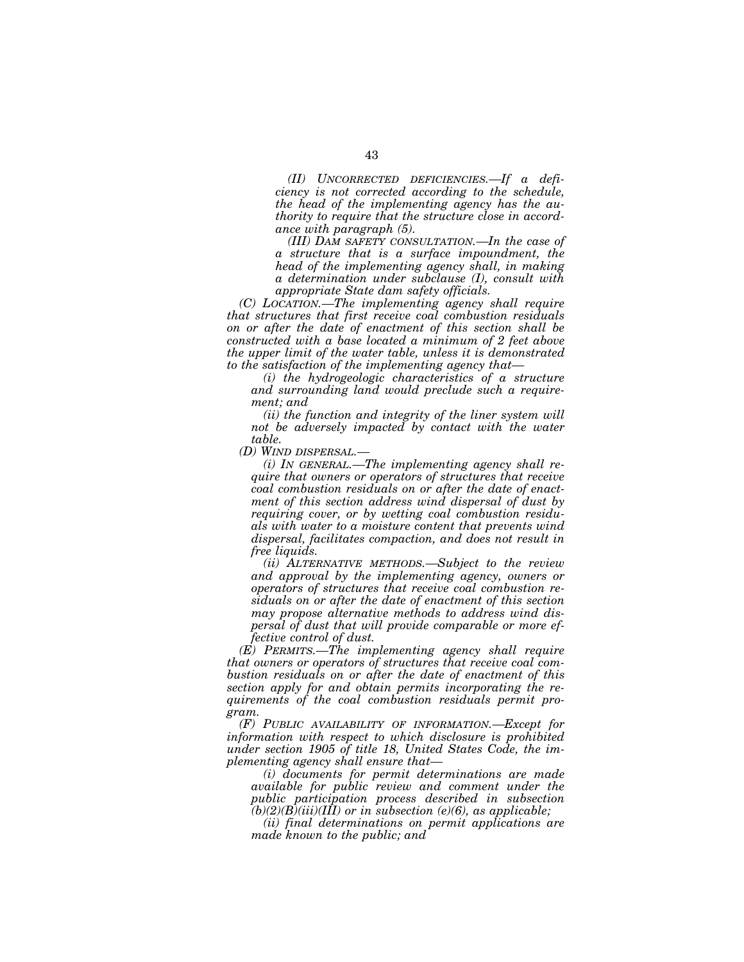*(II) UNCORRECTED DEFICIENCIES.—If a deficiency is not corrected according to the schedule, the head of the implementing agency has the authority to require that the structure close in accordance with paragraph (5).* 

*(III) DAM SAFETY CONSULTATION.—In the case of a structure that is a surface impoundment, the head of the implementing agency shall, in making a determination under subclause (I), consult with appropriate State dam safety officials.* 

*(C) LOCATION.—The implementing agency shall require that structures that first receive coal combustion residuals on or after the date of enactment of this section shall be constructed with a base located a minimum of 2 feet above the upper limit of the water table, unless it is demonstrated to the satisfaction of the implementing agency that—* 

*(i) the hydrogeologic characteristics of a structure and surrounding land would preclude such a requirement; and* 

*(ii) the function and integrity of the liner system will not be adversely impacted by contact with the water table.* 

*(D) WIND DISPERSAL.—* 

*(i) IN GENERAL.—The implementing agency shall require that owners or operators of structures that receive coal combustion residuals on or after the date of enactment of this section address wind dispersal of dust by requiring cover, or by wetting coal combustion residuals with water to a moisture content that prevents wind dispersal, facilitates compaction, and does not result in free liquids.* 

*(ii) ALTERNATIVE METHODS.—Subject to the review and approval by the implementing agency, owners or operators of structures that receive coal combustion residuals on or after the date of enactment of this section may propose alternative methods to address wind dispersal of dust that will provide comparable or more effective control of dust.* 

*(E) PERMITS.—The implementing agency shall require that owners or operators of structures that receive coal combustion residuals on or after the date of enactment of this section apply for and obtain permits incorporating the requirements of the coal combustion residuals permit program.* 

*(F) PUBLIC AVAILABILITY OF INFORMATION.—Except for information with respect to which disclosure is prohibited under section 1905 of title 18, United States Code, the implementing agency shall ensure that—* 

*(i) documents for permit determinations are made available for public review and comment under the public participation process described in subsection*   $(b)(2)(B)(iii)(III)$  or in subsection (e)(6), as applicable;

*(ii) final determinations on permit applications are made known to the public; and*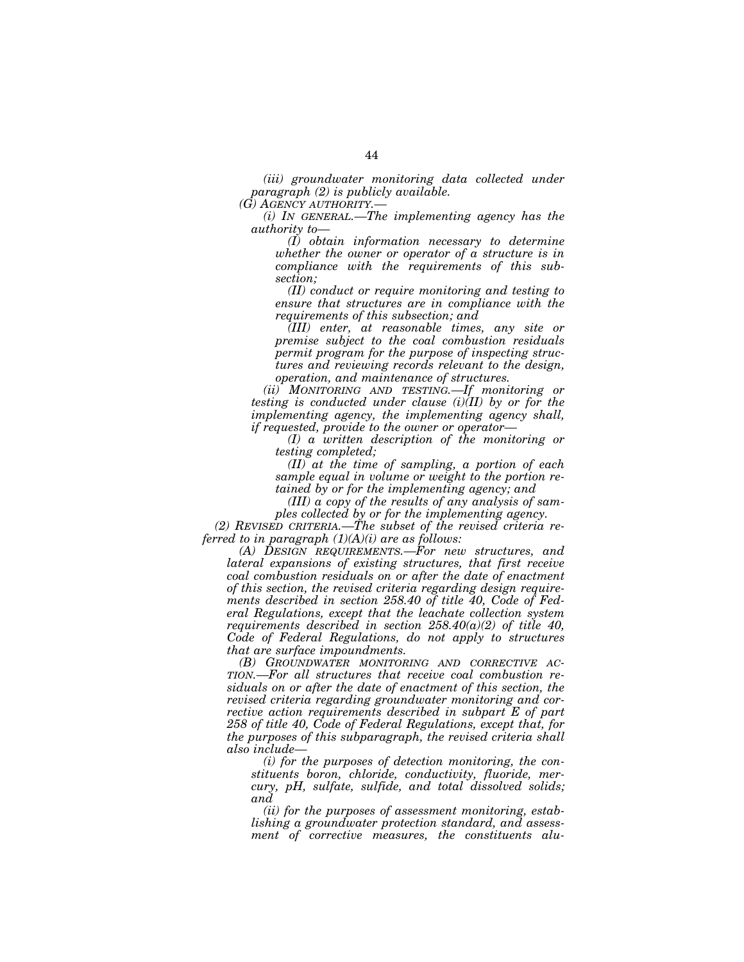*(iii) groundwater monitoring data collected under paragraph (2) is publicly available.* 

*(G) AGENCY AUTHORITY.—* 

*(i) IN GENERAL.—The implementing agency has the authority to—* 

*(I) obtain information necessary to determine whether the owner or operator of a structure is in compliance with the requirements of this subsection;* 

*(II) conduct or require monitoring and testing to ensure that structures are in compliance with the requirements of this subsection; and* 

*(III) enter, at reasonable times, any site or premise subject to the coal combustion residuals permit program for the purpose of inspecting structures and reviewing records relevant to the design, operation, and maintenance of structures.* 

*(ii) MONITORING AND TESTING.—If monitoring or testing is conducted under clause (i)(II) by or for the implementing agency, the implementing agency shall, if requested, provide to the owner or operator—* 

*(I) a written description of the monitoring or testing completed;* 

*(II) at the time of sampling, a portion of each sample equal in volume or weight to the portion retained by or for the implementing agency; and* 

*(III) a copy of the results of any analysis of samples collected by or for the implementing agency.* 

*(2) REVISED CRITERIA.—The subset of the revised criteria referred to in paragraph (1)(A)(i) are as follows:* 

*(A) DESIGN REQUIREMENTS.—For new structures, and lateral expansions of existing structures, that first receive coal combustion residuals on or after the date of enactment of this section, the revised criteria regarding design requirements described in section 258.40 of title 40, Code of Federal Regulations, except that the leachate collection system requirements described in section 258.40(a)(2) of title 40, Code of Federal Regulations, do not apply to structures that are surface impoundments.* 

*(B) GROUNDWATER MONITORING AND CORRECTIVE AC-TION.—For all structures that receive coal combustion residuals on or after the date of enactment of this section, the revised criteria regarding groundwater monitoring and corrective action requirements described in subpart E of part 258 of title 40, Code of Federal Regulations, except that, for the purposes of this subparagraph, the revised criteria shall also include—* 

*(i) for the purposes of detection monitoring, the constituents boron, chloride, conductivity, fluoride, mercury, pH, sulfate, sulfide, and total dissolved solids; and* 

*(ii) for the purposes of assessment monitoring, establishing a groundwater protection standard, and assessment of corrective measures, the constituents alu-*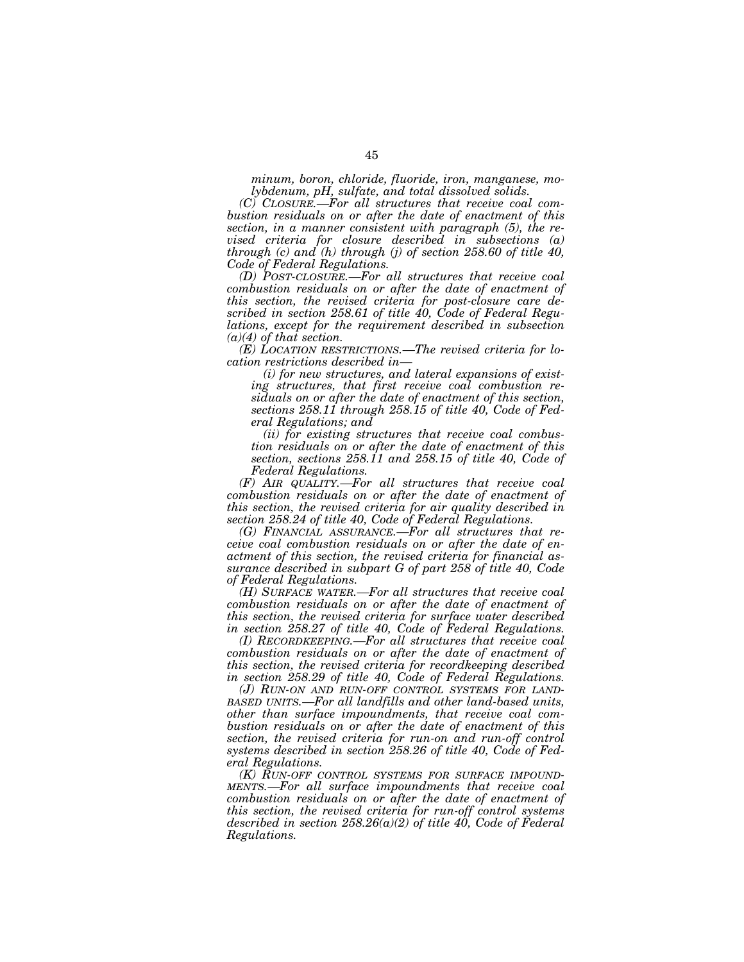*minum, boron, chloride, fluoride, iron, manganese, molybdenum, pH, sulfate, and total dissolved solids.* 

*(C) CLOSURE.—For all structures that receive coal combustion residuals on or after the date of enactment of this section, in a manner consistent with paragraph (5), the revised criteria for closure described in subsections (a) through (c) and (h) through (j) of section 258.60 of title 40, Code of Federal Regulations.* 

*(D) POST-CLOSURE.—For all structures that receive coal combustion residuals on or after the date of enactment of this section, the revised criteria for post-closure care described in section 258.61 of title 40, Code of Federal Regulations, except for the requirement described in subsection (a)(4) of that section.* 

*(E) LOCATION RESTRICTIONS.—The revised criteria for location restrictions described in—* 

*(i) for new structures, and lateral expansions of existing structures, that first receive coal combustion residuals on or after the date of enactment of this section, sections 258.11 through 258.15 of title 40, Code of Federal Regulations; and* 

*(ii) for existing structures that receive coal combustion residuals on or after the date of enactment of this section, sections 258.11 and 258.15 of title 40, Code of Federal Regulations.* 

*(F) AIR QUALITY.—For all structures that receive coal combustion residuals on or after the date of enactment of this section, the revised criteria for air quality described in section 258.24 of title 40, Code of Federal Regulations.* 

*(G) FINANCIAL ASSURANCE.—For all structures that receive coal combustion residuals on or after the date of enactment of this section, the revised criteria for financial assurance described in subpart G of part 258 of title 40, Code of Federal Regulations.* 

*(H) SURFACE WATER.—For all structures that receive coal combustion residuals on or after the date of enactment of this section, the revised criteria for surface water described in section 258.27 of title 40, Code of Federal Regulations.* 

*(I) RECORDKEEPING.—For all structures that receive coal combustion residuals on or after the date of enactment of this section, the revised criteria for recordkeeping described in section 258.29 of title 40, Code of Federal Regulations.* 

*(J) RUN-ON AND RUN-OFF CONTROL SYSTEMS FOR LAND-BASED UNITS.—For all landfills and other land-based units, other than surface impoundments, that receive coal combustion residuals on or after the date of enactment of this section, the revised criteria for run-on and run-off control systems described in section 258.26 of title 40, Code of Federal Regulations.* 

*(K) RUN-OFF CONTROL SYSTEMS FOR SURFACE IMPOUND- MENTS.—For all surface impoundments that receive coal combustion residuals on or after the date of enactment of this section, the revised criteria for run-off control systems described in section 258.26(a)(2) of title 40, Code of Federal Regulations.*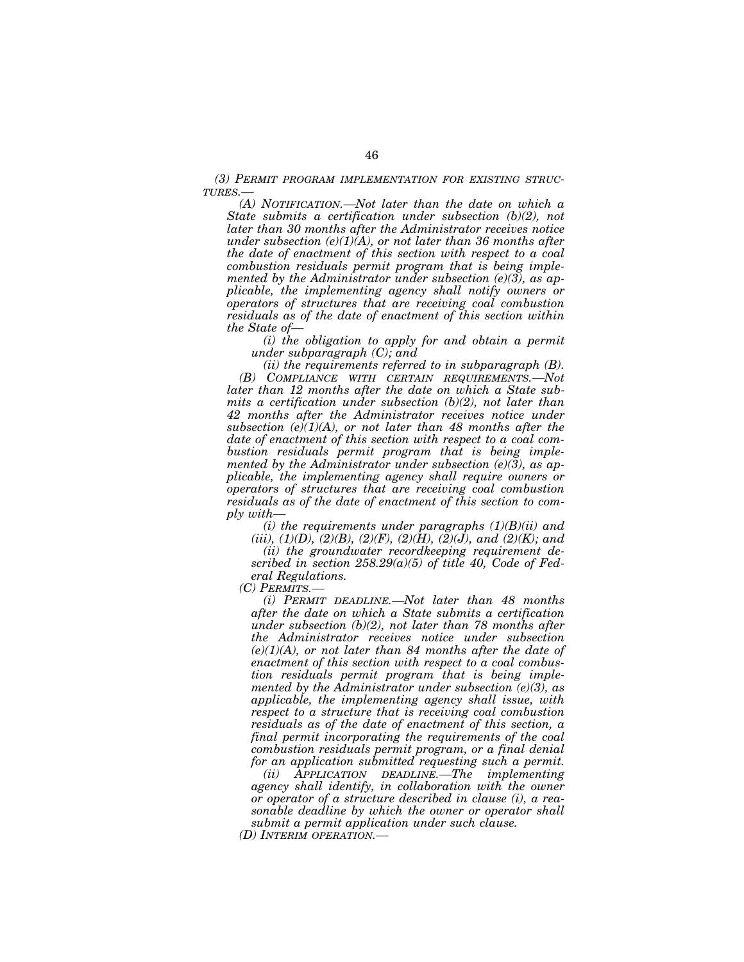*(3) PERMIT PROGRAM IMPLEMENTATION FOR EXISTING STRUC-TURES.—* 

*(A) NOTIFICATION.—Not later than the date on which a State submits a certification under subsection (b)(2), not later than 30 months after the Administrator receives notice under subsection (e)(1)(A), or not later than 36 months after the date of enactment of this section with respect to a coal combustion residuals permit program that is being implemented by the Administrator under subsection (e)(3), as applicable, the implementing agency shall notify owners or operators of structures that are receiving coal combustion residuals as of the date of enactment of this section within the State of—* 

*(i) the obligation to apply for and obtain a permit under subparagraph (C); and* 

*(ii) the requirements referred to in subparagraph (B). (B) COMPLIANCE WITH CERTAIN REQUIREMENTS.—Not later than 12 months after the date on which a State submits a certification under subsection (b)(2), not later than 42 months after the Administrator receives notice under subsection (e)(1)(A), or not later than 48 months after the date of enactment of this section with respect to a coal combustion residuals permit program that is being implemented by the Administrator under subsection (e)(3), as applicable, the implementing agency shall require owners or operators of structures that are receiving coal combustion residuals as of the date of enactment of this section to comply with—* 

*(i) the requirements under paragraphs (1)(B)(ii) and* 

(iii), (1)(D), (2)(B), (2)(F), (2)(H), (2)(J), and (2)(K); and *(ii) the groundwater recordkeeping requirement de-*

*scribed in section 258.29(a)(5) of title 40, Code of Federal Regulations.* 

*(C) PERMITS.—* 

*(i) PERMIT DEADLINE.—Not later than 48 months after the date on which a State submits a certification under subsection (b)(2), not later than 78 months after the Administrator receives notice under subsection*   $(e)(1)(A)$ , or not later than 84 months after the date of *enactment of this section with respect to a coal combustion residuals permit program that is being implemented by the Administrator under subsection (e)(3), as applicable, the implementing agency shall issue, with respect to a structure that is receiving coal combustion residuals as of the date of enactment of this section, a final permit incorporating the requirements of the coal combustion residuals permit program, or a final denial for an application submitted requesting such a permit.* 

*(ii) APPLICATION DEADLINE.—The implementing agency shall identify, in collaboration with the owner or operator of a structure described in clause (i), a reasonable deadline by which the owner or operator shall submit a permit application under such clause.* 

*(D) INTERIM OPERATION.—*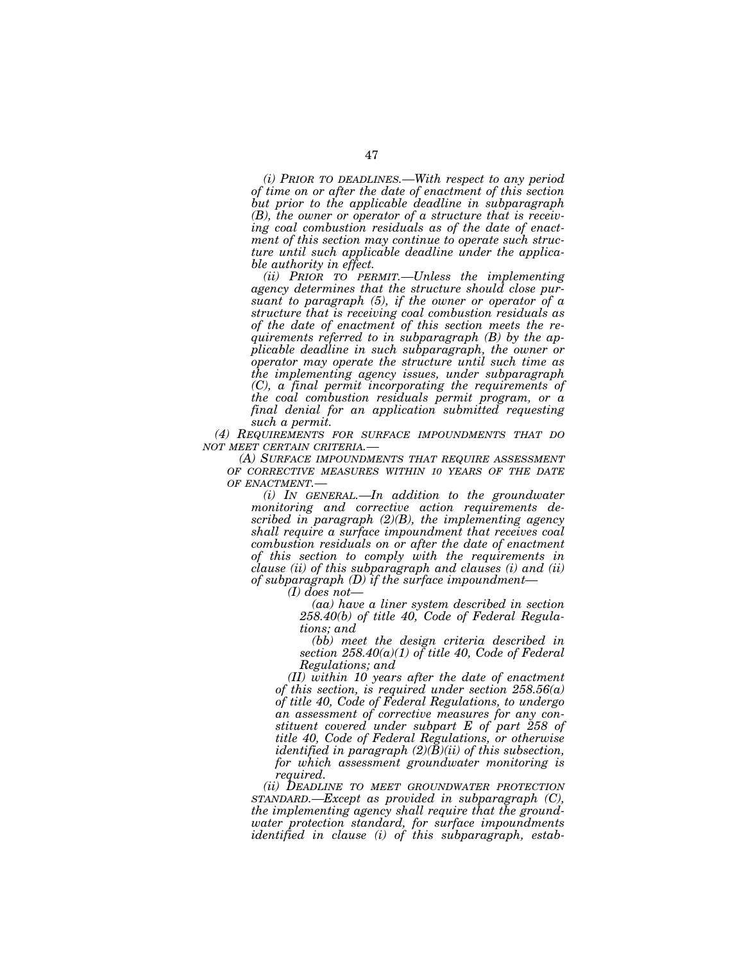*(i) PRIOR TO DEADLINES.—With respect to any period of time on or after the date of enactment of this section but prior to the applicable deadline in subparagraph (B), the owner or operator of a structure that is receiving coal combustion residuals as of the date of enactment of this section may continue to operate such structure until such applicable deadline under the applicable authority in effect.* 

*(ii) PRIOR TO PERMIT.—Unless the implementing agency determines that the structure should close pursuant to paragraph (5), if the owner or operator of a structure that is receiving coal combustion residuals as of the date of enactment of this section meets the requirements referred to in subparagraph (B) by the applicable deadline in such subparagraph, the owner or operator may operate the structure until such time as the implementing agency issues, under subparagraph (C), a final permit incorporating the requirements of the coal combustion residuals permit program, or a final denial for an application submitted requesting such a permit.* 

*(4) REQUIREMENTS FOR SURFACE IMPOUNDMENTS THAT DO*

*(A) SURFACE IMPOUNDMENTS THAT REQUIRE ASSESSMENT OF CORRECTIVE MEASURES WITHIN 10 YEARS OF THE DATE*

*OF ENACTMENT.— (i) IN GENERAL.—In addition to the groundwater monitoring and corrective action requirements described in paragraph (2)(B), the implementing agency shall require a surface impoundment that receives coal combustion residuals on or after the date of enactment of this section to comply with the requirements in clause (ii) of this subparagraph and clauses (i) and (ii) of subparagraph (D) if the surface impoundment—* 

*(I) does not—* 

*(aa) have a liner system described in section 258.40(b) of title 40, Code of Federal Regulations; and* 

*(bb) meet the design criteria described in section 258.40(a)(1) of title 40, Code of Federal Regulations; and* 

*(II) within 10 years after the date of enactment of this section, is required under section 258.56(a) of title 40, Code of Federal Regulations, to undergo an assessment of corrective measures for any constituent covered under subpart E of part 258 of title 40, Code of Federal Regulations, or otherwise identified in paragraph (2)(B)(ii) of this subsection, for which assessment groundwater monitoring is required.* 

*(ii) DEADLINE TO MEET GROUNDWATER PROTECTION STANDARD.—Except as provided in subparagraph (C), the implementing agency shall require that the groundwater protection standard, for surface impoundments identified in clause (i) of this subparagraph, estab-*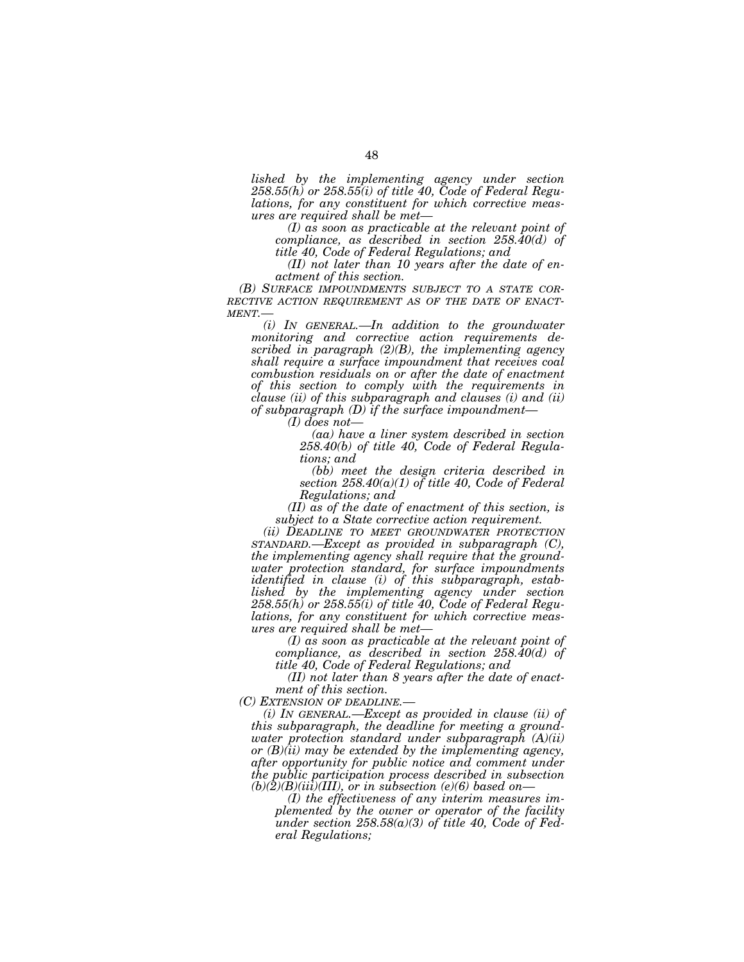*lished by the implementing agency under section 258.55(h) or 258.55(i) of title 40, Code of Federal Regulations, for any constituent for which corrective measures are required shall be met—* 

*(I) as soon as practicable at the relevant point of compliance, as described in section 258.40(d) of title 40, Code of Federal Regulations; and* 

*(II) not later than 10 years after the date of enactment of this section.*<br> **(B)** SURFACE IMPOUNDMENTS SUBJECT TO A STATE COR-

*(B) SURFACE IMPOUNDMENTS SUBJECT TO A STATE COR- RECTIVE ACTION REQUIREMENT AS OF THE DATE OF ENACT- MENT.—* 

*(i) IN GENERAL.—In addition to the groundwater monitoring and corrective action requirements described in paragraph (2)(B), the implementing agency shall require a surface impoundment that receives coal combustion residuals on or after the date of enactment of this section to comply with the requirements in clause (ii) of this subparagraph and clauses (i) and (ii) of subparagraph (D) if the surface impoundment—* 

*(I) does not—* 

*(aa) have a liner system described in section 258.40(b) of title 40, Code of Federal Regulations; and* 

*(bb) meet the design criteria described in section 258.40(a)(1) of title 40, Code of Federal Regulations; and* 

*(II) as of the date of enactment of this section, is subject to a State corrective action requirement.* 

*(ii) DEADLINE TO MEET GROUNDWATER PROTECTION STANDARD.—Except as provided in subparagraph (C), the implementing agency shall require that the groundwater protection standard, for surface impoundments identified in clause (i) of this subparagraph, established by the implementing agency under section 258.55(h) or 258.55(i) of title 40, Code of Federal Regulations, for any constituent for which corrective measures are required shall be met—* 

*(I) as soon as practicable at the relevant point of compliance, as described in section 258.40(d) of title 40, Code of Federal Regulations; and* 

*(II) not later than 8 years after the date of enactment of this section.* 

*(C) EXTENSION OF DEADLINE.—* 

*(i) IN GENERAL.—Except as provided in clause (ii) of this subparagraph, the deadline for meeting a groundwater protection standard under subparagraph (A)(ii) or (B)(ii) may be extended by the implementing agency, after opportunity for public notice and comment under the public participation process described in subsection*   $(b)(2)(B)(iii)(III)$ , or in subsection (e)(6) based on-

*(I) the effectiveness of any interim measures implemented by the owner or operator of the facility under section 258.58(a)(3) of title 40, Code of Federal Regulations;*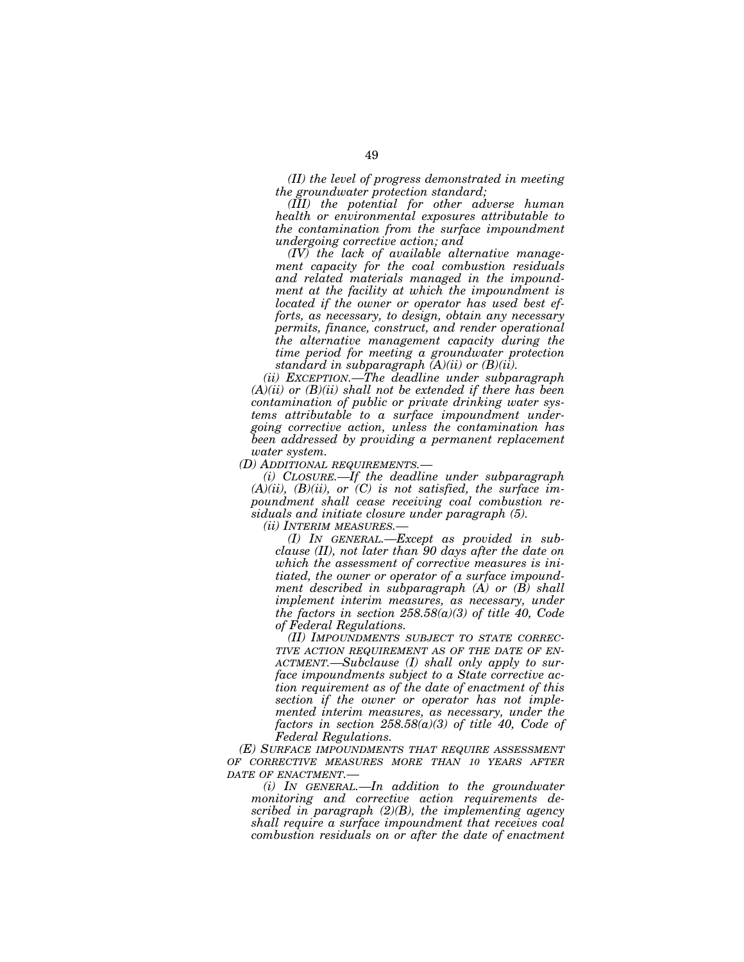*(II) the level of progress demonstrated in meeting the groundwater protection standard;* 

*(III) the potential for other adverse human health or environmental exposures attributable to the contamination from the surface impoundment undergoing corrective action; and* 

*(IV) the lack of available alternative management capacity for the coal combustion residuals and related materials managed in the impoundment at the facility at which the impoundment is located if the owner or operator has used best efforts, as necessary, to design, obtain any necessary permits, finance, construct, and render operational the alternative management capacity during the time period for meeting a groundwater protection standard in subparagraph (A)(ii) or (B)(ii).* 

*(ii) EXCEPTION.—The deadline under subparagraph (A)(ii) or (B)(ii) shall not be extended if there has been contamination of public or private drinking water systems attributable to a surface impoundment undergoing corrective action, unless the contamination has been addressed by providing a permanent replacement water system.* 

*(D) ADDITIONAL REQUIREMENTS.—* 

*(i) CLOSURE.—If the deadline under subparagraph (A)(ii), (B)(ii), or (C) is not satisfied, the surface impoundment shall cease receiving coal combustion residuals and initiate closure under paragraph (5).* 

*(ii) INTERIM MEASURES.—* 

*(I) IN GENERAL.—Except as provided in subclause (II), not later than 90 days after the date on which the assessment of corrective measures is initiated, the owner or operator of a surface impoundment described in subparagraph (A) or (B) shall implement interim measures, as necessary, under the factors in section 258.58(a)(3) of title 40, Code of Federal Regulations.* 

*(II) IMPOUNDMENTS SUBJECT TO STATE CORREC-TIVE ACTION REQUIREMENT AS OF THE DATE OF EN-ACTMENT.—Subclause (I) shall only apply to surface impoundments subject to a State corrective action requirement as of the date of enactment of this section if the owner or operator has not implemented interim measures, as necessary, under the factors in section 258.58(a)(3) of title 40, Code of Federal Regulations.* 

*(E) SURFACE IMPOUNDMENTS THAT REQUIRE ASSESSMENT OF CORRECTIVE MEASURES MORE THAN 10 YEARS AFTER DATE OF ENACTMENT.—* 

*(i) IN GENERAL.—In addition to the groundwater monitoring and corrective action requirements described in paragraph (2)(B), the implementing agency shall require a surface impoundment that receives coal combustion residuals on or after the date of enactment*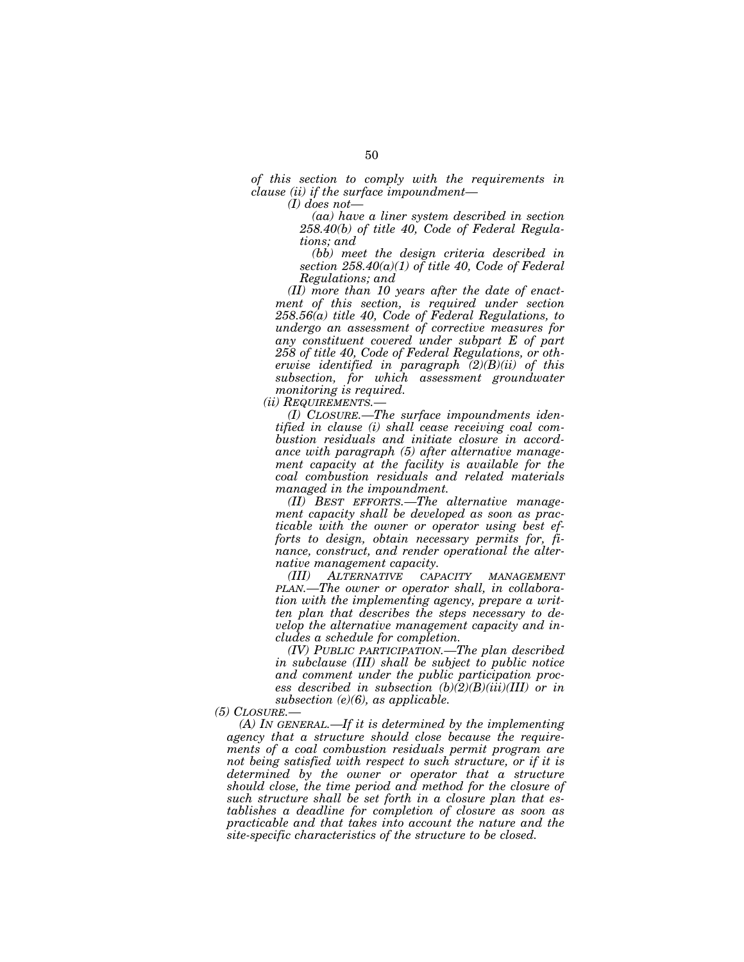*of this section to comply with the requirements in clause (ii) if the surface impoundment—* 

*(I) does not—* 

*(aa) have a liner system described in section 258.40(b) of title 40, Code of Federal Regulations; and* 

*(bb) meet the design criteria described in section 258.40(a)(1) of title 40, Code of Federal Regulations; and* 

*(II) more than 10 years after the date of enactment of this section, is required under section 258.56(a) title 40, Code of Federal Regulations, to undergo an assessment of corrective measures for any constituent covered under subpart E of part 258 of title 40, Code of Federal Regulations, or otherwise identified in paragraph (2)(B)(ii) of this subsection, for which assessment groundwater monitoring is required.* 

*(ii) REQUIREMENTS.—* 

*(I) CLOSURE.—The surface impoundments identified in clause (i) shall cease receiving coal combustion residuals and initiate closure in accordance with paragraph (5) after alternative management capacity at the facility is available for the coal combustion residuals and related materials managed in the impoundment.* 

*(II) BEST EFFORTS.—The alternative management capacity shall be developed as soon as practicable with the owner or operator using best efforts to design, obtain necessary permits for, finance, construct, and render operational the alternative management capacity.* 

*(III) ALTERNATIVE CAPACITY MANAGEMENT PLAN.—The owner or operator shall, in collaboration with the implementing agency, prepare a written plan that describes the steps necessary to develop the alternative management capacity and includes a schedule for completion.* 

*(IV) PUBLIC PARTICIPATION.—The plan described in subclause (III) shall be subject to public notice and comment under the public participation process described in subsection (b)(2)(B)(iii)(III) or in subsection (e)(6), as applicable.* 

*(5) CLOSURE.—* 

*(A) IN GENERAL.—If it is determined by the implementing agency that a structure should close because the requirements of a coal combustion residuals permit program are not being satisfied with respect to such structure, or if it is determined by the owner or operator that a structure should close, the time period and method for the closure of such structure shall be set forth in a closure plan that establishes a deadline for completion of closure as soon as practicable and that takes into account the nature and the site-specific characteristics of the structure to be closed.*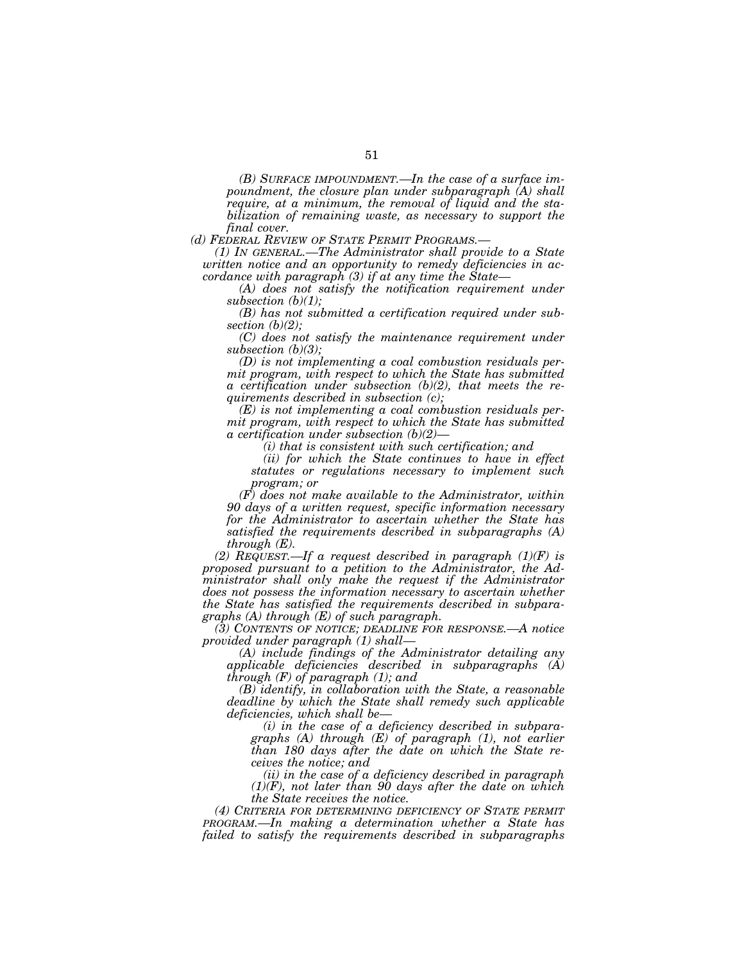*(B) SURFACE IMPOUNDMENT.—In the case of a surface impoundment, the closure plan under subparagraph (A) shall require, at a minimum, the removal of liquid and the stabilization of remaining waste, as necessary to support the final cover.* 

*(1) IN GENERAL.—The Administrator shall provide to a State written notice and an opportunity to remedy deficiencies in accordance with paragraph (3) if at any time the State—* 

*(A) does not satisfy the notification requirement under subsection (b)(1);* 

*(B) has not submitted a certification required under subsection (b)(2);* 

*(C) does not satisfy the maintenance requirement under subsection (b)(3);* 

*(D) is not implementing a coal combustion residuals permit program, with respect to which the State has submitted a certification under subsection (b)(2), that meets the requirements described in subsection (c);* 

*(E) is not implementing a coal combustion residuals permit program, with respect to which the State has submitted a certification under subsection (b)(2)—* 

*(i) that is consistent with such certification; and* 

*(ii) for which the State continues to have in effect statutes or regulations necessary to implement such program; or* 

*(F) does not make available to the Administrator, within 90 days of a written request, specific information necessary for the Administrator to ascertain whether the State has satisfied the requirements described in subparagraphs (A) through (E).* 

*(2) REQUEST.—If a request described in paragraph (1)(F) is proposed pursuant to a petition to the Administrator, the Administrator shall only make the request if the Administrator does not possess the information necessary to ascertain whether the State has satisfied the requirements described in subparagraphs (A) through (E) of such paragraph.* 

*(3) CONTENTS OF NOTICE; DEADLINE FOR RESPONSE.—A notice provided under paragraph (1) shall—* 

*(A) include findings of the Administrator detailing any applicable deficiencies described in subparagraphs (A) through (F) of paragraph (1); and* 

*(B) identify, in collaboration with the State, a reasonable deadline by which the State shall remedy such applicable deficiencies, which shall be—* 

*(i) in the case of a deficiency described in subparagraphs (A) through (E) of paragraph (1), not earlier than 180 days after the date on which the State receives the notice; and* 

*(ii) in the case of a deficiency described in paragraph (1)(F), not later than 90 days after the date on which the State receives the notice.* 

*(4) CRITERIA FOR DETERMINING DEFICIENCY OF STATE PERMIT PROGRAM.—In making a determination whether a State has failed to satisfy the requirements described in subparagraphs*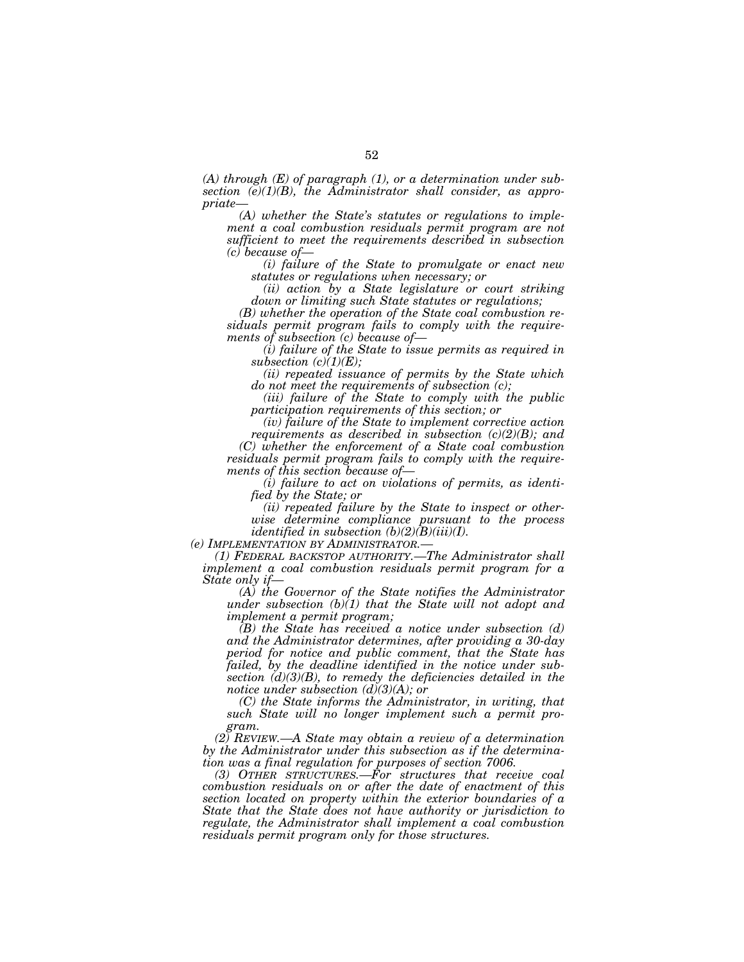*(A) through (E) of paragraph (1), or a determination under subsection (e)(1)(B), the Administrator shall consider, as appropriate—* 

*(A) whether the State's statutes or regulations to implement a coal combustion residuals permit program are not sufficient to meet the requirements described in subsection (c) because of—* 

*(i) failure of the State to promulgate or enact new statutes or regulations when necessary; or* 

*(ii) action by a State legislature or court striking down or limiting such State statutes or regulations;* 

*(B) whether the operation of the State coal combustion residuals permit program fails to comply with the requirements of subsection (c) because of—* 

*(i) failure of the State to issue permits as required in subsection (c)(1)(E);* 

*(ii) repeated issuance of permits by the State which do not meet the requirements of subsection (c);* 

*(iii) failure of the State to comply with the public participation requirements of this section; or* 

*(iv) failure of the State to implement corrective action requirements as described in subsection (c)(2)(B); and* 

*(C) whether the enforcement of a State coal combustion residuals permit program fails to comply with the requirements of this section because of—* 

*(i) failure to act on violations of permits, as identified by the State; or* 

*(ii) repeated failure by the State to inspect or otherwise determine compliance pursuant to the process identified in subsection (b)(2)(B)(iii)(I).* 

*(e) IMPLEMENTATION BY ADMINISTRATOR.— (1) FEDERAL BACKSTOP AUTHORITY.—The Administrator shall implement a coal combustion residuals permit program for a State only if—* 

*(A) the Governor of the State notifies the Administrator under subsection (b)(1) that the State will not adopt and implement a permit program;* 

*(B) the State has received a notice under subsection (d) and the Administrator determines, after providing a 30-day period for notice and public comment, that the State has failed, by the deadline identified in the notice under subsection (d)(3)(B), to remedy the deficiencies detailed in the notice under subsection (d)(3)(A); or* 

*(C) the State informs the Administrator, in writing, that such State will no longer implement such a permit program.* 

*(2) REVIEW.—A State may obtain a review of a determination by the Administrator under this subsection as if the determination was a final regulation for purposes of section 7006.* 

*(3) OTHER STRUCTURES.—For structures that receive coal combustion residuals on or after the date of enactment of this section located on property within the exterior boundaries of a State that the State does not have authority or jurisdiction to regulate, the Administrator shall implement a coal combustion residuals permit program only for those structures.*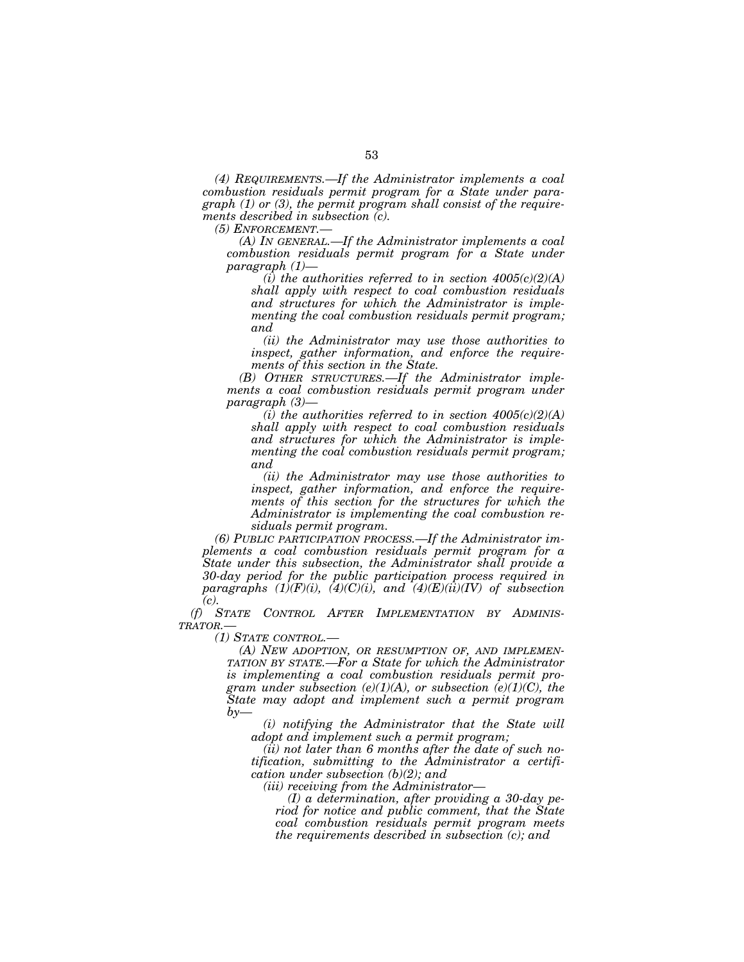*(4) REQUIREMENTS.—If the Administrator implements a coal combustion residuals permit program for a State under paragraph (1) or (3), the permit program shall consist of the requirements described in subsection (c).* 

*(5) ENFORCEMENT.—* 

*(A) IN GENERAL.—If the Administrator implements a coal combustion residuals permit program for a State under paragraph (1)—* 

*(i) the authorities referred to in section 4005(c)(2)(A) shall apply with respect to coal combustion residuals and structures for which the Administrator is implementing the coal combustion residuals permit program; and* 

*(ii) the Administrator may use those authorities to inspect, gather information, and enforce the requirements of this section in the State.* 

*(B) OTHER STRUCTURES.—If the Administrator implements a coal combustion residuals permit program under paragraph (3)—* 

*(i) the authorities referred to in section 4005(c)(2)(A) shall apply with respect to coal combustion residuals and structures for which the Administrator is implementing the coal combustion residuals permit program; and* 

*(ii) the Administrator may use those authorities to inspect, gather information, and enforce the requirements of this section for the structures for which the Administrator is implementing the coal combustion residuals permit program.* 

*(6) PUBLIC PARTICIPATION PROCESS.—If the Administrator implements a coal combustion residuals permit program for a State under this subsection, the Administrator shall provide a 30-day period for the public participation process required in paragraphs (1)(F)(i), (4)(C)(i), and (4)(E)(ii)(IV) of subsection (c).* 

*(f) STATE CONTROL AFTER IMPLEMENTATION BY ADMINIS-TRATOR.—* 

*(1) STATE CONTROL.—* 

*(A) NEW ADOPTION, OR RESUMPTION OF, AND IMPLEMEN-TATION BY STATE.—For a State for which the Administrator is implementing a coal combustion residuals permit program under subsection (e)(1)(A), or subsection (e)(1)(C), the State may adopt and implement such a permit program by—* 

*(i) notifying the Administrator that the State will adopt and implement such a permit program;* 

*(ii) not later than 6 months after the date of such notification, submitting to the Administrator a certification under subsection (b)(2); and* 

*(iii) receiving from the Administrator—* 

*(I) a determination, after providing a 30-day period for notice and public comment, that the State coal combustion residuals permit program meets the requirements described in subsection (c); and*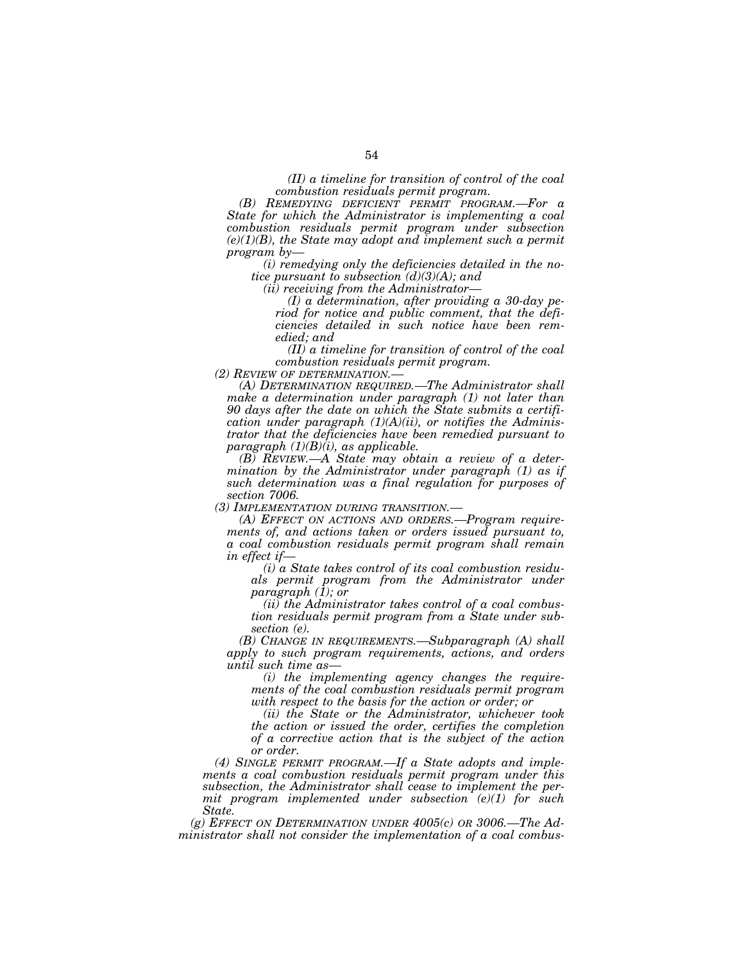*(II) a timeline for transition of control of the coal combustion residuals permit program.* 

*(B) REMEDYING DEFICIENT PERMIT PROGRAM.—For a State for which the Administrator is implementing a coal combustion residuals permit program under subsection (e)(1)(B), the State may adopt and implement such a permit program by—* 

*(i) remedying only the deficiencies detailed in the notice pursuant to subsection (d)(3)(A); and* 

*(ii) receiving from the Administrator—* 

*(I) a determination, after providing a 30-day period for notice and public comment, that the deficiencies detailed in such notice have been remedied; and* 

*(II) a timeline for transition of control of the coal combustion residuals permit program.* 

*(2) REVIEW OF DETERMINATION.— (A) DETERMINATION REQUIRED.—The Administrator shall make a determination under paragraph (1) not later than 90 days after the date on which the State submits a certification under paragraph (1)(A)(ii), or notifies the Administrator that the deficiencies have been remedied pursuant to paragraph (1)(B)(i), as applicable.* 

*(B) REVIEW.—A State may obtain a review of a determination by the Administrator under paragraph (1) as if such determination was a final regulation for purposes of* 

*section 7006.* 

*(A) EFFECT ON ACTIONS AND ORDERS.-Program requirements of, and actions taken or orders issued pursuant to, a coal combustion residuals permit program shall remain in effect if—* 

*(i) a State takes control of its coal combustion residuals permit program from the Administrator under paragraph (1); or* 

*(ii) the Administrator takes control of a coal combustion residuals permit program from a State under subsection (e).* 

*(B) CHANGE IN REQUIREMENTS.—Subparagraph (A) shall apply to such program requirements, actions, and orders until such time as—* 

*(i) the implementing agency changes the requirements of the coal combustion residuals permit program with respect to the basis for the action or order; or* 

*(ii) the State or the Administrator, whichever took the action or issued the order, certifies the completion of a corrective action that is the subject of the action or order.* 

*(4) SINGLE PERMIT PROGRAM.—If a State adopts and implements a coal combustion residuals permit program under this subsection, the Administrator shall cease to implement the permit program implemented under subsection (e)(1) for such State.* 

*(g) EFFECT ON DETERMINATION UNDER 4005(c) OR 3006.—The Administrator shall not consider the implementation of a coal combus-*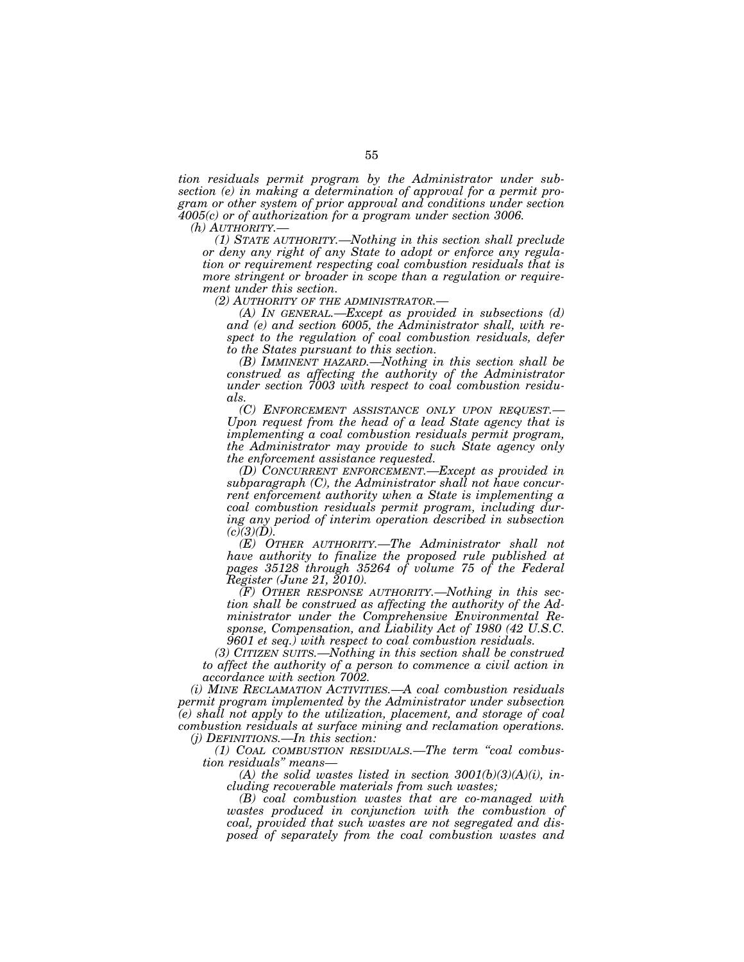*tion residuals permit program by the Administrator under subsection (e) in making a determination of approval for a permit program or other system of prior approval and conditions under section 4005(c) or of authorization for a program under section 3006.* 

*(h) AUTHORITY.— (1) STATE AUTHORITY.—Nothing in this section shall preclude or deny any right of any State to adopt or enforce any regulation or requirement respecting coal combustion residuals that is more stringent or broader in scope than a regulation or requirement under this section.* 

*(A) IN GENERAL.—Except as provided in subsections (d) and (e) and section 6005, the Administrator shall, with respect to the regulation of coal combustion residuals, defer to the States pursuant to this section.* 

*(B) IMMINENT HAZARD.—Nothing in this section shall be construed as affecting the authority of the Administrator under section 7003 with respect to coal combustion residuals.* 

*(C) ENFORCEMENT ASSISTANCE ONLY UPON REQUEST.— Upon request from the head of a lead State agency that is implementing a coal combustion residuals permit program, the Administrator may provide to such State agency only the enforcement assistance requested.* 

*(D) CONCURRENT ENFORCEMENT.—Except as provided in subparagraph (C), the Administrator shall not have concurrent enforcement authority when a State is implementing a coal combustion residuals permit program, including during any period of interim operation described in subsection*   $(c)(3)(D)$ 

*(E) OTHER AUTHORITY.—The Administrator shall not have authority to finalize the proposed rule published at pages 35128 through 35264 of volume 75 of the Federal Register (June 21, 2010).* 

*(F) OTHER RESPONSE AUTHORITY.—Nothing in this section shall be construed as affecting the authority of the Administrator under the Comprehensive Environmental Response, Compensation, and Liability Act of 1980 (42 U.S.C. 9601 et seq.) with respect to coal combustion residuals.* 

*(3) CITIZEN SUITS.—Nothing in this section shall be construed to affect the authority of a person to commence a civil action in accordance with section 7002.* 

*(i) MINE RECLAMATION ACTIVITIES.—A coal combustion residuals permit program implemented by the Administrator under subsection (e) shall not apply to the utilization, placement, and storage of coal combustion residuals at surface mining and reclamation operations. (j) DEFINITIONS.—In this section:* 

*(1) COAL COMBUSTION RESIDUALS.—The term ''coal combustion residuals'' means—* 

*(A) the solid wastes listed in section 3001(b)(3)(A)(i), including recoverable materials from such wastes;* 

*(B) coal combustion wastes that are co-managed with wastes produced in conjunction with the combustion of coal, provided that such wastes are not segregated and disposed of separately from the coal combustion wastes and*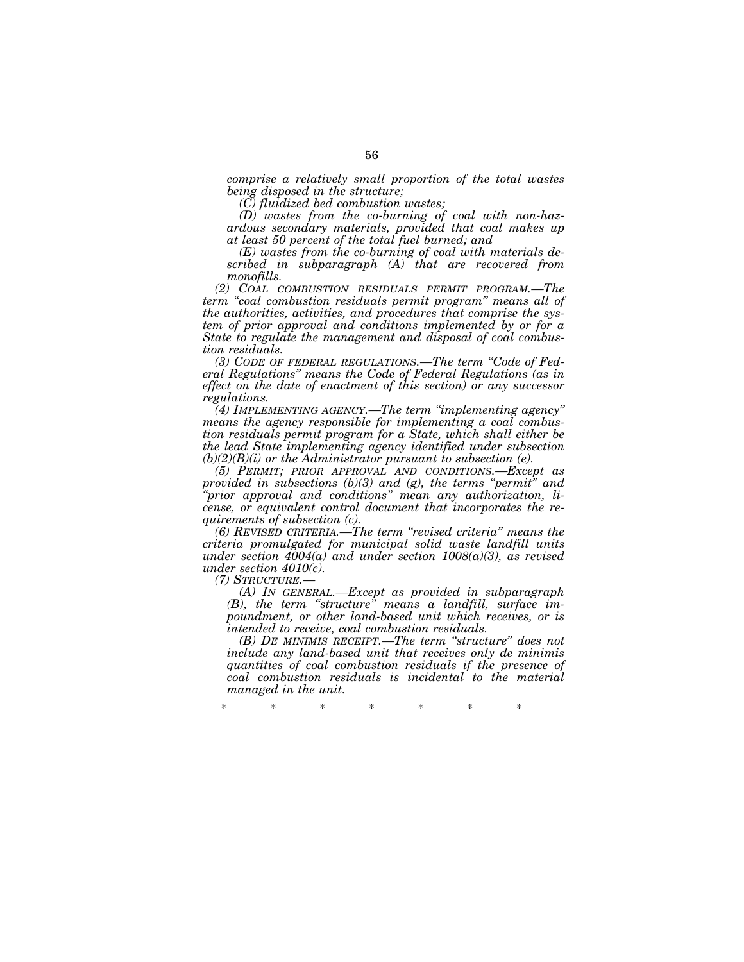*comprise a relatively small proportion of the total wastes being disposed in the structure;* 

*(C) fluidized bed combustion wastes;* 

*(D) wastes from the co-burning of coal with non-hazardous secondary materials, provided that coal makes up at least 50 percent of the total fuel burned; and* 

*(E) wastes from the co-burning of coal with materials described in subparagraph (A) that are recovered from monofills.* 

*(2) COAL COMBUSTION RESIDUALS PERMIT PROGRAM.—The term ''coal combustion residuals permit program'' means all of the authorities, activities, and procedures that comprise the system of prior approval and conditions implemented by or for a State to regulate the management and disposal of coal combustion residuals.* 

*(3) CODE OF FEDERAL REGULATIONS.—The term ''Code of Federal Regulations'' means the Code of Federal Regulations (as in effect on the date of enactment of this section) or any successor regulations.* 

*(4) IMPLEMENTING AGENCY.—The term ''implementing agency'' means the agency responsible for implementing a coal combustion residuals permit program for a State, which shall either be the lead State implementing agency identified under subsection*   $(b)(2)(B)(i)$  or the Administrator pursuant to subsection  $(e)$ .

*(5) PERMIT; PRIOR APPROVAL AND CONDITIONS.—Except as provided in subsections (b)(3) and (g), the terms ''permit'' and ''prior approval and conditions'' mean any authorization, license, or equivalent control document that incorporates the requirements of subsection (c).* 

*(6) REVISED CRITERIA.—The term ''revised criteria'' means the criteria promulgated for municipal solid waste landfill units under section 4004(a) and under section 1008(a)(3), as revised under section 4010(c).* 

*(7) STRUCTURE.—* 

*(A) IN GENERAL.—Except as provided in subparagraph (B), the term ''structure'' means a landfill, surface impoundment, or other land-based unit which receives, or is intended to receive, coal combustion residuals.* 

*(B) DE MINIMIS RECEIPT.—The term ''structure'' does not include any land-based unit that receives only de minimis quantities of coal combustion residuals if the presence of coal combustion residuals is incidental to the material managed in the unit.* 

\* \* \* \* \* \* \*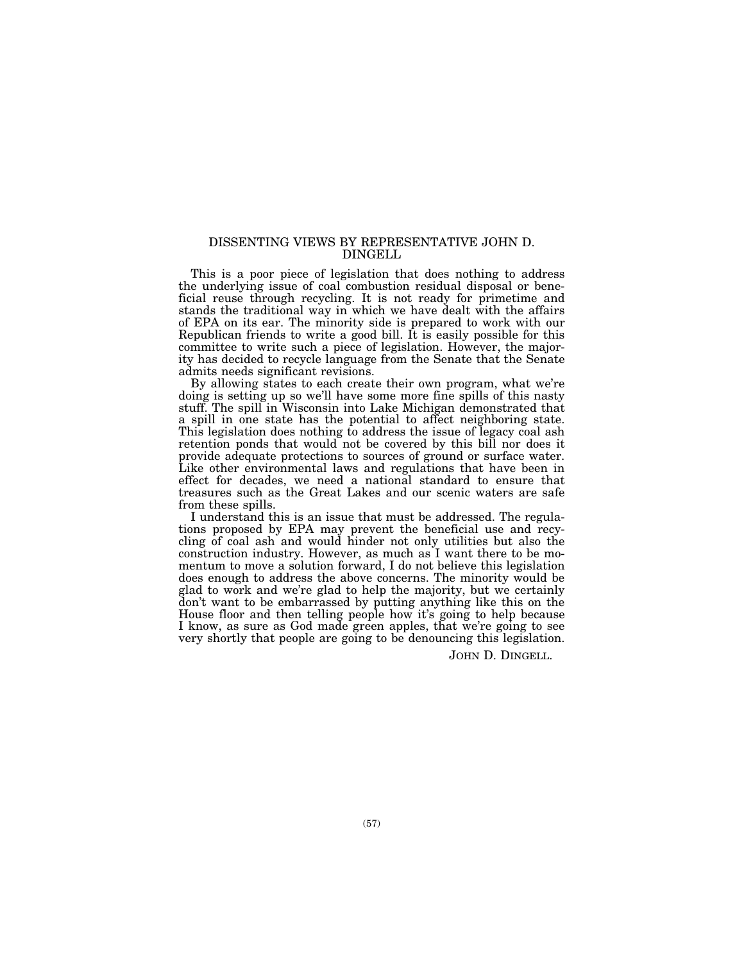# DISSENTING VIEWS BY REPRESENTATIVE JOHN D. DINGELL

This is a poor piece of legislation that does nothing to address the underlying issue of coal combustion residual disposal or beneficial reuse through recycling. It is not ready for primetime and stands the traditional way in which we have dealt with the affairs of EPA on its ear. The minority side is prepared to work with our Republican friends to write a good bill. It is easily possible for this committee to write such a piece of legislation. However, the majority has decided to recycle language from the Senate that the Senate admits needs significant revisions.

By allowing states to each create their own program, what we're doing is setting up so we'll have some more fine spills of this nasty stuff. The spill in Wisconsin into Lake Michigan demonstrated that a spill in one state has the potential to affect neighboring state. This legislation does nothing to address the issue of legacy coal ash retention ponds that would not be covered by this bill nor does it provide adequate protections to sources of ground or surface water. Like other environmental laws and regulations that have been in effect for decades, we need a national standard to ensure that treasures such as the Great Lakes and our scenic waters are safe from these spills.

I understand this is an issue that must be addressed. The regulations proposed by EPA may prevent the beneficial use and recycling of coal ash and would hinder not only utilities but also the construction industry. However, as much as I want there to be momentum to move a solution forward, I do not believe this legislation does enough to address the above concerns. The minority would be glad to work and we're glad to help the majority, but we certainly don't want to be embarrassed by putting anything like this on the House floor and then telling people how it's going to help because I know, as sure as God made green apples, that we're going to see very shortly that people are going to be denouncing this legislation.

JOHN D. DINGELL.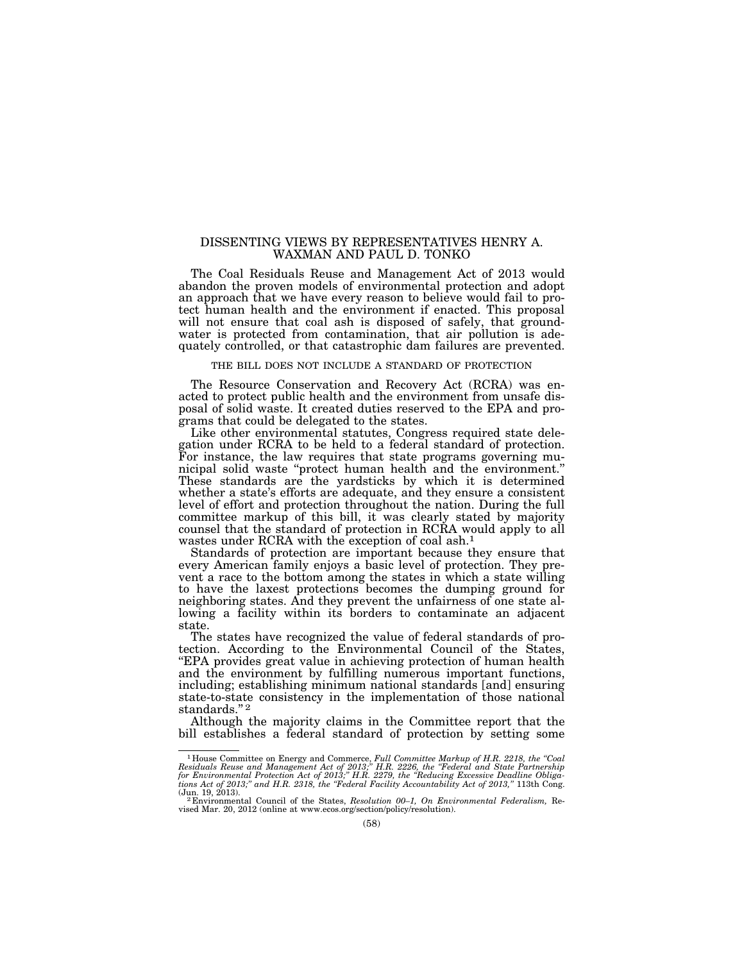# DISSENTING VIEWS BY REPRESENTATIVES HENRY A. WAXMAN AND PAUL D. TONKO

The Coal Residuals Reuse and Management Act of 2013 would abandon the proven models of environmental protection and adopt an approach that we have every reason to believe would fail to protect human health and the environment if enacted. This proposal will not ensure that coal ash is disposed of safely, that groundwater is protected from contamination, that air pollution is adequately controlled, or that catastrophic dam failures are prevented.

## THE BILL DOES NOT INCLUDE A STANDARD OF PROTECTION

The Resource Conservation and Recovery Act (RCRA) was enacted to protect public health and the environment from unsafe disposal of solid waste. It created duties reserved to the EPA and programs that could be delegated to the states.

Like other environmental statutes, Congress required state delegation under RCRA to be held to a federal standard of protection. For instance, the law requires that state programs governing municipal solid waste ''protect human health and the environment.'' These standards are the yardsticks by which it is determined whether a state's efforts are adequate, and they ensure a consistent level of effort and protection throughout the nation. During the full committee markup of this bill, it was clearly stated by majority counsel that the standard of protection in RCRA would apply to all wastes under RCRA with the exception of coal ash.<sup>1</sup>

Standards of protection are important because they ensure that every American family enjoys a basic level of protection. They prevent a race to the bottom among the states in which a state willing to have the laxest protections becomes the dumping ground for neighboring states. And they prevent the unfairness of one state allowing a facility within its borders to contaminate an adjacent state.

The states have recognized the value of federal standards of protection. According to the Environmental Council of the States, ''EPA provides great value in achieving protection of human health and the environment by fulfilling numerous important functions, including; establishing minimum national standards [and] ensuring state-to-state consistency in the implementation of those national standards."<sup>2</sup>

Although the majority claims in the Committee report that the bill establishes a federal standard of protection by setting some

<sup>&</sup>lt;sup>1</sup>House Committee on Energy and Commerce, Full Committee Markup of H.R. 2218, the "Coal Residuals Reuse and Management Act of 2013;" H.R. 2226, the "Federal and State Partnership for Environmental Protection Act of 2013;

<sup>&</sup>lt;sup>2</sup> Environmental Council of the States, *Resolution 00–1*, *On Environmental Federalism*, Revised Mar. 20, 2012 (online at www.ecos.org/section/policy/resolution).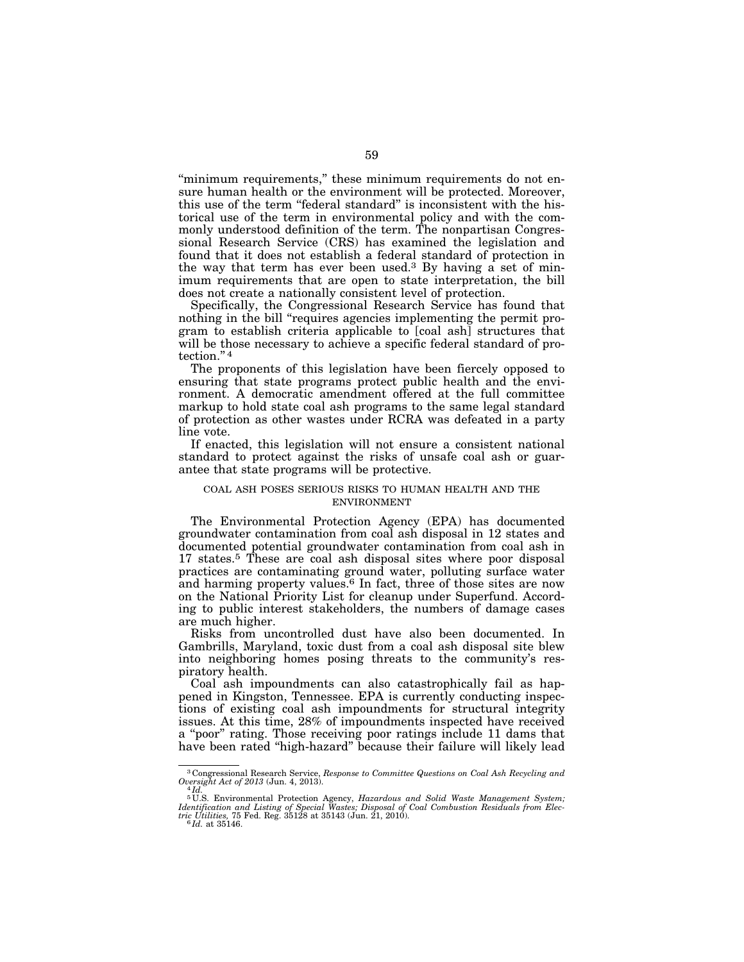"minimum requirements," these minimum requirements do not ensure human health or the environment will be protected. Moreover, this use of the term ''federal standard'' is inconsistent with the historical use of the term in environmental policy and with the commonly understood definition of the term. The nonpartisan Congressional Research Service (CRS) has examined the legislation and found that it does not establish a federal standard of protection in the way that term has ever been used.3 By having a set of minimum requirements that are open to state interpretation, the bill does not create a nationally consistent level of protection.

Specifically, the Congressional Research Service has found that nothing in the bill "requires agencies implementing the permit program to establish criteria applicable to [coal ash] structures that will be those necessary to achieve a specific federal standard of protection."<sup>4</sup>

The proponents of this legislation have been fiercely opposed to ensuring that state programs protect public health and the environment. A democratic amendment offered at the full committee markup to hold state coal ash programs to the same legal standard of protection as other wastes under RCRA was defeated in a party line vote.

If enacted, this legislation will not ensure a consistent national standard to protect against the risks of unsafe coal ash or guarantee that state programs will be protective.

# COAL ASH POSES SERIOUS RISKS TO HUMAN HEALTH AND THE ENVIRONMENT

The Environmental Protection Agency (EPA) has documented groundwater contamination from coal ash disposal in 12 states and documented potential groundwater contamination from coal ash in 17 states.5 These are coal ash disposal sites where poor disposal practices are contaminating ground water, polluting surface water and harming property values.6 In fact, three of those sites are now on the National Priority List for cleanup under Superfund. According to public interest stakeholders, the numbers of damage cases are much higher.

Risks from uncontrolled dust have also been documented. In Gambrills, Maryland, toxic dust from a coal ash disposal site blew into neighboring homes posing threats to the community's respiratory health.

Coal ash impoundments can also catastrophically fail as happened in Kingston, Tennessee. EPA is currently conducting inspections of existing coal ash impoundments for structural integrity issues. At this time, 28% of impoundments inspected have received a "poor" rating. Those receiving poor ratings include 11 dams that have been rated "high-hazard" because their failure will likely lead

<sup>3</sup> Congressional Research Service, *Response to Committee Questions on Coal Ash Recycling and* 

Oversight Act of 2013 (Jun. 4, 2013).<br>
<sup>4</sup> Id.<br>
<sup>5</sup> U.S. Environmental Protection Agency, *Hazardous and Solid Waste Management System;*<br> *Identification and Listing of Special Wastes; Disposal of Coal Combustion Residuals*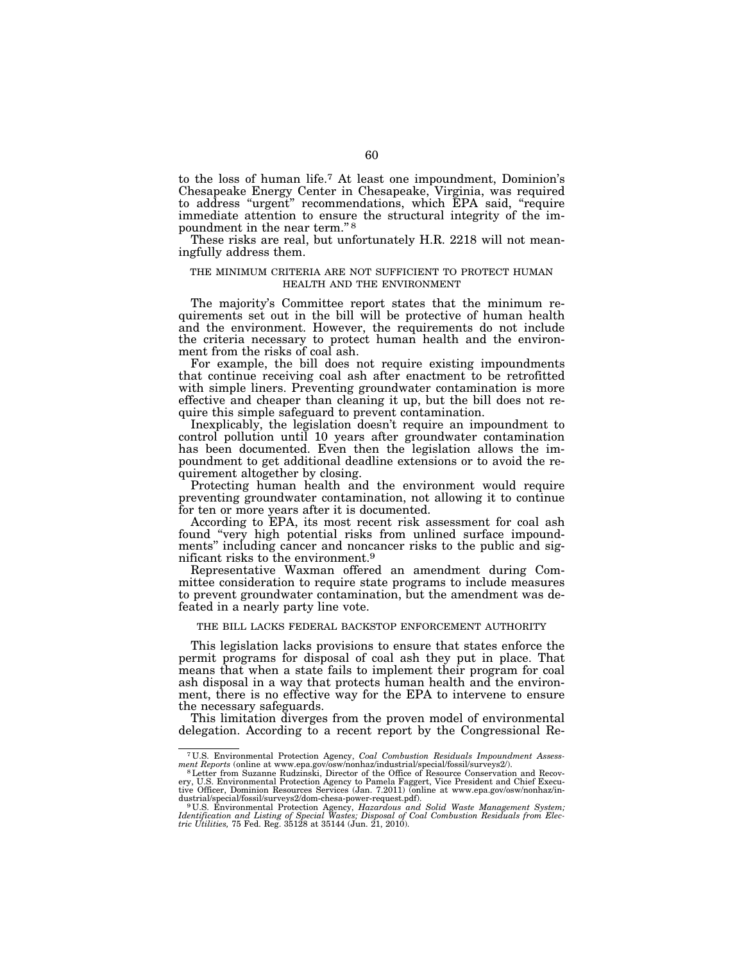to the loss of human life.7 At least one impoundment, Dominion's Chesapeake Energy Center in Chesapeake, Virginia, was required to address ''urgent'' recommendations, which EPA said, ''require immediate attention to ensure the structural integrity of the impoundment in the near term."<sup>8</sup>

These risks are real, but unfortunately H.R. 2218 will not meaningfully address them.

# THE MINIMUM CRITERIA ARE NOT SUFFICIENT TO PROTECT HUMAN HEALTH AND THE ENVIRONMENT

The majority's Committee report states that the minimum requirements set out in the bill will be protective of human health and the environment. However, the requirements do not include the criteria necessary to protect human health and the environment from the risks of coal ash.

For example, the bill does not require existing impoundments that continue receiving coal ash after enactment to be retrofitted with simple liners. Preventing groundwater contamination is more effective and cheaper than cleaning it up, but the bill does not require this simple safeguard to prevent contamination.

Inexplicably, the legislation doesn't require an impoundment to control pollution until 10 years after groundwater contamination has been documented. Even then the legislation allows the impoundment to get additional deadline extensions or to avoid the requirement altogether by closing.

Protecting human health and the environment would require preventing groundwater contamination, not allowing it to continue for ten or more years after it is documented.

According to EPA, its most recent risk assessment for coal ash found "very high potential risks from unlined surface impoundments'' including cancer and noncancer risks to the public and significant risks to the environment.9

Representative Waxman offered an amendment during Committee consideration to require state programs to include measures to prevent groundwater contamination, but the amendment was defeated in a nearly party line vote.

# THE BILL LACKS FEDERAL BACKSTOP ENFORCEMENT AUTHORITY

This legislation lacks provisions to ensure that states enforce the permit programs for disposal of coal ash they put in place. That means that when a state fails to implement their program for coal ash disposal in a way that protects human health and the environment, there is no effective way for the EPA to intervene to ensure the necessary safeguards.

This limitation diverges from the proven model of environmental delegation. According to a recent report by the Congressional Re-

<sup>7</sup> U.S. Environmental Protection Agency, *Coal Combustion Residuals Impoundment Assessment Reports* (online at www.epa.gov/osw/nonhaz/industrial/special/fossil/surveys2/).<br><sup>8</sup>Letter from Suzanne Rudzinski, Director of the Office of Resource Conservation and Recov-

ery, U.S. Environmental Protection Agency to Pamela Faggert, Vice President and Chief Executive Officer, Dominion Resources Services (Jan. 7.2011) (online at www.epa.gov/osw/nonhaz/in-<br>dustrial/special/fossil/surveys2/dom-chesa-power-request.pdf).

dustrial/special/fossil/surveys2/dom-chesa-power-request.pdf).<br><sup>9</sup> U.S. Environmental Protection Agency, *Hazardous and Solid Waste Management System;*<br>Identification and Listing of Special Wastes; Disposal of Coal Combust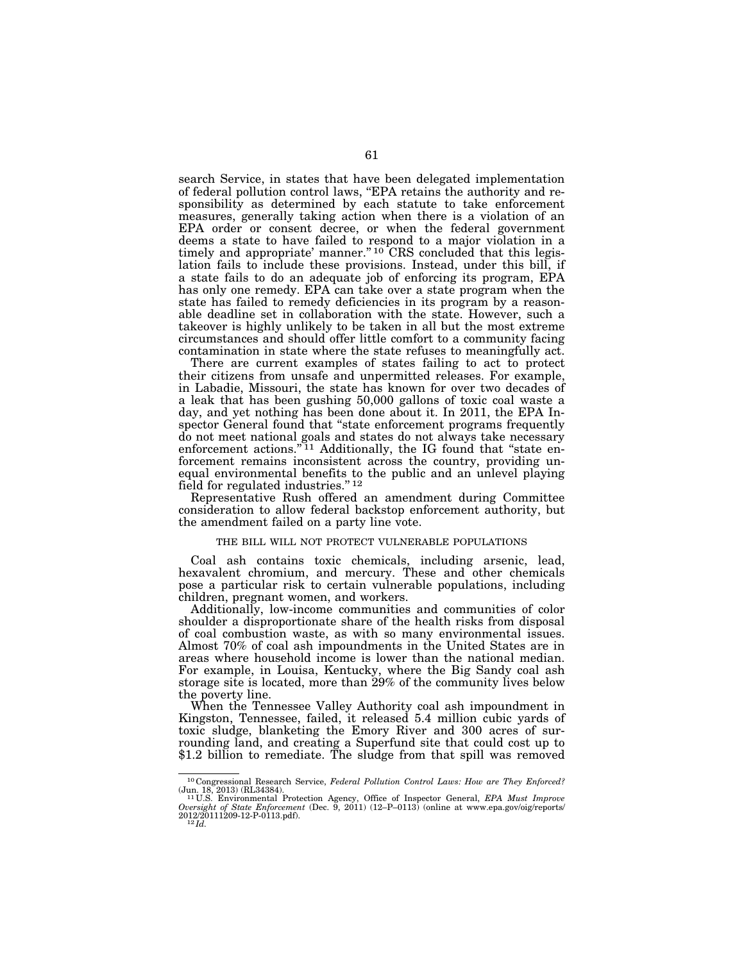search Service, in states that have been delegated implementation of federal pollution control laws, ''EPA retains the authority and responsibility as determined by each statute to take enforcement measures, generally taking action when there is a violation of an EPA order or consent decree, or when the federal government deems a state to have failed to respond to a major violation in a timely and appropriate' manner."<sup>10</sup> CRS concluded that this legislation fails to include these provisions. Instead, under this bill, if a state fails to do an adequate job of enforcing its program, EPA has only one remedy. EPA can take over a state program when the state has failed to remedy deficiencies in its program by a reasonable deadline set in collaboration with the state. However, such a takeover is highly unlikely to be taken in all but the most extreme circumstances and should offer little comfort to a community facing contamination in state where the state refuses to meaningfully act.

There are current examples of states failing to act to protect their citizens from unsafe and unpermitted releases. For example, in Labadie, Missouri, the state has known for over two decades of a leak that has been gushing 50,000 gallons of toxic coal waste a day, and yet nothing has been done about it. In 2011, the EPA Inspector General found that ''state enforcement programs frequently do not meet national goals and states do not always take necessary enforcement actions."<sup>11</sup> Additionally, the IG found that "state enforcement remains inconsistent across the country, providing unequal environmental benefits to the public and an unlevel playing field for regulated industries."<sup>12</sup>

Representative Rush offered an amendment during Committee consideration to allow federal backstop enforcement authority, but the amendment failed on a party line vote.

## THE BILL WILL NOT PROTECT VULNERABLE POPULATIONS

Coal ash contains toxic chemicals, including arsenic, lead, hexavalent chromium, and mercury. These and other chemicals pose a particular risk to certain vulnerable populations, including children, pregnant women, and workers.

Additionally, low-income communities and communities of color shoulder a disproportionate share of the health risks from disposal of coal combustion waste, as with so many environmental issues. Almost 70% of coal ash impoundments in the United States are in areas where household income is lower than the national median. For example, in Louisa, Kentucky, where the Big Sandy coal ash storage site is located, more than 29% of the community lives below the poverty line.

When the Tennessee Valley Authority coal ash impoundment in Kingston, Tennessee, failed, it released 5.4 million cubic yards of toxic sludge, blanketing the Emory River and 300 acres of surrounding land, and creating a Superfund site that could cost up to \$1.2 billion to remediate. The sludge from that spill was removed

<sup>10</sup> Congressional Research Service, *Federal Pollution Control Laws: How are They Enforced?* 

<sup>(</sup>Jun. 18, 2013) (RL34384).<br><sup>11</sup>U.S. Environmental Protection Agency, Office of Inspector General, *EPA Must Improve Oversight of State Enforcement* (Dec. 9, 2011) (12–P–0113) (online at www.epa.gov/oig/reports/<br>2012/201